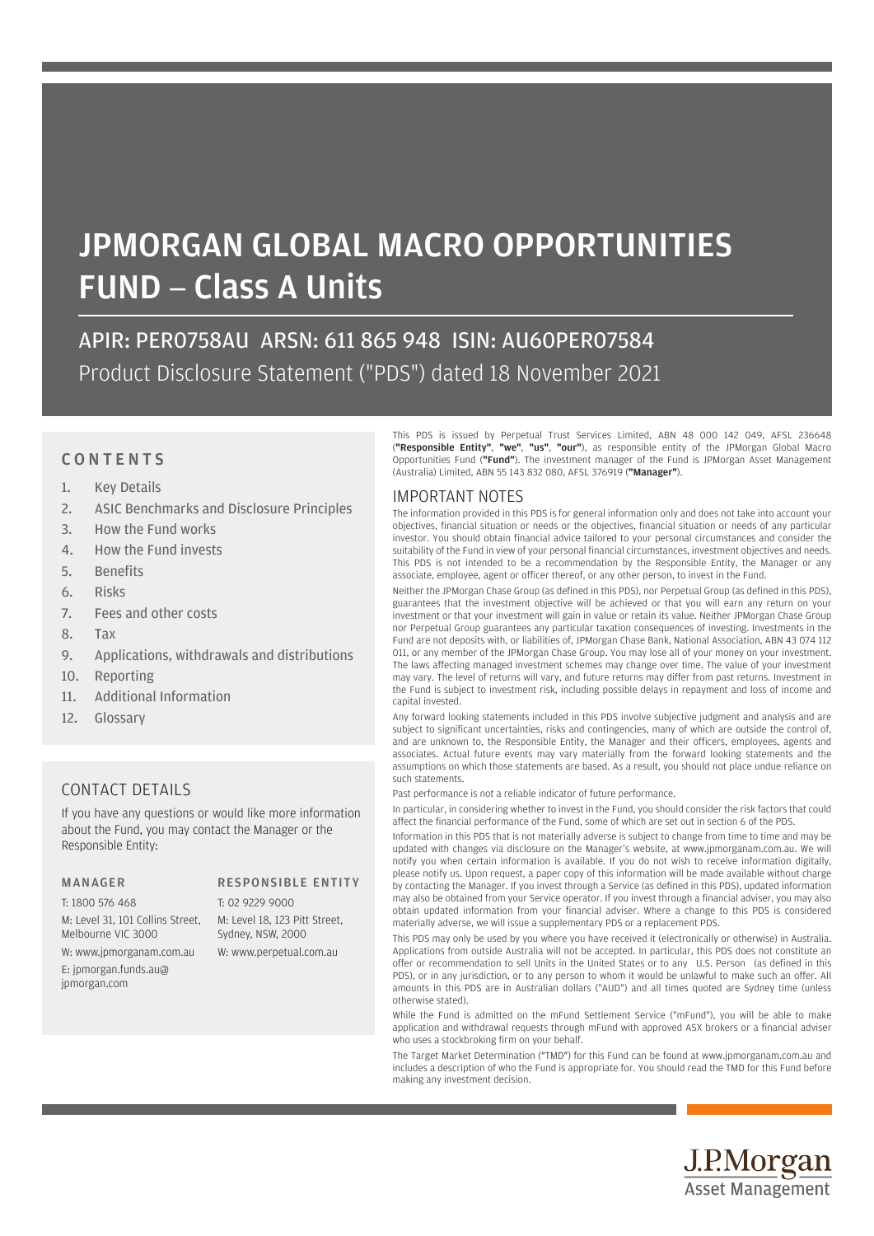# JPMORGAN GLOBAL MACRO OPPORTUNITIES FUND – Class A Units

APIR: PER0758AU ARSN: 611 865 948 ISIN: AU60PER07584 Product Disclosure Statement ("PDS") dated 18 November 2021

### **CONTENTS**

- 1. Key Details
- 2. ASIC Benchmarks and Disclosure Principles
- 3. How the Fund works
- 4. How the Fund invests
- 5. Benefits
- 6. Risks
- 7. Fees and other costs
- 8. Tax
- 9. Applications, withdrawals and distributions
- 10. Reporting
- 11. Additional Information
- 12. Glossary

### CONTACT DETAILS

If you have any questions or would like more information about the Fund, you may contact the Manager or the Responsible Entity:

### MANAGER RESPONSIBLE ENTITY

T: 1800 576 468 M: Level 31, 101 Collins Street, Melbourne VIC 3000 W: www.jpmorganam.com.au

E: jpmorgan.funds.au@ jpmorgan.com

T: 02 9229 9000 M: Level 18, 123 Pitt Street, Sydney, NSW, 2000

W: www.perpetual.com.au

This PDS is issued by Perpetual Trust Services Limited, ABN 48 000 142 049, AFSL 236648 ("Responsible Entity", "we", "us", "our"), as responsible entity of the JPMorgan Global Macro Opportunities Fund ("Fund"). The investment manager of the Fund is JPMorgan Asset Management (Australia) Limited, ABN 55 143 832 080, AFSL 376919 ("Manager").

### IMPORTANT NOTES

The information provided in this PDS is for general information only and does not take into account your objectives, financial situation or needs or the objectives, financial situation or needs of any particular investor. You should obtain financial advice tailored to your personal circumstances and consider the suitability of the Fund in view of your personal financial circumstances, investment objectives and needs. This PDS is not intended to be a recommendation by the Responsible Entity, the Manager or any associate, employee, agent or officer thereof, or any other person, to invest in the Fund.

Neither the JPMorgan Chase Group (as defined in this PDS), nor Perpetual Group (as defined in this PDS), guarantees that the investment objective will be achieved or that you will earn any return on your investment or that your investment will gain in value or retain its value. Neither JPMorgan Chase Group nor Perpetual Group guarantees any particular taxation consequences of investing. Investments in the Fund are not deposits with, or liabilities of, JPMorgan Chase Bank, National Association, ABN 43 074 112 011, or any member of the JPMorgan Chase Group. You may lose all of your money on your investment. The laws affecting managed investment schemes may change over time. The value of your investment may vary. The level of returns will vary, and future returns may differ from past returns. Investment in the Fund is subject to investment risk, including possible delays in repayment and loss of income and capital invested.

Any forward looking statements included in this PDS involve subjective judgment and analysis and are subject to significant uncertainties, risks and contingencies, many of which are outside the control of, and are unknown to, the Responsible Entity, the Manager and their officers, employees, agents and associates. Actual future events may vary materially from the forward looking statements and the assumptions on which those statements are based. As a result, you should not place undue reliance on such statements.

Past performance is not a reliable indicator of future performance.

In particular, in considering whether to invest in the Fund, you should consider the risk factors that could affect the financial performance of the Fund, some of which are set out in section 6 of the PDS.

Information in this PDS that is not materially adverse is subject to change from time to time and may be updated with changes via disclosure on the Manager's website, at www.jpmorganam.com.au. We will notify you when certain information is available. If you do not wish to receive information digitally, please notify us. Upon request, a paper copy of this information will be made available without charge by contacting the Manager. If you invest through a Service (as defined in this PDS), updated information may also be obtained from your Service operator. If you invest through a financial adviser, you may also obtain updated information from your financial adviser. Where a change to this PDS is considered materially adverse, we will issue a supplementary PDS or a replacement PDS.

This PDS may only be used by you where you have received it (electronically or otherwise) in Australia. Applications from outside Australia will not be accepted. In particular, this PDS does not constitute an offer or recommendation to sell Units in the United States or to any U.S. Person (as defined in this PDS), or in any jurisdiction, or to any person to whom it would be unlawful to make such an offer. All amounts in this PDS are in Australian dollars ("AUD") and all times quoted are Sydney time (unless otherwise stated).

While the Fund is admitted on the mFund Settlement Service ("mFund"), you will be able to make application and withdrawal requests through mFund with approved ASX brokers or a financial adviser who uses a stockbroking firm on your behalf.

The Target Market Determination ("TMD") for this Fund can be found at www.jpmorganam.com.au and includes a description of who the Fund is appropriate for. You should read the TMD for this Fund before making any investment decision.

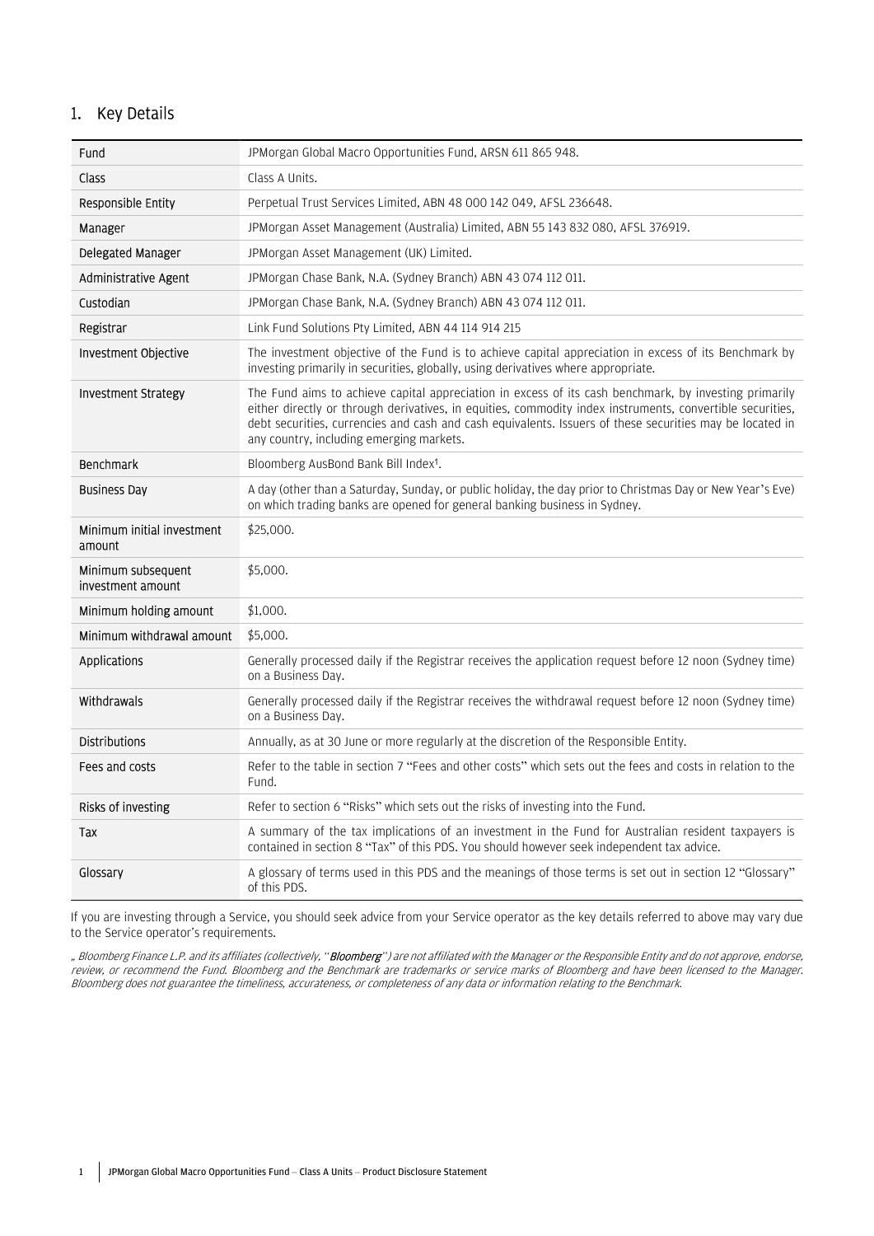### 1. Key Details

| Fund                                    | JPMorgan Global Macro Opportunities Fund, ARSN 611 865 948.                                                                                                                                                                                                                                                                                                                |
|-----------------------------------------|----------------------------------------------------------------------------------------------------------------------------------------------------------------------------------------------------------------------------------------------------------------------------------------------------------------------------------------------------------------------------|
| Class                                   | Class A Units.                                                                                                                                                                                                                                                                                                                                                             |
| Responsible Entity                      | Perpetual Trust Services Limited, ABN 48 000 142 049, AFSL 236648.                                                                                                                                                                                                                                                                                                         |
| Manager                                 | JPMorgan Asset Management (Australia) Limited, ABN 55 143 832 080, AFSL 376919.                                                                                                                                                                                                                                                                                            |
| Delegated Manager                       | JPMorgan Asset Management (UK) Limited.                                                                                                                                                                                                                                                                                                                                    |
| Administrative Agent                    | JPMorgan Chase Bank, N.A. (Sydney Branch) ABN 43 074 112 011.                                                                                                                                                                                                                                                                                                              |
| Custodian                               | JPMorgan Chase Bank, N.A. (Sydney Branch) ABN 43074112011.                                                                                                                                                                                                                                                                                                                 |
| Registrar                               | Link Fund Solutions Pty Limited, ABN 44 114 914 215                                                                                                                                                                                                                                                                                                                        |
| Investment Objective                    | The investment objective of the Fund is to achieve capital appreciation in excess of its Benchmark by<br>investing primarily in securities, globally, using derivatives where appropriate.                                                                                                                                                                                 |
| <b>Investment Strategy</b>              | The Fund aims to achieve capital appreciation in excess of its cash benchmark, by investing primarily<br>either directly or through derivatives, in equities, commodity index instruments, convertible securities,<br>debt securities, currencies and cash and cash equivalents. Issuers of these securities may be located in<br>any country, including emerging markets. |
| Benchmark                               | Bloomberg AusBond Bank Bill Index <sup>1</sup> .                                                                                                                                                                                                                                                                                                                           |
| <b>Business Day</b>                     | A day (other than a Saturday, Sunday, or public holiday, the day prior to Christmas Day or New Year's Eve)<br>on which trading banks are opened for general banking business in Sydney.                                                                                                                                                                                    |
|                                         |                                                                                                                                                                                                                                                                                                                                                                            |
| Minimum initial investment<br>amount    | \$25,000.                                                                                                                                                                                                                                                                                                                                                                  |
| Minimum subsequent<br>investment amount | \$5,000.                                                                                                                                                                                                                                                                                                                                                                   |
| Minimum holding amount                  | \$1,000.                                                                                                                                                                                                                                                                                                                                                                   |
| Minimum withdrawal amount               | \$5.000.                                                                                                                                                                                                                                                                                                                                                                   |
| Applications                            | Generally processed daily if the Registrar receives the application request before 12 noon (Sydney time)<br>on a Business Day.                                                                                                                                                                                                                                             |
| Withdrawals                             | Generally processed daily if the Registrar receives the withdrawal request before 12 noon (Sydney time)<br>on a Business Day.                                                                                                                                                                                                                                              |
| <b>Distributions</b>                    | Annually, as at 30 June or more regularly at the discretion of the Responsible Entity.                                                                                                                                                                                                                                                                                     |
| Fees and costs                          | Refer to the table in section 7 "Fees and other costs" which sets out the fees and costs in relation to the<br>Fund.                                                                                                                                                                                                                                                       |
| Risks of investing                      | Refer to section 6 "Risks" which sets out the risks of investing into the Fund.                                                                                                                                                                                                                                                                                            |
| Tax                                     | A summary of the tax implications of an investment in the Fund for Australian resident taxpayers is<br>contained in section 8 "Tax" of this PDS. You should however seek independent tax advice.                                                                                                                                                                           |

If you are investing through a Service, you should seek advice from your Service operator as the key details referred to above may vary due to the Service operator's requirements.

"Bloomberg Finance L.P. and its affiliates (collectively, "**Bloomberg**") are not affiliated with the Manager or the Responsible Entity and do not approve, endorse, review, or recommend the Fund. Bloomberg and the Benchmark are trademarks or service marks of Bloomberg and have been licensed to the Manager. Bloomberg does not guarantee the timeliness, accurateness, or completeness of any data or information relating to the Benchmark.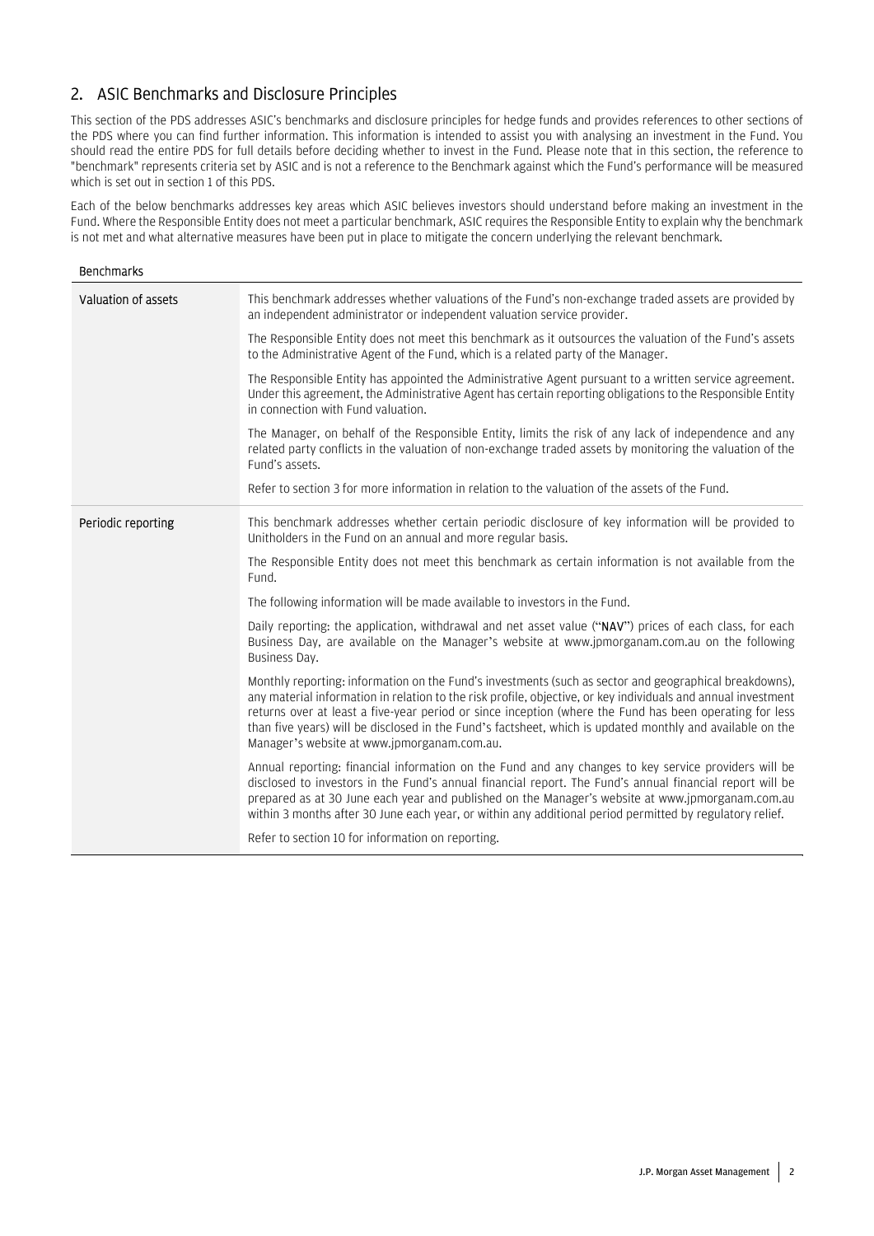## 2. ASIC Benchmarks and Disclosure Principles

This section of the PDS addresses ASIC's benchmarks and disclosure principles for hedge funds and provides references to other sections of the PDS where you can find further information. This information is intended to assist you with analysing an investment in the Fund. You should read the entire PDS for full details before deciding whether to invest in the Fund. Please note that in this section, the reference to "benchmark" represents criteria set by ASIC and is not a reference to the Benchmark against which the Fund's performance will be measured which is set out in section 1 of this PDS.

Each of the below benchmarks addresses key areas which ASIC believes investors should understand before making an investment in the Fund. Where the Responsible Entity does not meet a particular benchmark, ASIC requires the Responsible Entity to explain why the benchmark is not met and what alternative measures have been put in place to mitigate the concern underlying the relevant benchmark.

| <b>Benchmarks</b>   |                                                                                                                                                                                                                                                                                                                                                                                                                                                                                                |
|---------------------|------------------------------------------------------------------------------------------------------------------------------------------------------------------------------------------------------------------------------------------------------------------------------------------------------------------------------------------------------------------------------------------------------------------------------------------------------------------------------------------------|
| Valuation of assets | This benchmark addresses whether valuations of the Fund's non-exchange traded assets are provided by<br>an independent administrator or independent valuation service provider.                                                                                                                                                                                                                                                                                                                |
|                     | The Responsible Entity does not meet this benchmark as it outsources the valuation of the Fund's assets<br>to the Administrative Agent of the Fund, which is a related party of the Manager.                                                                                                                                                                                                                                                                                                   |
|                     | The Responsible Entity has appointed the Administrative Agent pursuant to a written service agreement.<br>Under this agreement, the Administrative Agent has certain reporting obligations to the Responsible Entity<br>in connection with Fund valuation.                                                                                                                                                                                                                                     |
|                     | The Manager, on behalf of the Responsible Entity, limits the risk of any lack of independence and any<br>related party conflicts in the valuation of non-exchange traded assets by monitoring the valuation of the<br>Fund's assets.                                                                                                                                                                                                                                                           |
|                     | Refer to section 3 for more information in relation to the valuation of the assets of the Fund.                                                                                                                                                                                                                                                                                                                                                                                                |
| Periodic reporting  | This benchmark addresses whether certain periodic disclosure of key information will be provided to<br>Unitholders in the Fund on an annual and more regular basis.                                                                                                                                                                                                                                                                                                                            |
|                     | The Responsible Entity does not meet this benchmark as certain information is not available from the<br>Fund.                                                                                                                                                                                                                                                                                                                                                                                  |
|                     | The following information will be made available to investors in the Fund.                                                                                                                                                                                                                                                                                                                                                                                                                     |
|                     | Daily reporting: the application, withdrawal and net asset value ("NAV") prices of each class, for each<br>Business Day, are available on the Manager's website at www.jpmorganam.com.au on the following<br>Business Day.                                                                                                                                                                                                                                                                     |
|                     | Monthly reporting: information on the Fund's investments (such as sector and geographical breakdowns),<br>any material information in relation to the risk profile, objective, or key individuals and annual investment<br>returns over at least a five-year period or since inception (where the Fund has been operating for less<br>than five years) will be disclosed in the Fund's factsheet, which is updated monthly and available on the<br>Manager's website at www.jpmorganam.com.au. |
|                     | Annual reporting: financial information on the Fund and any changes to key service providers will be<br>disclosed to investors in the Fund's annual financial report. The Fund's annual financial report will be<br>prepared as at 30 June each year and published on the Manager's website at www.jpmorganam.com.au<br>within 3 months after 30 June each year, or within any additional period permitted by regulatory relief.                                                               |
|                     | Refer to section 10 for information on reporting.                                                                                                                                                                                                                                                                                                                                                                                                                                              |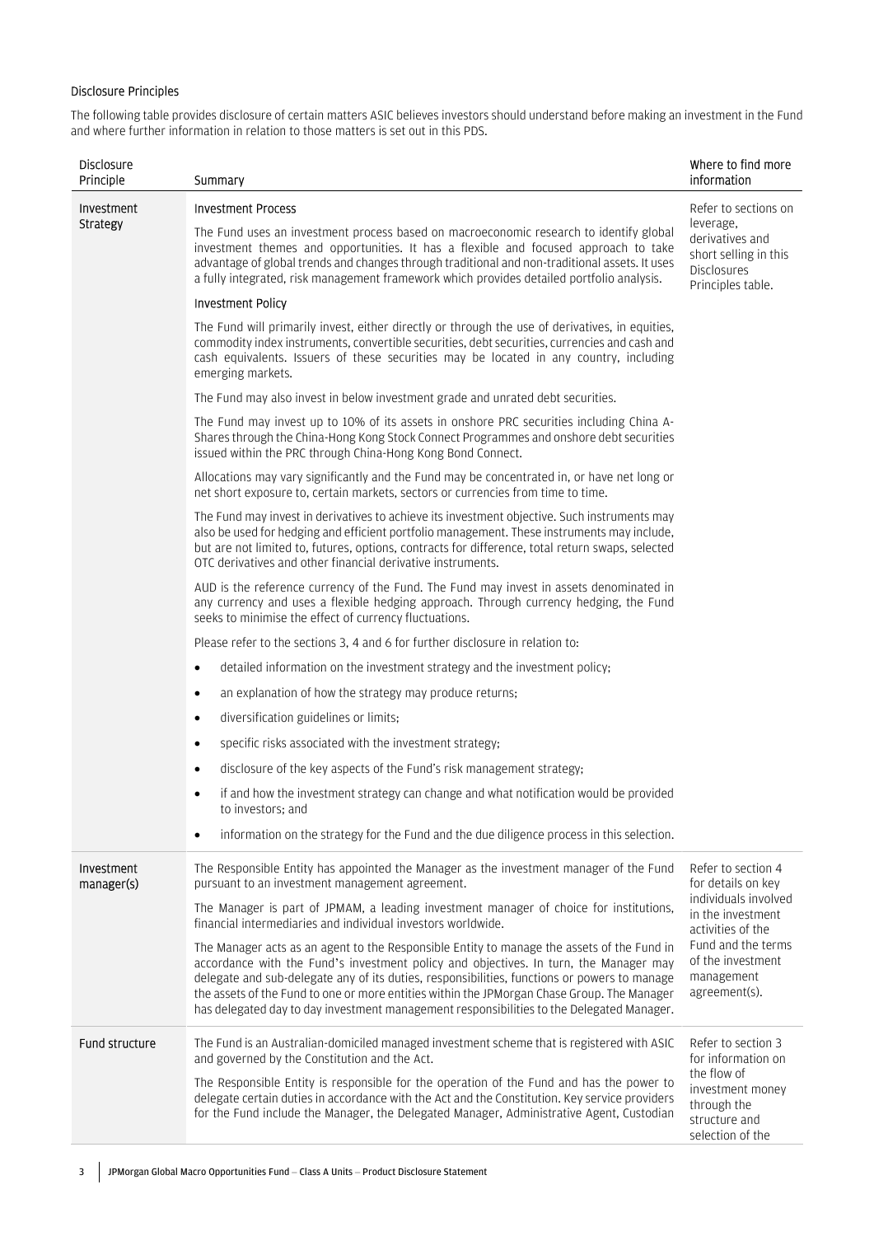### Disclosure Principles

The following table provides disclosure of certain matters ASIC believes investors should understand before making an investment in the Fund and where further information in relation to those matters is set out in this PDS.

| Disclosure<br>Principle  | Summary                                                                                                                                                                                                                                                                                                                                                                                                                                                                         | Where to find more<br>information                                                                                 |
|--------------------------|---------------------------------------------------------------------------------------------------------------------------------------------------------------------------------------------------------------------------------------------------------------------------------------------------------------------------------------------------------------------------------------------------------------------------------------------------------------------------------|-------------------------------------------------------------------------------------------------------------------|
| Investment<br>Strategy   | <b>Investment Process</b><br>The Fund uses an investment process based on macroeconomic research to identify global<br>investment themes and opportunities. It has a flexible and focused approach to take<br>advantage of global trends and changes through traditional and non-traditional assets. It uses<br>a fully integrated, risk management framework which provides detailed portfolio analysis.                                                                       | Refer to sections on<br>leverage,<br>derivatives and<br>short selling in this<br>Disclosures<br>Principles table. |
|                          | <b>Investment Policy</b>                                                                                                                                                                                                                                                                                                                                                                                                                                                        |                                                                                                                   |
|                          | The Fund will primarily invest, either directly or through the use of derivatives, in equities,<br>commodity index instruments, convertible securities, debt securities, currencies and cash and<br>cash equivalents. Issuers of these securities may be located in any country, including<br>emerging markets.                                                                                                                                                                 |                                                                                                                   |
|                          | The Fund may also invest in below investment grade and unrated debt securities.                                                                                                                                                                                                                                                                                                                                                                                                 |                                                                                                                   |
|                          | The Fund may invest up to 10% of its assets in onshore PRC securities including China A-<br>Shares through the China-Hong Kong Stock Connect Programmes and onshore debt securities<br>issued within the PRC through China-Hong Kong Bond Connect.                                                                                                                                                                                                                              |                                                                                                                   |
|                          | Allocations may vary significantly and the Fund may be concentrated in, or have net long or<br>net short exposure to, certain markets, sectors or currencies from time to time.                                                                                                                                                                                                                                                                                                 |                                                                                                                   |
|                          | The Fund may invest in derivatives to achieve its investment objective. Such instruments may<br>also be used for hedging and efficient portfolio management. These instruments may include,<br>but are not limited to, futures, options, contracts for difference, total return swaps, selected<br>OTC derivatives and other financial derivative instruments.                                                                                                                  |                                                                                                                   |
|                          | AUD is the reference currency of the Fund. The Fund may invest in assets denominated in<br>any currency and uses a flexible hedging approach. Through currency hedging, the Fund<br>seeks to minimise the effect of currency fluctuations.                                                                                                                                                                                                                                      |                                                                                                                   |
|                          | Please refer to the sections 3, 4 and 6 for further disclosure in relation to:                                                                                                                                                                                                                                                                                                                                                                                                  |                                                                                                                   |
|                          | detailed information on the investment strategy and the investment policy;<br>$\bullet$                                                                                                                                                                                                                                                                                                                                                                                         |                                                                                                                   |
|                          | an explanation of how the strategy may produce returns;<br>$\bullet$                                                                                                                                                                                                                                                                                                                                                                                                            |                                                                                                                   |
|                          | diversification guidelines or limits;<br>$\bullet$                                                                                                                                                                                                                                                                                                                                                                                                                              |                                                                                                                   |
|                          | specific risks associated with the investment strategy;<br>$\bullet$                                                                                                                                                                                                                                                                                                                                                                                                            |                                                                                                                   |
|                          | disclosure of the key aspects of the Fund's risk management strategy;<br>$\bullet$                                                                                                                                                                                                                                                                                                                                                                                              |                                                                                                                   |
|                          | if and how the investment strategy can change and what notification would be provided<br>$\bullet$<br>to investors; and                                                                                                                                                                                                                                                                                                                                                         |                                                                                                                   |
|                          | information on the strategy for the Fund and the due diligence process in this selection.                                                                                                                                                                                                                                                                                                                                                                                       |                                                                                                                   |
| Investment<br>manager(s) | The Responsible Entity has appointed the Manager as the investment manager of the Fund<br>pursuant to an investment management agreement.                                                                                                                                                                                                                                                                                                                                       | Refer to section 4<br>for details on key                                                                          |
|                          | The Manager is part of JPMAM, a leading investment manager of choice for institutions,<br>financial intermediaries and individual investors worldwide.                                                                                                                                                                                                                                                                                                                          | individuals involved<br>in the investment<br>activities of the                                                    |
|                          | The Manager acts as an agent to the Responsible Entity to manage the assets of the Fund in<br>accordance with the Fund's investment policy and objectives. In turn, the Manager may<br>delegate and sub-delegate any of its duties, responsibilities, functions or powers to manage<br>the assets of the Fund to one or more entities within the JPMorgan Chase Group. The Manager<br>has delegated day to day investment management responsibilities to the Delegated Manager. | Fund and the terms<br>of the investment<br>management<br>agreement(s).                                            |
| Fund structure           | The Fund is an Australian-domiciled managed investment scheme that is registered with ASIC<br>and governed by the Constitution and the Act.                                                                                                                                                                                                                                                                                                                                     | Refer to section 3<br>for information on                                                                          |
|                          | The Responsible Entity is responsible for the operation of the Fund and has the power to<br>delegate certain duties in accordance with the Act and the Constitution. Key service providers<br>for the Fund include the Manager, the Delegated Manager, Administrative Agent, Custodian                                                                                                                                                                                          | the flow of<br>investment money<br>through the<br>structure and<br>selection of the                               |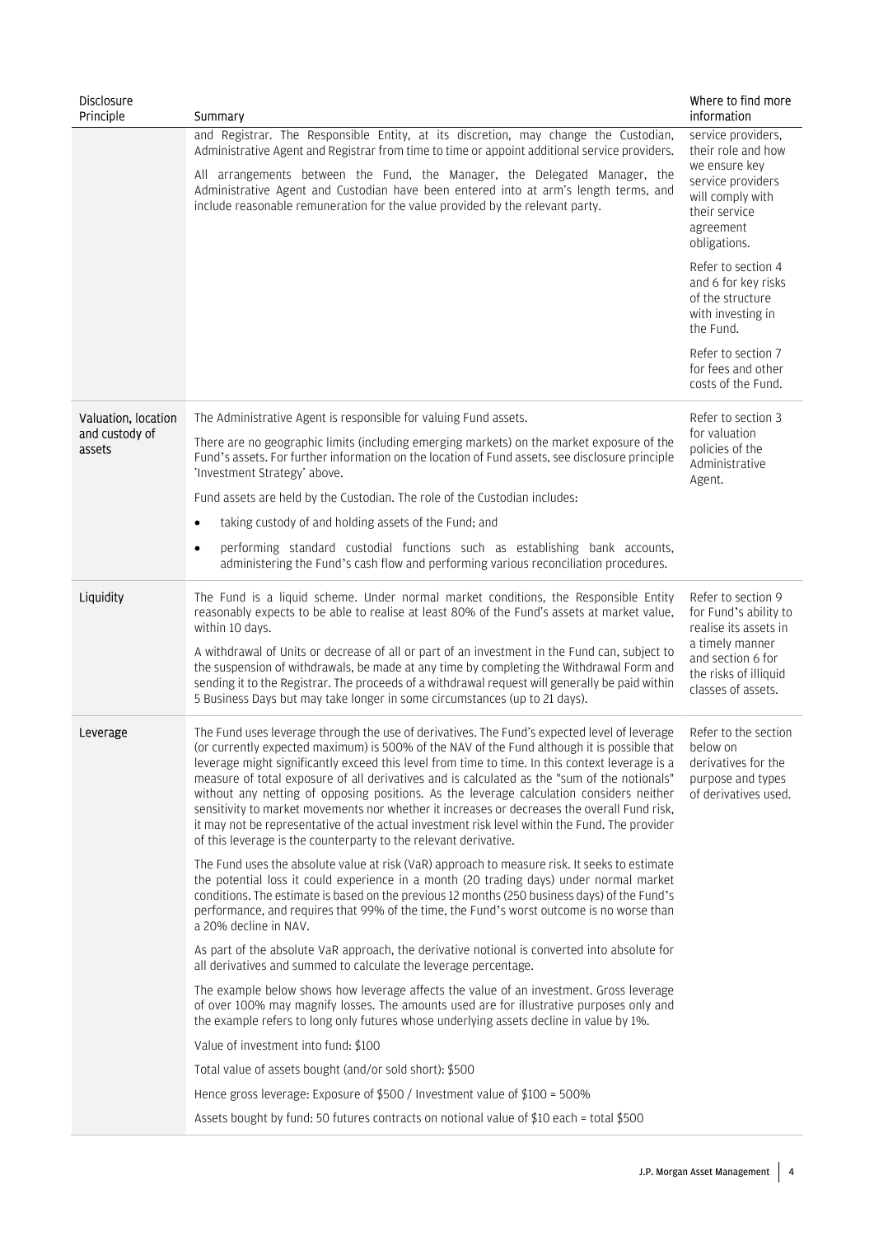| <b>Disclosure</b><br>Principle | Summary                                                                                                                                                                                                                                                                                                                                                                                                                                                                                                                                                                                                                                                                                                                                                          | Where to find more<br>information                                                                                                                           |
|--------------------------------|------------------------------------------------------------------------------------------------------------------------------------------------------------------------------------------------------------------------------------------------------------------------------------------------------------------------------------------------------------------------------------------------------------------------------------------------------------------------------------------------------------------------------------------------------------------------------------------------------------------------------------------------------------------------------------------------------------------------------------------------------------------|-------------------------------------------------------------------------------------------------------------------------------------------------------------|
|                                | and Registrar. The Responsible Entity, at its discretion, may change the Custodian,<br>Administrative Agent and Registrar from time to time or appoint additional service providers.                                                                                                                                                                                                                                                                                                                                                                                                                                                                                                                                                                             | service providers,<br>their role and how                                                                                                                    |
|                                | All arrangements between the Fund, the Manager, the Delegated Manager, the<br>Administrative Agent and Custodian have been entered into at arm's length terms, and<br>include reasonable remuneration for the value provided by the relevant party.                                                                                                                                                                                                                                                                                                                                                                                                                                                                                                              | we ensure key<br>service providers<br>will comply with<br>their service<br>agreement<br>obligations.                                                        |
|                                |                                                                                                                                                                                                                                                                                                                                                                                                                                                                                                                                                                                                                                                                                                                                                                  | Refer to section 4<br>and 6 for key risks<br>of the structure<br>with investing in<br>the Fund.                                                             |
|                                |                                                                                                                                                                                                                                                                                                                                                                                                                                                                                                                                                                                                                                                                                                                                                                  | Refer to section 7<br>for fees and other<br>costs of the Fund.                                                                                              |
| Valuation, location            | The Administrative Agent is responsible for valuing Fund assets.                                                                                                                                                                                                                                                                                                                                                                                                                                                                                                                                                                                                                                                                                                 | Refer to section 3                                                                                                                                          |
| and custody of<br>assets       | There are no geographic limits (including emerging markets) on the market exposure of the<br>Fund's assets. For further information on the location of Fund assets, see disclosure principle<br>'Investment Strategy' above.                                                                                                                                                                                                                                                                                                                                                                                                                                                                                                                                     | for valuation<br>policies of the<br>Administrative<br>Agent.                                                                                                |
|                                | Fund assets are held by the Custodian. The role of the Custodian includes:                                                                                                                                                                                                                                                                                                                                                                                                                                                                                                                                                                                                                                                                                       |                                                                                                                                                             |
|                                | taking custody of and holding assets of the Fund; and<br>$\bullet$                                                                                                                                                                                                                                                                                                                                                                                                                                                                                                                                                                                                                                                                                               |                                                                                                                                                             |
|                                | performing standard custodial functions such as establishing bank accounts,<br>$\bullet$<br>administering the Fund's cash flow and performing various reconciliation procedures.                                                                                                                                                                                                                                                                                                                                                                                                                                                                                                                                                                                 |                                                                                                                                                             |
| Liquidity                      | The Fund is a liquid scheme. Under normal market conditions, the Responsible Entity<br>reasonably expects to be able to realise at least 80% of the Fund's assets at market value,<br>within 10 days.<br>A withdrawal of Units or decrease of all or part of an investment in the Fund can, subject to<br>the suspension of withdrawals, be made at any time by completing the Withdrawal Form and<br>sending it to the Registrar. The proceeds of a withdrawal request will generally be paid within<br>5 Business Days but may take longer in some circumstances (up to 21 days).                                                                                                                                                                              | Refer to section 9<br>for Fund's ability to<br>realise its assets in<br>a timely manner<br>and section 6 for<br>the risks of illiquid<br>classes of assets. |
| Leverage                       | The Fund uses leverage through the use of derivatives. The Fund's expected level of leverage<br>(or currently expected maximum) is 500% of the NAV of the Fund although it is possible that<br>leverage might significantly exceed this level from time to time. In this context leverage is a<br>measure of total exposure of all derivatives and is calculated as the "sum of the notionals"<br>without any netting of opposing positions. As the leverage calculation considers neither<br>sensitivity to market movements nor whether it increases or decreases the overall Fund risk,<br>it may not be representative of the actual investment risk level within the Fund. The provider<br>of this leverage is the counterparty to the relevant derivative. | Refer to the section<br>below on<br>derivatives for the<br>purpose and types<br>of derivatives used.                                                        |
|                                | The Fund uses the absolute value at risk (VaR) approach to measure risk. It seeks to estimate<br>the potential loss it could experience in a month (20 trading days) under normal market<br>conditions. The estimate is based on the previous 12 months (250 business days) of the Fund's<br>performance, and requires that 99% of the time, the Fund's worst outcome is no worse than<br>a 20% decline in NAV.                                                                                                                                                                                                                                                                                                                                                  |                                                                                                                                                             |
|                                | As part of the absolute VaR approach, the derivative notional is converted into absolute for<br>all derivatives and summed to calculate the leverage percentage.                                                                                                                                                                                                                                                                                                                                                                                                                                                                                                                                                                                                 |                                                                                                                                                             |
|                                | The example below shows how leverage affects the value of an investment. Gross leverage<br>of over 100% may magnify losses. The amounts used are for illustrative purposes only and<br>the example refers to long only futures whose underlying assets decline in value by 1%.                                                                                                                                                                                                                                                                                                                                                                                                                                                                                   |                                                                                                                                                             |
|                                | Value of investment into fund: \$100                                                                                                                                                                                                                                                                                                                                                                                                                                                                                                                                                                                                                                                                                                                             |                                                                                                                                                             |
|                                | Total value of assets bought (and/or sold short): \$500                                                                                                                                                                                                                                                                                                                                                                                                                                                                                                                                                                                                                                                                                                          |                                                                                                                                                             |
|                                | Hence gross leverage: Exposure of \$500 / Investment value of \$100 = 500%                                                                                                                                                                                                                                                                                                                                                                                                                                                                                                                                                                                                                                                                                       |                                                                                                                                                             |
|                                | Assets bought by fund: 50 futures contracts on notional value of \$10 each = total \$500                                                                                                                                                                                                                                                                                                                                                                                                                                                                                                                                                                                                                                                                         |                                                                                                                                                             |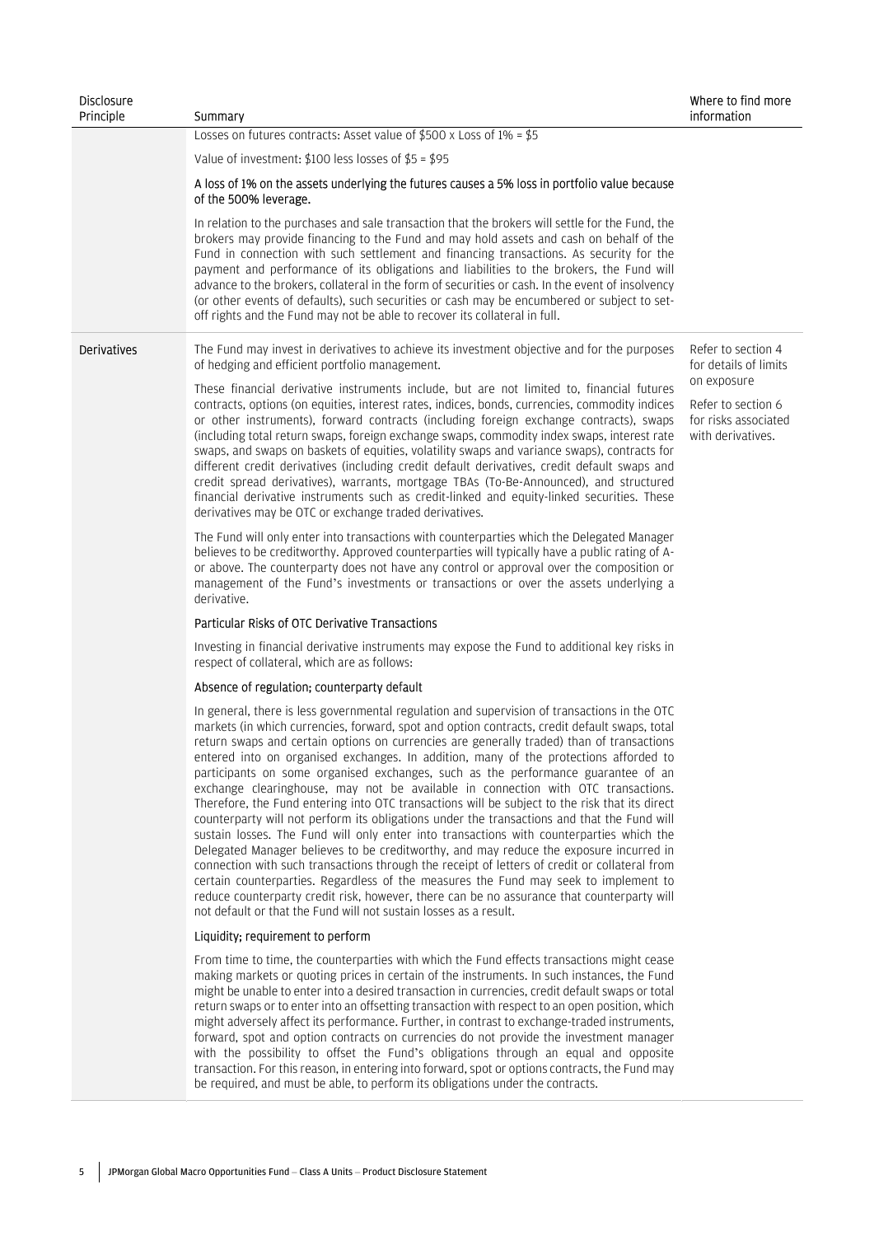| <b>Disclosure</b><br>Principle | Summary                                                                                                                                                                                                                                                                                                                                                                                                                                                                                                                                                                                                                                                                                                                                                                                                                                                                                                                                                                                                                                                                                                                                                                                                                                                                                                          | Where to find more<br>information                               |
|--------------------------------|------------------------------------------------------------------------------------------------------------------------------------------------------------------------------------------------------------------------------------------------------------------------------------------------------------------------------------------------------------------------------------------------------------------------------------------------------------------------------------------------------------------------------------------------------------------------------------------------------------------------------------------------------------------------------------------------------------------------------------------------------------------------------------------------------------------------------------------------------------------------------------------------------------------------------------------------------------------------------------------------------------------------------------------------------------------------------------------------------------------------------------------------------------------------------------------------------------------------------------------------------------------------------------------------------------------|-----------------------------------------------------------------|
|                                | Losses on futures contracts: Asset value of \$500 x Loss of 1% = \$5                                                                                                                                                                                                                                                                                                                                                                                                                                                                                                                                                                                                                                                                                                                                                                                                                                                                                                                                                                                                                                                                                                                                                                                                                                             |                                                                 |
|                                | Value of investment: $$100$ less losses of $$5$ = $$95$                                                                                                                                                                                                                                                                                                                                                                                                                                                                                                                                                                                                                                                                                                                                                                                                                                                                                                                                                                                                                                                                                                                                                                                                                                                          |                                                                 |
|                                | A loss of 1% on the assets underlying the futures causes a 5% loss in portfolio value because<br>of the 500% leverage.                                                                                                                                                                                                                                                                                                                                                                                                                                                                                                                                                                                                                                                                                                                                                                                                                                                                                                                                                                                                                                                                                                                                                                                           |                                                                 |
|                                | In relation to the purchases and sale transaction that the brokers will settle for the Fund, the<br>brokers may provide financing to the Fund and may hold assets and cash on behalf of the<br>Fund in connection with such settlement and financing transactions. As security for the<br>payment and performance of its obligations and liabilities to the brokers, the Fund will<br>advance to the brokers, collateral in the form of securities or cash. In the event of insolvency<br>(or other events of defaults), such securities or cash may be encumbered or subject to set-<br>off rights and the Fund may not be able to recover its collateral in full.                                                                                                                                                                                                                                                                                                                                                                                                                                                                                                                                                                                                                                              |                                                                 |
| <b>Derivatives</b>             | The Fund may invest in derivatives to achieve its investment objective and for the purposes<br>of hedging and efficient portfolio management.                                                                                                                                                                                                                                                                                                                                                                                                                                                                                                                                                                                                                                                                                                                                                                                                                                                                                                                                                                                                                                                                                                                                                                    | Refer to section 4<br>for details of limits                     |
|                                | These financial derivative instruments include, but are not limited to, financial futures                                                                                                                                                                                                                                                                                                                                                                                                                                                                                                                                                                                                                                                                                                                                                                                                                                                                                                                                                                                                                                                                                                                                                                                                                        | on exposure                                                     |
|                                | contracts, options (on equities, interest rates, indices, bonds, currencies, commodity indices<br>or other instruments), forward contracts (including foreign exchange contracts), swaps<br>(including total return swaps, foreign exchange swaps, commodity index swaps, interest rate<br>swaps, and swaps on baskets of equities, volatility swaps and variance swaps), contracts for<br>different credit derivatives (including credit default derivatives, credit default swaps and<br>credit spread derivatives), warrants, mortgage TBAs (To-Be-Announced), and structured<br>financial derivative instruments such as credit-linked and equity-linked securities. These<br>derivatives may be OTC or exchange traded derivatives.                                                                                                                                                                                                                                                                                                                                                                                                                                                                                                                                                                         | Refer to section 6<br>for risks associated<br>with derivatives. |
|                                | The Fund will only enter into transactions with counterparties which the Delegated Manager<br>believes to be creditworthy. Approved counterparties will typically have a public rating of A-<br>or above. The counterparty does not have any control or approval over the composition or<br>management of the Fund's investments or transactions or over the assets underlying a<br>derivative.                                                                                                                                                                                                                                                                                                                                                                                                                                                                                                                                                                                                                                                                                                                                                                                                                                                                                                                  |                                                                 |
|                                | Particular Risks of OTC Derivative Transactions                                                                                                                                                                                                                                                                                                                                                                                                                                                                                                                                                                                                                                                                                                                                                                                                                                                                                                                                                                                                                                                                                                                                                                                                                                                                  |                                                                 |
|                                | Investing in financial derivative instruments may expose the Fund to additional key risks in<br>respect of collateral, which are as follows:                                                                                                                                                                                                                                                                                                                                                                                                                                                                                                                                                                                                                                                                                                                                                                                                                                                                                                                                                                                                                                                                                                                                                                     |                                                                 |
|                                | Absence of regulation; counterparty default                                                                                                                                                                                                                                                                                                                                                                                                                                                                                                                                                                                                                                                                                                                                                                                                                                                                                                                                                                                                                                                                                                                                                                                                                                                                      |                                                                 |
|                                | In general, there is less governmental regulation and supervision of transactions in the OTC<br>markets (in which currencies, forward, spot and option contracts, credit default swaps, total<br>return swaps and certain options on currencies are generally traded) than of transactions<br>entered into on organised exchanges. In addition, many of the protections afforded to<br>participants on some organised exchanges, such as the performance guarantee of an<br>exchange clearinghouse, may not be available in connection with OTC transactions.<br>Therefore, the Fund entering into OTC transactions will be subject to the risk that its direct<br>counterparty will not perform its obligations under the transactions and that the Fund will<br>sustain losses. The Fund will only enter into transactions with counterparties which the<br>Delegated Manager believes to be creditworthy, and may reduce the exposure incurred in<br>connection with such transactions through the receipt of letters of credit or collateral from<br>certain counterparties. Regardless of the measures the Fund may seek to implement to<br>reduce counterparty credit risk, however, there can be no assurance that counterparty will<br>not default or that the Fund will not sustain losses as a result. |                                                                 |
|                                | Liquidity; requirement to perform                                                                                                                                                                                                                                                                                                                                                                                                                                                                                                                                                                                                                                                                                                                                                                                                                                                                                                                                                                                                                                                                                                                                                                                                                                                                                |                                                                 |
|                                | From time to time, the counterparties with which the Fund effects transactions might cease<br>making markets or quoting prices in certain of the instruments. In such instances, the Fund<br>might be unable to enter into a desired transaction in currencies, credit default swaps or total<br>return swaps or to enter into an offsetting transaction with respect to an open position, which<br>might adversely affect its performance. Further, in contrast to exchange-traded instruments,<br>forward, spot and option contracts on currencies do not provide the investment manager<br>with the possibility to offset the Fund's obligations through an equal and opposite<br>transaction. For this reason, in entering into forward, spot or options contracts, the Fund may<br>be required, and must be able, to perform its obligations under the contracts.                                                                                                                                                                                                                                                                                                                                                                                                                                           |                                                                 |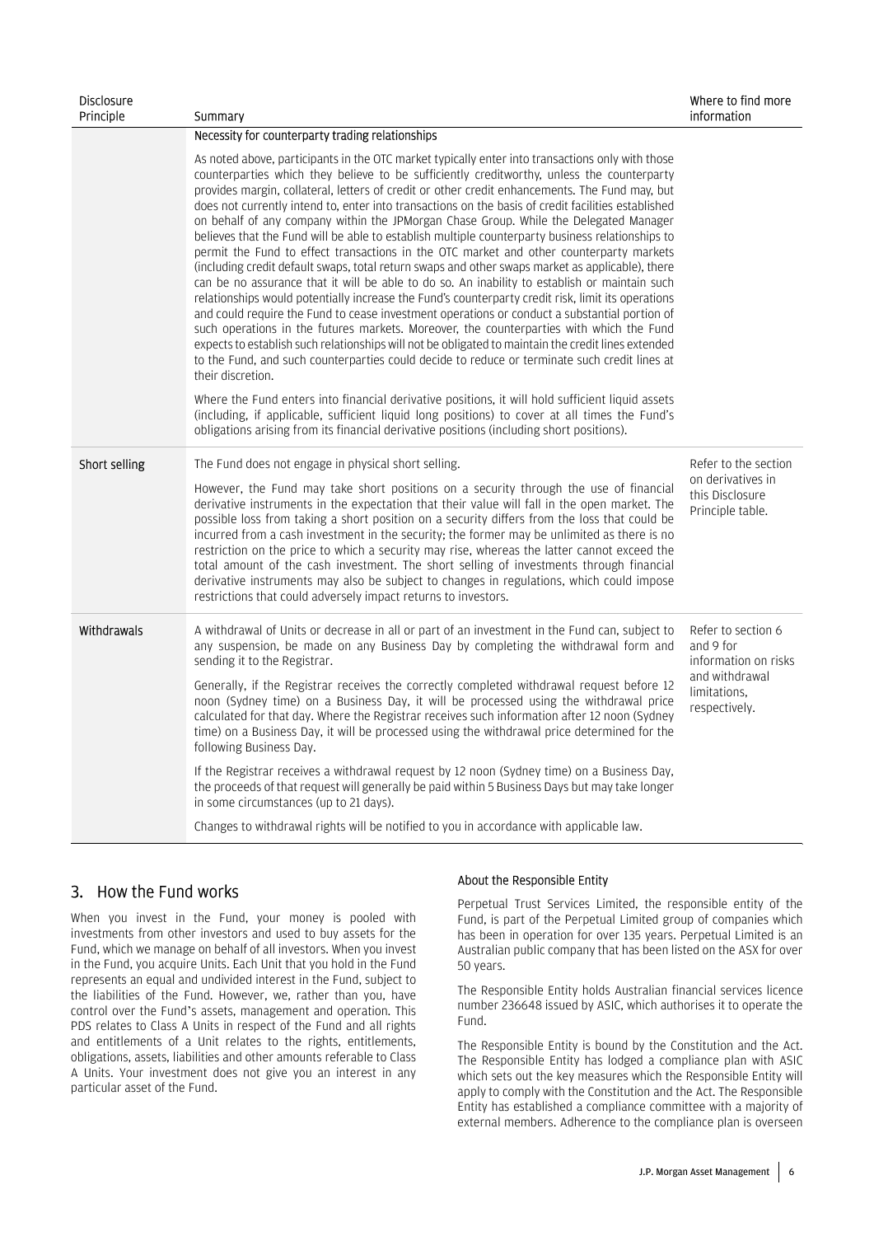| <b>Disclosure</b><br>Principle | Summary                                                                                                                                                                                                                                                                                                                                                                                                                                                                                                                                                                                                                                                                                                                                                                                                                                                                                                                                                                                                                                                                                                                                                                                                                                                                                                                                                                                                                              | Where to find more<br>information                        |
|--------------------------------|--------------------------------------------------------------------------------------------------------------------------------------------------------------------------------------------------------------------------------------------------------------------------------------------------------------------------------------------------------------------------------------------------------------------------------------------------------------------------------------------------------------------------------------------------------------------------------------------------------------------------------------------------------------------------------------------------------------------------------------------------------------------------------------------------------------------------------------------------------------------------------------------------------------------------------------------------------------------------------------------------------------------------------------------------------------------------------------------------------------------------------------------------------------------------------------------------------------------------------------------------------------------------------------------------------------------------------------------------------------------------------------------------------------------------------------|----------------------------------------------------------|
|                                | Necessity for counterparty trading relationships                                                                                                                                                                                                                                                                                                                                                                                                                                                                                                                                                                                                                                                                                                                                                                                                                                                                                                                                                                                                                                                                                                                                                                                                                                                                                                                                                                                     |                                                          |
|                                | As noted above, participants in the OTC market typically enter into transactions only with those<br>counterparties which they believe to be sufficiently creditworthy, unless the counterparty<br>provides margin, collateral, letters of credit or other credit enhancements. The Fund may, but<br>does not currently intend to, enter into transactions on the basis of credit facilities established<br>on behalf of any company within the JPMorgan Chase Group. While the Delegated Manager<br>believes that the Fund will be able to establish multiple counterparty business relationships to<br>permit the Fund to effect transactions in the OTC market and other counterparty markets<br>(including credit default swaps, total return swaps and other swaps market as applicable), there<br>can be no assurance that it will be able to do so. An inability to establish or maintain such<br>relationships would potentially increase the Fund's counterparty credit risk, limit its operations<br>and could require the Fund to cease investment operations or conduct a substantial portion of<br>such operations in the futures markets. Moreover, the counterparties with which the Fund<br>expects to establish such relationships will not be obligated to maintain the credit lines extended<br>to the Fund, and such counterparties could decide to reduce or terminate such credit lines at<br>their discretion. |                                                          |
|                                | Where the Fund enters into financial derivative positions, it will hold sufficient liquid assets<br>(including, if applicable, sufficient liquid long positions) to cover at all times the Fund's<br>obligations arising from its financial derivative positions (including short positions).                                                                                                                                                                                                                                                                                                                                                                                                                                                                                                                                                                                                                                                                                                                                                                                                                                                                                                                                                                                                                                                                                                                                        |                                                          |
| Short selling                  | The Fund does not engage in physical short selling.                                                                                                                                                                                                                                                                                                                                                                                                                                                                                                                                                                                                                                                                                                                                                                                                                                                                                                                                                                                                                                                                                                                                                                                                                                                                                                                                                                                  | Refer to the section                                     |
|                                | However, the Fund may take short positions on a security through the use of financial<br>derivative instruments in the expectation that their value will fall in the open market. The<br>possible loss from taking a short position on a security differs from the loss that could be<br>incurred from a cash investment in the security; the former may be unlimited as there is no<br>restriction on the price to which a security may rise, whereas the latter cannot exceed the<br>total amount of the cash investment. The short selling of investments through financial<br>derivative instruments may also be subject to changes in regulations, which could impose<br>restrictions that could adversely impact returns to investors.                                                                                                                                                                                                                                                                                                                                                                                                                                                                                                                                                                                                                                                                                         | on derivatives in<br>this Disclosure<br>Principle table. |
| Withdrawals                    | A withdrawal of Units or decrease in all or part of an investment in the Fund can, subject to<br>any suspension, be made on any Business Day by completing the withdrawal form and<br>sending it to the Registrar.                                                                                                                                                                                                                                                                                                                                                                                                                                                                                                                                                                                                                                                                                                                                                                                                                                                                                                                                                                                                                                                                                                                                                                                                                   | Refer to section 6<br>and 9 for<br>information on risks  |
|                                | Generally, if the Registrar receives the correctly completed withdrawal request before 12<br>noon (Sydney time) on a Business Day, it will be processed using the withdrawal price<br>calculated for that day. Where the Registrar receives such information after 12 noon (Sydney<br>time) on a Business Day, it will be processed using the withdrawal price determined for the<br>following Business Day.                                                                                                                                                                                                                                                                                                                                                                                                                                                                                                                                                                                                                                                                                                                                                                                                                                                                                                                                                                                                                         | and withdrawal<br>limitations.<br>respectively.          |
|                                | If the Registrar receives a withdrawal request by 12 noon (Sydney time) on a Business Day,<br>the proceeds of that request will generally be paid within 5 Business Days but may take longer<br>in some circumstances (up to 21 days).                                                                                                                                                                                                                                                                                                                                                                                                                                                                                                                                                                                                                                                                                                                                                                                                                                                                                                                                                                                                                                                                                                                                                                                               |                                                          |
|                                | Changes to withdrawal rights will be notified to you in accordance with applicable law.                                                                                                                                                                                                                                                                                                                                                                                                                                                                                                                                                                                                                                                                                                                                                                                                                                                                                                                                                                                                                                                                                                                                                                                                                                                                                                                                              |                                                          |

### 3. How the Fund works

When you invest in the Fund, your money is pooled with investments from other investors and used to buy assets for the Fund, which we manage on behalf of all investors. When you invest in the Fund, you acquire Units. Each Unit that you hold in the Fund represents an equal and undivided interest in the Fund, subject to the liabilities of the Fund. However, we, rather than you, have control over the Fund's assets, management and operation. This PDS relates to Class A Units in respect of the Fund and all rights and entitlements of a Unit relates to the rights, entitlements, obligations, assets, liabilities and other amounts referable to Class A Units. Your investment does not give you an interest in any particular asset of the Fund.

#### About the Responsible Entity

Perpetual Trust Services Limited, the responsible entity of the Fund, is part of the Perpetual Limited group of companies which has been in operation for over 135 years. Perpetual Limited is an Australian public company that has been listed on the ASX for over 50 years.

The Responsible Entity holds Australian financial services licence number 236648 issued by ASIC, which authorises it to operate the Fund.

The Responsible Entity is bound by the Constitution and the Act. The Responsible Entity has lodged a compliance plan with ASIC which sets out the key measures which the Responsible Entity will apply to comply with the Constitution and the Act. The Responsible Entity has established a compliance committee with a majority of external members. Adherence to the compliance plan is overseen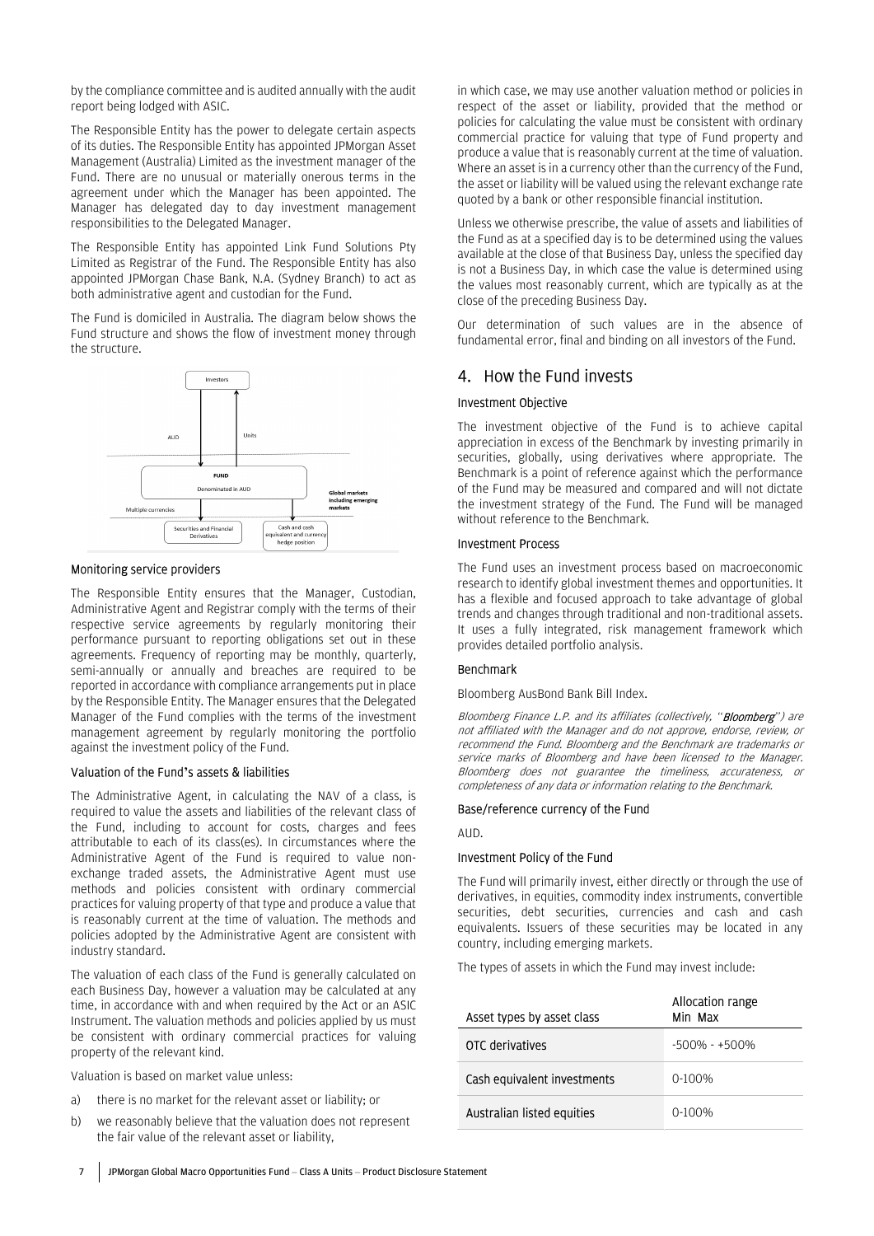by the compliance committee and is audited annually with the audit report being lodged with ASIC.

The Responsible Entity has the power to delegate certain aspects of its duties. The Responsible Entity has appointed JPMorgan Asset Management (Australia) Limited as the investment manager of the Fund. There are no unusual or materially onerous terms in the agreement under which the Manager has been appointed. The Manager has delegated day to day investment management responsibilities to the Delegated Manager.

The Responsible Entity has appointed Link Fund Solutions Pty Limited as Registrar of the Fund. The Responsible Entity has also appointed JPMorgan Chase Bank, N.A. (Sydney Branch) to act as both administrative agent and custodian for the Fund.

The Fund is domiciled in Australia. The diagram below shows the Fund structure and shows the flow of investment money through the structure.



#### Monitoring service providers

The Responsible Entity ensures that the Manager, Custodian, Administrative Agent and Registrar comply with the terms of their respective service agreements by regularly monitoring their performance pursuant to reporting obligations set out in these agreements. Frequency of reporting may be monthly, quarterly, semi-annually or annually and breaches are required to be reported in accordance with compliance arrangements put in place by the Responsible Entity. The Manager ensures that the Delegated Manager of the Fund complies with the terms of the investment management agreement by regularly monitoring the portfolio against the investment policy of the Fund.

#### Valuation of the Fund's assets & liabilities

The Administrative Agent, in calculating the NAV of a class, is required to value the assets and liabilities of the relevant class of the Fund, including to account for costs, charges and fees attributable to each of its class(es). In circumstances where the Administrative Agent of the Fund is required to value nonexchange traded assets, the Administrative Agent must use methods and policies consistent with ordinary commercial practices for valuing property of that type and produce a value that is reasonably current at the time of valuation. The methods and policies adopted by the Administrative Agent are consistent with industry standard.

The valuation of each class of the Fund is generally calculated on each Business Day, however a valuation may be calculated at any time, in accordance with and when required by the Act or an ASIC Instrument. The valuation methods and policies applied by us must be consistent with ordinary commercial practices for valuing property of the relevant kind.

Valuation is based on market value unless:

- a) there is no market for the relevant asset or liability; or
- b) we reasonably believe that the valuation does not represent the fair value of the relevant asset or liability,

in which case, we may use another valuation method or policies in respect of the asset or liability, provided that the method or policies for calculating the value must be consistent with ordinary commercial practice for valuing that type of Fund property and produce a value that is reasonably current at the time of valuation. Where an asset is in a currency other than the currency of the Fund, the asset or liability will be valued using the relevant exchange rate quoted by a bank or other responsible financial institution.

Unless we otherwise prescribe, the value of assets and liabilities of the Fund as at a specified day is to be determined using the values available at the close of that Business Day, unless the specified day is not a Business Day, in which case the value is determined using the values most reasonably current, which are typically as at the close of the preceding Business Day.

Our determination of such values are in the absence of fundamental error, final and binding on all investors of the Fund.

### 4. How the Fund invests

#### Investment Objective

The investment objective of the Fund is to achieve capital appreciation in excess of the Benchmark by investing primarily in securities, globally, using derivatives where appropriate. The Benchmark is a point of reference against which the performance of the Fund may be measured and compared and will not dictate the investment strategy of the Fund. The Fund will be managed without reference to the Benchmark.

#### Investment Process

The Fund uses an investment process based on macroeconomic research to identify global investment themes and opportunities. It has a flexible and focused approach to take advantage of global trends and changes through traditional and non-traditional assets. It uses a fully integrated, risk management framework which provides detailed portfolio analysis.

#### Benchmark

Bloomberg AusBond Bank Bill Index.

Bloomberg Finance L.P. and its affiliates (collectively, "**Bloomberg**") are not affiliated with the Manager and do not approve, endorse, review, or recommend the Fund. Bloomberg and the Benchmark are trademarks or service marks of Bloomberg and have been licensed to the Manager. Bloomberg does not guarantee the timeliness, accurateness, or completeness of any data or information relating to the Benchmark.

#### Base/reference currency of the Fund

#### AUD.

#### Investment Policy of the Fund

The Fund will primarily invest, either directly or through the use of derivatives, in equities, commodity index instruments, convertible securities, debt securities, currencies and cash and cash equivalents. Issuers of these securities may be located in any country, including emerging markets.

The types of assets in which the Fund may invest include:

| Asset types by asset class  | Allocation range<br>Min Max |
|-----------------------------|-----------------------------|
| OTC derivatives             | $-500\% - +500\%$           |
| Cash equivalent investments | 0-100%                      |
| Australian listed equities  | 0-100%                      |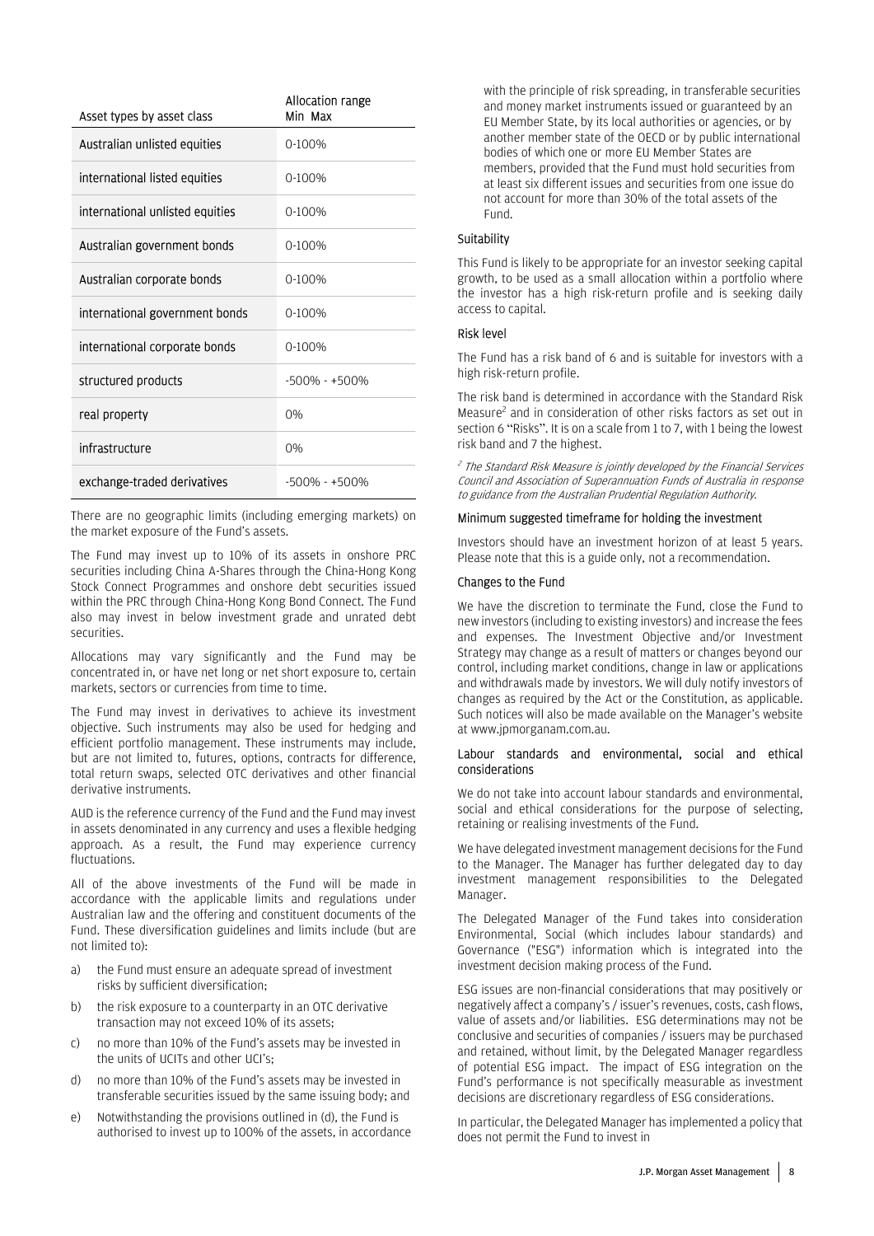| Asset types by asset class      | Allocation range<br>Min Max |
|---------------------------------|-----------------------------|
| Australian unlisted equities    | $0-100%$                    |
| international listed equities   | $0-100%$                    |
| international unlisted equities | $0-100%$                    |
| Australian government bonds     | $0-100%$                    |
| Australian corporate bonds      | $0-100%$                    |
| international government bonds  | $0-100%$                    |
| international corporate bonds   | $0-100%$                    |
| structured products             | $-500\% - +500\%$           |
| real property                   | 0%                          |
| infrastructure                  | 0%                          |
| exchange-traded derivatives     | $-500\% - +500\%$           |

There are no geographic limits (including emerging markets) on the market exposure of the Fund's assets.

The Fund may invest up to 10% of its assets in onshore PRC securities including China A-Shares through the China-Hong Kong Stock Connect Programmes and onshore debt securities issued within the PRC through China-Hong Kong Bond Connect. The Fund also may invest in below investment grade and unrated debt securities.

Allocations may vary significantly and the Fund may be concentrated in, or have net long or net short exposure to, certain markets, sectors or currencies from time to time.

The Fund may invest in derivatives to achieve its investment objective. Such instruments may also be used for hedging and efficient portfolio management. These instruments may include, but are not limited to, futures, options, contracts for difference, total return swaps, selected OTC derivatives and other financial derivative instruments.

AUD is the reference currency of the Fund and the Fund may invest in assets denominated in any currency and uses a flexible hedging approach. As a result, the Fund may experience currency fluctuations.

All of the above investments of the Fund will be made in accordance with the applicable limits and regulations under Australian law and the offering and constituent documents of the Fund. These diversification guidelines and limits include (but are not limited to):

- a) the Fund must ensure an adequate spread of investment risks by sufficient diversification;
- b) the risk exposure to a counterparty in an OTC derivative transaction may not exceed 10% of its assets;
- c) no more than 10% of the Fund's assets may be invested in the units of UCITs and other UCI's;
- d) no more than 10% of the Fund's assets may be invested in transferable securities issued by the same issuing body; and
- e) Notwithstanding the provisions outlined in (d), the Fund is authorised to invest up to 100% of the assets, in accordance

with the principle of risk spreading, in transferable securities and money market instruments issued or guaranteed by an EU Member State, by its local authorities or agencies, or by another member state of the OECD or by public international bodies of which one or more EU Member States are members, provided that the Fund must hold securities from at least six different issues and securities from one issue do not account for more than 30% of the total assets of the Fund.

#### **Suitability**

This Fund is likely to be appropriate for an investor seeking capital growth, to be used as a small allocation within a portfolio where the investor has a high risk-return profile and is seeking daily access to capital.

#### Risk level

The Fund has a risk band of 6 and is suitable for investors with a high risk-return profile.

The risk band is determined in accordance with the Standard Risk Measure<sup>2</sup> and in consideration of other risks factors as set out in section 6 "Risks". It is on a scale from 1 to 7, with 1 being the lowest risk band and 7 the highest.

<sup>2</sup> The Standard Risk Measure is jointly developed by the Financial Services Council and Association of Superannuation Funds of Australia in response to guidance from the Australian Prudential Regulation Authority.

#### Minimum suggested timeframe for holding the investment

Investors should have an investment horizon of at least 5 years. Please note that this is a guide only, not a recommendation.

#### Changes to the Fund

We have the discretion to terminate the Fund, close the Fund to new investors (including to existing investors) and increase the fees and expenses. The Investment Objective and/or Investment Strategy may change as a result of matters or changes beyond our control, including market conditions, change in law or applications and withdrawals made by investors. We will duly notify investors of changes as required by the Act or the Constitution, as applicable. Such notices will also be made available on the Manager's website at www.jpmorganam.com.au.

#### Labour standards and environmental, social and ethical considerations

We do not take into account labour standards and environmental, social and ethical considerations for the purpose of selecting, retaining or realising investments of the Fund.

We have delegated investment management decisions for the Fund to the Manager. The Manager has further delegated day to day investment management responsibilities to the Delegated Manager.

The Delegated Manager of the Fund takes into consideration Environmental, Social (which includes labour standards) and Governance ("ESG") information which is integrated into the investment decision making process of the Fund.

ESG issues are non-financial considerations that may positively or negatively affect a company's / issuer's revenues, costs, cash flows, value of assets and/or liabilities. ESG determinations may not be conclusive and securities of companies / issuers may be purchased and retained, without limit, by the Delegated Manager regardless of potential ESG impact. The impact of ESG integration on the Fund's performance is not specifically measurable as investment decisions are discretionary regardless of ESG considerations.

In particular, the Delegated Manager has implemented a policy that does not permit the Fund to invest in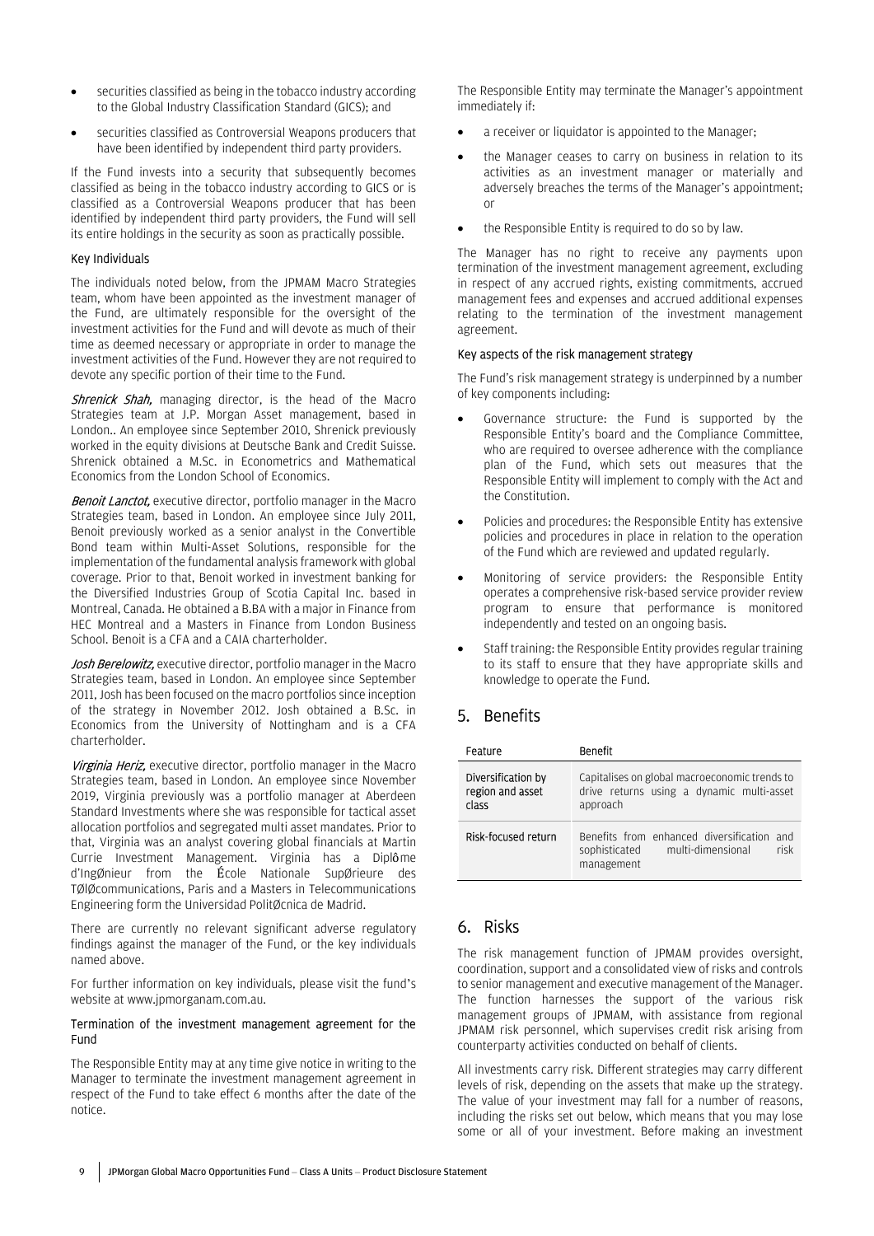- securities classified as being in the tobacco industry according to the Global Industry Classification Standard (GICS); and
- securities classified as Controversial Weapons producers that have been identified by independent third party providers.

If the Fund invests into a security that subsequently becomes classified as being in the tobacco industry according to GICS or is classified as a Controversial Weapons producer that has been identified by independent third party providers, the Fund will sell its entire holdings in the security as soon as practically possible.

#### Key Individuals

The individuals noted below, from the JPMAM Macro Strategies team, whom have been appointed as the investment manager of the Fund, are ultimately responsible for the oversight of the investment activities for the Fund and will devote as much of their time as deemed necessary or appropriate in order to manage the investment activities of the Fund. However they are not required to devote any specific portion of their time to the Fund.

**Shrenick Shah,** managing director, is the head of the Macro Strategies team at J.P. Morgan Asset management, based in London.. An employee since September 2010, Shrenick previously worked in the equity divisions at Deutsche Bank and Credit Suisse. Shrenick obtained a M.Sc. in Econometrics and Mathematical Economics from the London School of Economics.

**Benoit Lanctot,** executive director, portfolio manager in the Macro Strategies team, based in London. An employee since July 2011, Benoit previously worked as a senior analyst in the Convertible Bond team within Multi-Asset Solutions, responsible for the implementation of the fundamental analysis framework with global coverage. Prior to that, Benoit worked in investment banking for the Diversified Industries Group of Scotia Capital Inc. based in Montreal, Canada. He obtained a B.BA with a major in Finance from HEC Montreal and a Masters in Finance from London Business School. Benoit is a CFA and a CAIA charterholder.

Josh Berelowitz, executive director, portfolio manager in the Macro Strategies team, based in London. An employee since September 2011, Josh has been focused on the macro portfolios since inception of the strategy in November 2012. Josh obtained a B.Sc. in Economics from the University of Nottingham and is a CFA charterholder.

Virginia Heriz, executive director, portfolio manager in the Macro Strategies team, based in London. An employee since November 2019, Virginia previously was a portfolio manager at Aberdeen Standard Investments where she was responsible for tactical asset allocation portfolios and segregated multi asset mandates. Prior to that, Virginia was an analyst covering global financials at Martin Currie Investment Management. Virginia has a Diplôme d'IngØnieur from the École Nationale SupØrieure des TØlØcommunications, Paris and a Masters in Telecommunications Engineering form the Universidad PolitØcnica de Madrid.

There are currently no relevant significant adverse regulatory findings against the manager of the Fund, or the key individuals named above.

For further information on key individuals, please visit the fund's website at www.jpmorganam.com.au.

#### Termination of the investment management agreement for the Fund

The Responsible Entity may at any time give notice in writing to the Manager to terminate the investment management agreement in respect of the Fund to take effect 6 months after the date of the notice.

The Responsible Entity may terminate the Manager's appointment immediately if:

- a receiver or liquidator is appointed to the Manager;
- the Manager ceases to carry on business in relation to its activities as an investment manager or materially and adversely breaches the terms of the Manager's appointment; or
- the Responsible Entity is required to do so by law.

The Manager has no right to receive any payments upon termination of the investment management agreement, excluding in respect of any accrued rights, existing commitments, accrued management fees and expenses and accrued additional expenses relating to the termination of the investment management agreement.

#### Key aspects of the risk management strategy

The Fund's risk management strategy is underpinned by a number of key components including:

- Governance structure: the Fund is supported by the Responsible Entity's board and the Compliance Committee, who are required to oversee adherence with the compliance plan of the Fund, which sets out measures that the Responsible Entity will implement to comply with the Act and the Constitution.
- Policies and procedures: the Responsible Entity has extensive policies and procedures in place in relation to the operation of the Fund which are reviewed and updated regularly.
- Monitoring of service providers: the Responsible Entity operates a comprehensive risk-based service provider review program to ensure that performance is monitored independently and tested on an ongoing basis.
- Staff training: the Responsible Entity provides regular training to its staff to ensure that they have appropriate skills and knowledge to operate the Fund.

### 5. Benefits

| Feature                                         | Benefit                                                                                                   |
|-------------------------------------------------|-----------------------------------------------------------------------------------------------------------|
| Diversification by<br>region and asset<br>class | Capitalises on global macroeconomic trends to<br>drive returns using a dynamic multi-asset<br>approach    |
| Risk-focused return                             | Benefits from enhanced diversification<br>and<br>risk<br>multi-dimensional<br>sophisticated<br>management |

### 6. Risks

The risk management function of JPMAM provides oversight, coordination, support and a consolidated view of risks and controls to senior management and executive management of the Manager. The function harnesses the support of the various risk management groups of JPMAM, with assistance from regional JPMAM risk personnel, which supervises credit risk arising from counterparty activities conducted on behalf of clients.

All investments carry risk. Different strategies may carry different levels of risk, depending on the assets that make up the strategy. The value of your investment may fall for a number of reasons, including the risks set out below, which means that you may lose some or all of your investment. Before making an investment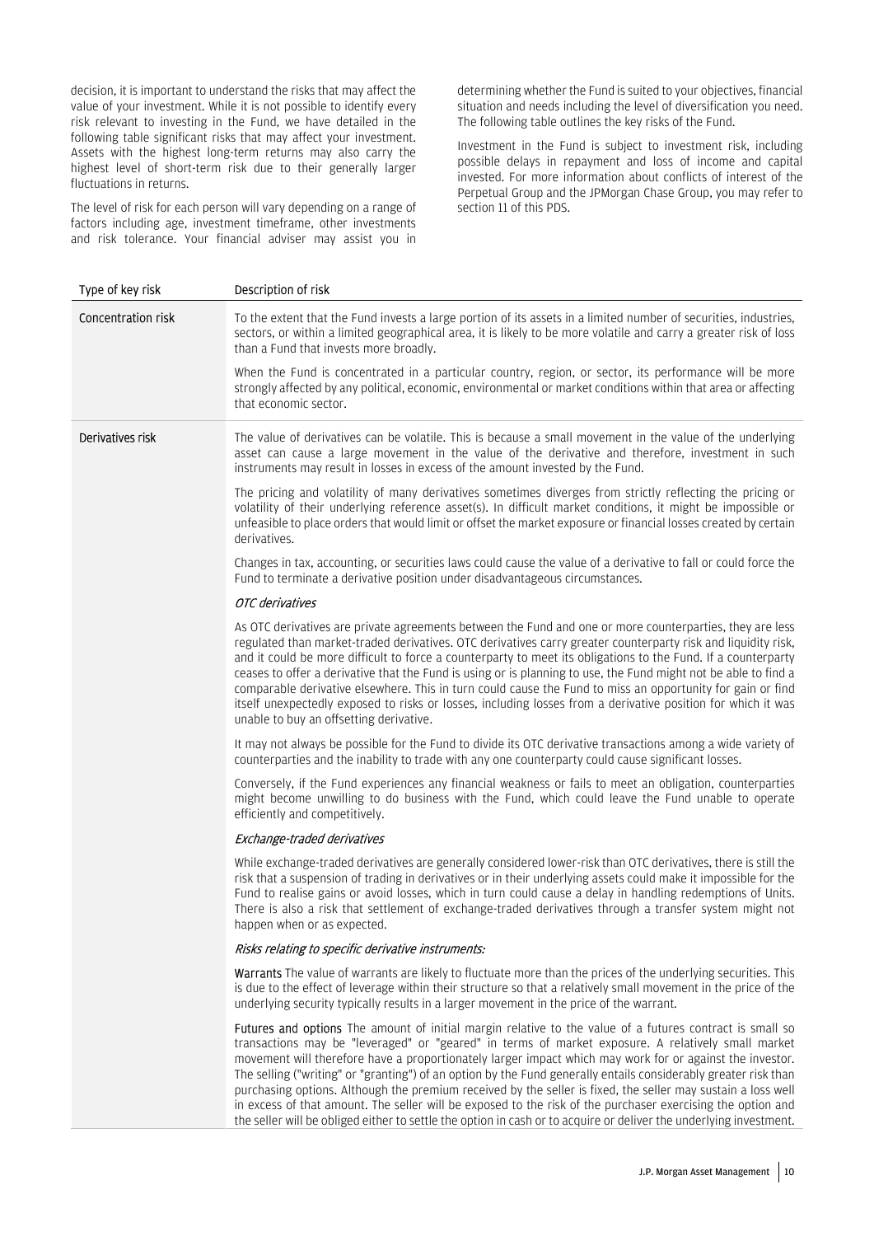decision, it is important to understand the risks that may affect the value of your investment. While it is not possible to identify every risk relevant to investing in the Fund, we have detailed in the following table significant risks that may affect your investment. Assets with the highest long-term returns may also carry the highest level of short-term risk due to their generally larger fluctuations in returns.

The level of risk for each person will vary depending on a range of factors including age, investment timeframe, other investments and risk tolerance. Your financial adviser may assist you in determining whether the Fund is suited to your objectives, financial situation and needs including the level of diversification you need. The following table outlines the key risks of the Fund.

Investment in the Fund is subject to investment risk, including possible delays in repayment and loss of income and capital invested. For more information about conflicts of interest of the Perpetual Group and the JPMorgan Chase Group, you may refer to section 11 of this PDS.

| Type of key risk   | Description of risk                                                                                                                                                                                                                                                                                                                                                                                                                                                                                                                                                                                                                                                                                                                                                                                |
|--------------------|----------------------------------------------------------------------------------------------------------------------------------------------------------------------------------------------------------------------------------------------------------------------------------------------------------------------------------------------------------------------------------------------------------------------------------------------------------------------------------------------------------------------------------------------------------------------------------------------------------------------------------------------------------------------------------------------------------------------------------------------------------------------------------------------------|
| Concentration risk | To the extent that the Fund invests a large portion of its assets in a limited number of securities, industries,<br>sectors, or within a limited geographical area, it is likely to be more volatile and carry a greater risk of loss<br>than a Fund that invests more broadly.                                                                                                                                                                                                                                                                                                                                                                                                                                                                                                                    |
|                    | When the Fund is concentrated in a particular country, region, or sector, its performance will be more<br>strongly affected by any political, economic, environmental or market conditions within that area or affecting<br>that economic sector.                                                                                                                                                                                                                                                                                                                                                                                                                                                                                                                                                  |
| Derivatives risk   | The value of derivatives can be volatile. This is because a small movement in the value of the underlying<br>asset can cause a large movement in the value of the derivative and therefore, investment in such<br>instruments may result in losses in excess of the amount invested by the Fund.                                                                                                                                                                                                                                                                                                                                                                                                                                                                                                   |
|                    | The pricing and volatility of many derivatives sometimes diverges from strictly reflecting the pricing or<br>volatility of their underlying reference asset(s). In difficult market conditions, it might be impossible or<br>unfeasible to place orders that would limit or offset the market exposure or financial losses created by certain<br>derivatives.                                                                                                                                                                                                                                                                                                                                                                                                                                      |
|                    | Changes in tax, accounting, or securities laws could cause the value of a derivative to fall or could force the<br>Fund to terminate a derivative position under disadvantageous circumstances.                                                                                                                                                                                                                                                                                                                                                                                                                                                                                                                                                                                                    |
|                    | OTC derivatives                                                                                                                                                                                                                                                                                                                                                                                                                                                                                                                                                                                                                                                                                                                                                                                    |
|                    | As OTC derivatives are private agreements between the Fund and one or more counterparties, they are less<br>regulated than market-traded derivatives. OTC derivatives carry greater counterparty risk and liquidity risk,<br>and it could be more difficult to force a counterparty to meet its obligations to the Fund. If a counterparty<br>ceases to offer a derivative that the Fund is using or is planning to use, the Fund might not be able to find a<br>comparable derivative elsewhere. This in turn could cause the Fund to miss an opportunity for gain or find<br>itself unexpectedly exposed to risks or losses, including losses from a derivative position for which it was<br>unable to buy an offsetting derivative.                                                             |
|                    | It may not always be possible for the Fund to divide its OTC derivative transactions among a wide variety of<br>counterparties and the inability to trade with any one counterparty could cause significant losses.                                                                                                                                                                                                                                                                                                                                                                                                                                                                                                                                                                                |
|                    | Conversely, if the Fund experiences any financial weakness or fails to meet an obligation, counterparties<br>might become unwilling to do business with the Fund, which could leave the Fund unable to operate<br>efficiently and competitively.                                                                                                                                                                                                                                                                                                                                                                                                                                                                                                                                                   |
|                    | Exchange-traded derivatives                                                                                                                                                                                                                                                                                                                                                                                                                                                                                                                                                                                                                                                                                                                                                                        |
|                    | While exchange-traded derivatives are generally considered lower-risk than OTC derivatives, there is still the<br>risk that a suspension of trading in derivatives or in their underlying assets could make it impossible for the<br>Fund to realise gains or avoid losses, which in turn could cause a delay in handling redemptions of Units.<br>There is also a risk that settlement of exchange-traded derivatives through a transfer system might not<br>happen when or as expected.                                                                                                                                                                                                                                                                                                          |
|                    | Risks relating to specific derivative instruments:                                                                                                                                                                                                                                                                                                                                                                                                                                                                                                                                                                                                                                                                                                                                                 |
|                    | <b>Warrants</b> The value of warrants are likely to fluctuate more than the prices of the underlying securities. This<br>is due to the effect of leverage within their structure so that a relatively small movement in the price of the<br>underlying security typically results in a larger movement in the price of the warrant.                                                                                                                                                                                                                                                                                                                                                                                                                                                                |
|                    | Futures and options The amount of initial margin relative to the value of a futures contract is small so<br>transactions may be "leveraged" or "geared" in terms of market exposure. A relatively small market<br>movement will therefore have a proportionately larger impact which may work for or against the investor.<br>The selling ("writing" or "granting") of an option by the Fund generally entails considerably greater risk than<br>purchasing options. Although the premium received by the seller is fixed, the seller may sustain a loss well<br>in excess of that amount. The seller will be exposed to the risk of the purchaser exercising the option and<br>the seller will be obliged either to settle the option in cash or to acquire or deliver the underlying investment. |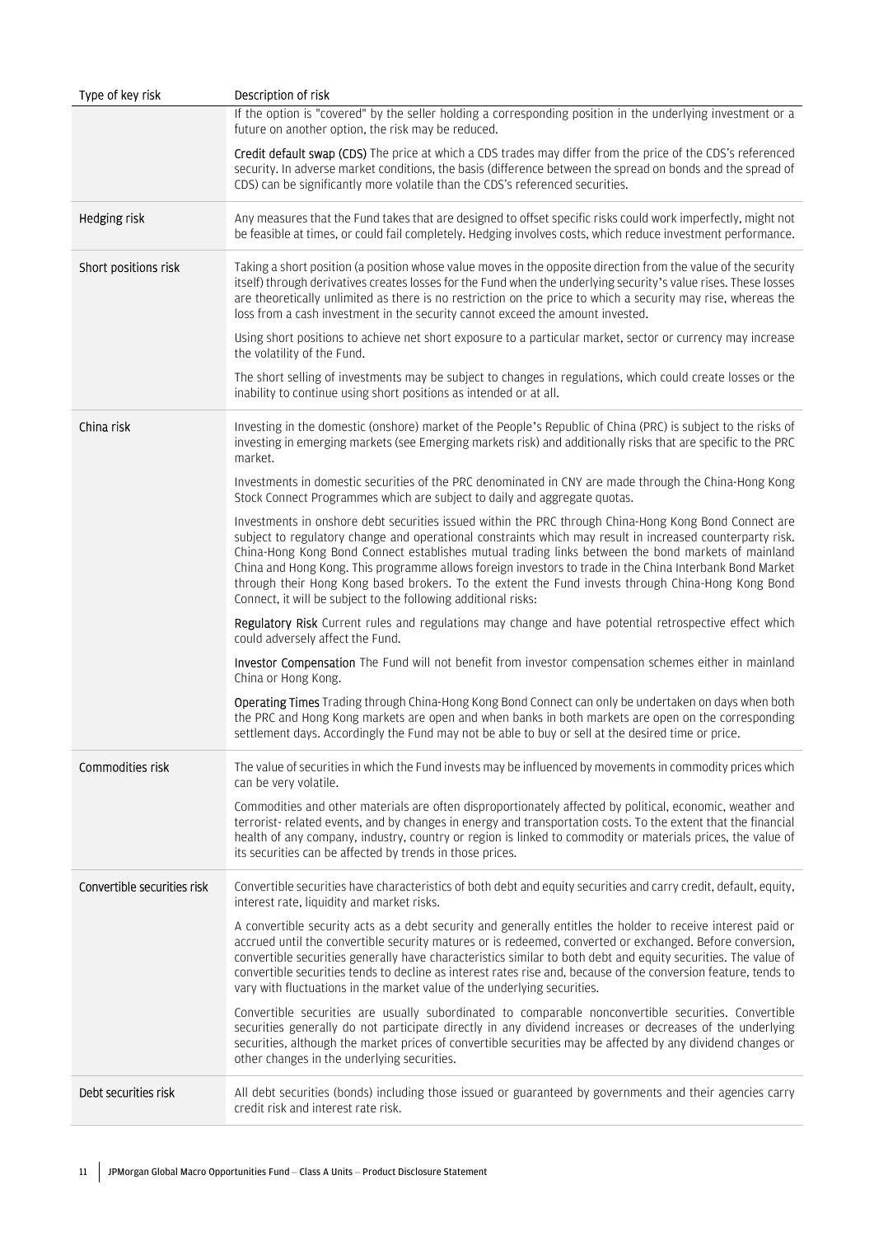| Type of key risk            | Description of risk                                                                                                                                                                                                                                                                                                                                                                                                                                                                                                                                                                                          |
|-----------------------------|--------------------------------------------------------------------------------------------------------------------------------------------------------------------------------------------------------------------------------------------------------------------------------------------------------------------------------------------------------------------------------------------------------------------------------------------------------------------------------------------------------------------------------------------------------------------------------------------------------------|
|                             | If the option is "covered" by the seller holding a corresponding position in the underlying investment or a<br>future on another option, the risk may be reduced.                                                                                                                                                                                                                                                                                                                                                                                                                                            |
|                             | Credit default swap (CDS) The price at which a CDS trades may differ from the price of the CDS's referenced<br>security. In adverse market conditions, the basis (difference between the spread on bonds and the spread of<br>CDS) can be significantly more volatile than the CDS's referenced securities.                                                                                                                                                                                                                                                                                                  |
| Hedging risk                | Any measures that the Fund takes that are designed to offset specific risks could work imperfectly, might not<br>be feasible at times, or could fail completely. Hedging involves costs, which reduce investment performance.                                                                                                                                                                                                                                                                                                                                                                                |
| Short positions risk        | Taking a short position (a position whose value moves in the opposite direction from the value of the security<br>itself) through derivatives creates losses for the Fund when the underlying security's value rises. These losses<br>are theoretically unlimited as there is no restriction on the price to which a security may rise, whereas the<br>loss from a cash investment in the security cannot exceed the amount invested.                                                                                                                                                                        |
|                             | Using short positions to achieve net short exposure to a particular market, sector or currency may increase<br>the volatility of the Fund.                                                                                                                                                                                                                                                                                                                                                                                                                                                                   |
|                             | The short selling of investments may be subject to changes in regulations, which could create losses or the<br>inability to continue using short positions as intended or at all.                                                                                                                                                                                                                                                                                                                                                                                                                            |
| China risk                  | Investing in the domestic (onshore) market of the People's Republic of China (PRC) is subject to the risks of<br>investing in emerging markets (see Emerging markets risk) and additionally risks that are specific to the PRC<br>market.                                                                                                                                                                                                                                                                                                                                                                    |
|                             | Investments in domestic securities of the PRC denominated in CNY are made through the China-Hong Kong<br>Stock Connect Programmes which are subject to daily and aggregate quotas.                                                                                                                                                                                                                                                                                                                                                                                                                           |
|                             | Investments in onshore debt securities issued within the PRC through China-Hong Kong Bond Connect are<br>subject to regulatory change and operational constraints which may result in increased counterparty risk.<br>China-Hong Kong Bond Connect establishes mutual trading links between the bond markets of mainland<br>China and Hong Kong. This programme allows foreign investors to trade in the China Interbank Bond Market<br>through their Hong Kong based brokers. To the extent the Fund invests through China-Hong Kong Bond<br>Connect, it will be subject to the following additional risks: |
|                             | Regulatory Risk Current rules and regulations may change and have potential retrospective effect which<br>could adversely affect the Fund.                                                                                                                                                                                                                                                                                                                                                                                                                                                                   |
|                             | Investor Compensation The Fund will not benefit from investor compensation schemes either in mainland<br>China or Hong Kong.                                                                                                                                                                                                                                                                                                                                                                                                                                                                                 |
|                             | Operating Times Trading through China-Hong Kong Bond Connect can only be undertaken on days when both<br>the PRC and Hong Kong markets are open and when banks in both markets are open on the corresponding<br>settlement days. Accordingly the Fund may not be able to buy or sell at the desired time or price.                                                                                                                                                                                                                                                                                           |
| Commodities risk            | The value of securities in which the Fund invests may be influenced by movements in commodity prices which<br>can be very volatile.                                                                                                                                                                                                                                                                                                                                                                                                                                                                          |
|                             | Commodities and other materials are often disproportionately affected by political, economic, weather and<br>terrorist- related events, and by changes in energy and transportation costs. To the extent that the financial<br>health of any company, industry, country or region is linked to commodity or materials prices, the value of<br>its securities can be affected by trends in those prices.                                                                                                                                                                                                      |
| Convertible securities risk | Convertible securities have characteristics of both debt and equity securities and carry credit, default, equity,<br>interest rate, liquidity and market risks.                                                                                                                                                                                                                                                                                                                                                                                                                                              |
|                             | A convertible security acts as a debt security and generally entitles the holder to receive interest paid or<br>accrued until the convertible security matures or is redeemed, converted or exchanged. Before conversion,<br>convertible securities generally have characteristics similar to both debt and equity securities. The value of<br>convertible securities tends to decline as interest rates rise and, because of the conversion feature, tends to<br>vary with fluctuations in the market value of the underlying securities.                                                                   |
|                             | Convertible securities are usually subordinated to comparable nonconvertible securities. Convertible<br>securities generally do not participate directly in any dividend increases or decreases of the underlying<br>securities, although the market prices of convertible securities may be affected by any dividend changes or<br>other changes in the underlying securities.                                                                                                                                                                                                                              |
| Debt securities risk        | All debt securities (bonds) including those issued or guaranteed by governments and their agencies carry<br>credit risk and interest rate risk.                                                                                                                                                                                                                                                                                                                                                                                                                                                              |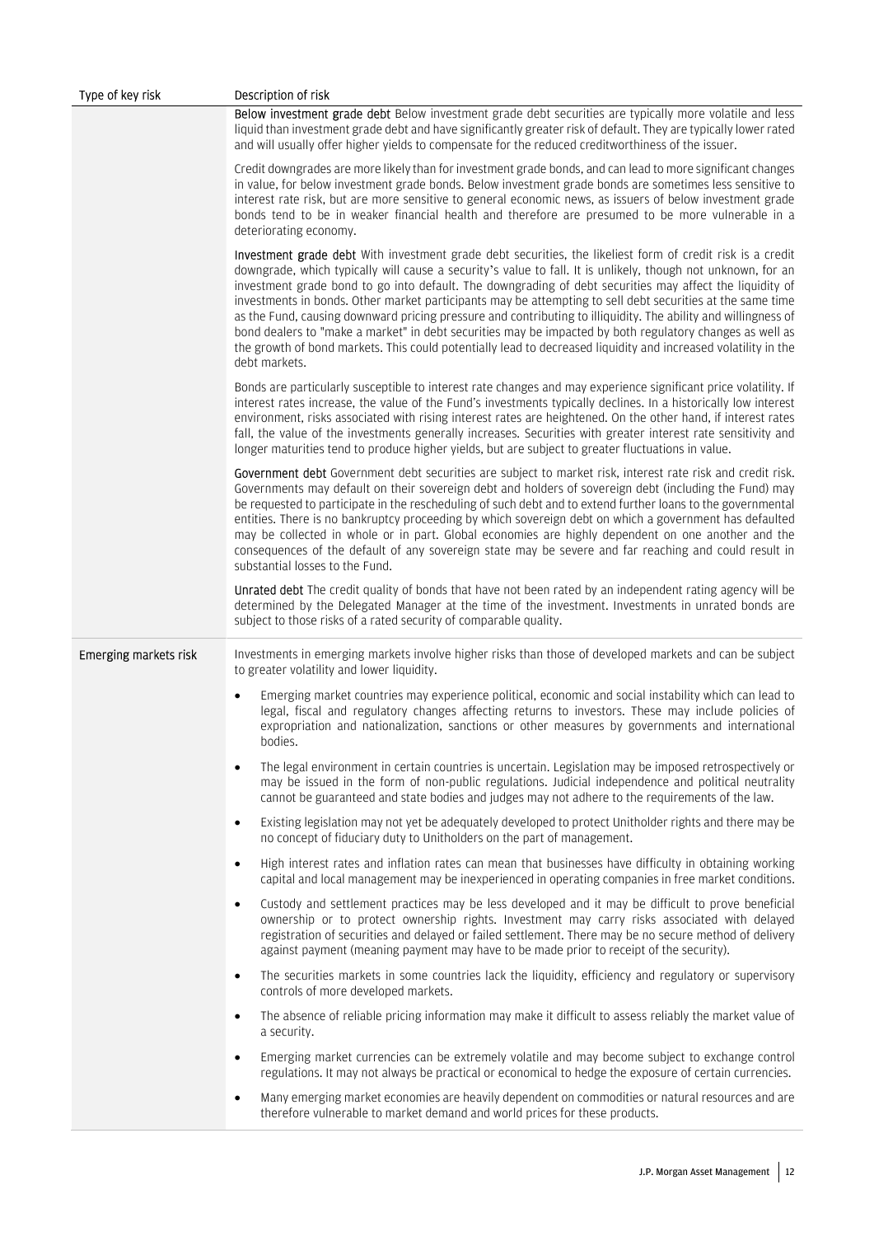| Type of key risk      | Description of risk                                                                                                                                                                                                                                                                                                                                                                                                                                                                                                                                                                                                                                                                                                                                                                                                   |
|-----------------------|-----------------------------------------------------------------------------------------------------------------------------------------------------------------------------------------------------------------------------------------------------------------------------------------------------------------------------------------------------------------------------------------------------------------------------------------------------------------------------------------------------------------------------------------------------------------------------------------------------------------------------------------------------------------------------------------------------------------------------------------------------------------------------------------------------------------------|
|                       | Below investment grade debt Below investment grade debt securities are typically more volatile and less<br>liquid than investment grade debt and have significantly greater risk of default. They are typically lower rated<br>and will usually offer higher yields to compensate for the reduced creditworthiness of the issuer.                                                                                                                                                                                                                                                                                                                                                                                                                                                                                     |
|                       | Credit downgrades are more likely than for investment grade bonds, and can lead to more significant changes<br>in value, for below investment grade bonds. Below investment grade bonds are sometimes less sensitive to<br>interest rate risk, but are more sensitive to general economic news, as issuers of below investment grade<br>bonds tend to be in weaker financial health and therefore are presumed to be more vulnerable in a<br>deteriorating economy.                                                                                                                                                                                                                                                                                                                                                   |
|                       | Investment grade debt With investment grade debt securities, the likeliest form of credit risk is a credit<br>downgrade, which typically will cause a security's value to fall. It is unlikely, though not unknown, for an<br>investment grade bond to go into default. The downgrading of debt securities may affect the liquidity of<br>investments in bonds. Other market participants may be attempting to sell debt securities at the same time<br>as the Fund, causing downward pricing pressure and contributing to illiquidity. The ability and willingness of<br>bond dealers to "make a market" in debt securities may be impacted by both regulatory changes as well as<br>the growth of bond markets. This could potentially lead to decreased liquidity and increased volatility in the<br>debt markets. |
|                       | Bonds are particularly susceptible to interest rate changes and may experience significant price volatility. If<br>interest rates increase, the value of the Fund's investments typically declines. In a historically low interest<br>environment, risks associated with rising interest rates are heightened. On the other hand, if interest rates<br>fall, the value of the investments generally increases. Securities with greater interest rate sensitivity and<br>longer maturities tend to produce higher yields, but are subject to greater fluctuations in value.                                                                                                                                                                                                                                            |
|                       | Government debt Government debt securities are subject to market risk, interest rate risk and credit risk.<br>Governments may default on their sovereign debt and holders of sovereign debt (including the Fund) may<br>be requested to participate in the rescheduling of such debt and to extend further loans to the governmental<br>entities. There is no bankruptcy proceeding by which sovereign debt on which a government has defaulted<br>may be collected in whole or in part. Global economies are highly dependent on one another and the<br>consequences of the default of any sovereign state may be severe and far reaching and could result in<br>substantial losses to the Fund.                                                                                                                     |
|                       | Unrated debt The credit quality of bonds that have not been rated by an independent rating agency will be<br>determined by the Delegated Manager at the time of the investment. Investments in unrated bonds are<br>subject to those risks of a rated security of comparable quality.                                                                                                                                                                                                                                                                                                                                                                                                                                                                                                                                 |
| Emerging markets risk | Investments in emerging markets involve higher risks than those of developed markets and can be subject<br>to greater volatility and lower liquidity.                                                                                                                                                                                                                                                                                                                                                                                                                                                                                                                                                                                                                                                                 |
|                       | Emerging market countries may experience political, economic and social instability which can lead to<br>legal, fiscal and regulatory changes affecting returns to investors. These may include policies of<br>expropriation and nationalization, sanctions or other measures by governments and international<br>bodies.                                                                                                                                                                                                                                                                                                                                                                                                                                                                                             |
|                       | The legal environment in certain countries is uncertain. Legislation may be imposed retrospectively or<br>$\bullet$<br>may be issued in the form of non-public regulations. Judicial independence and political neutrality<br>cannot be guaranteed and state bodies and judges may not adhere to the requirements of the law.                                                                                                                                                                                                                                                                                                                                                                                                                                                                                         |
|                       | Existing legislation may not yet be adequately developed to protect Unitholder rights and there may be<br>$\bullet$<br>no concept of fiduciary duty to Unitholders on the part of management.                                                                                                                                                                                                                                                                                                                                                                                                                                                                                                                                                                                                                         |
|                       | High interest rates and inflation rates can mean that businesses have difficulty in obtaining working<br>$\bullet$<br>capital and local management may be inexperienced in operating companies in free market conditions.                                                                                                                                                                                                                                                                                                                                                                                                                                                                                                                                                                                             |
|                       | Custody and settlement practices may be less developed and it may be difficult to prove beneficial<br>$\bullet$<br>ownership or to protect ownership rights. Investment may carry risks associated with delayed<br>registration of securities and delayed or failed settlement. There may be no secure method of delivery<br>against payment (meaning payment may have to be made prior to receipt of the security).                                                                                                                                                                                                                                                                                                                                                                                                  |
|                       | The securities markets in some countries lack the liquidity, efficiency and regulatory or supervisory<br>$\bullet$<br>controls of more developed markets.                                                                                                                                                                                                                                                                                                                                                                                                                                                                                                                                                                                                                                                             |
|                       | The absence of reliable pricing information may make it difficult to assess reliably the market value of<br>$\bullet$<br>a security.                                                                                                                                                                                                                                                                                                                                                                                                                                                                                                                                                                                                                                                                                  |
|                       | Emerging market currencies can be extremely volatile and may become subject to exchange control<br>$\bullet$<br>regulations. It may not always be practical or economical to hedge the exposure of certain currencies.                                                                                                                                                                                                                                                                                                                                                                                                                                                                                                                                                                                                |
|                       | Many emerging market economies are heavily dependent on commodities or natural resources and are<br>$\bullet$<br>therefore vulnerable to market demand and world prices for these products.                                                                                                                                                                                                                                                                                                                                                                                                                                                                                                                                                                                                                           |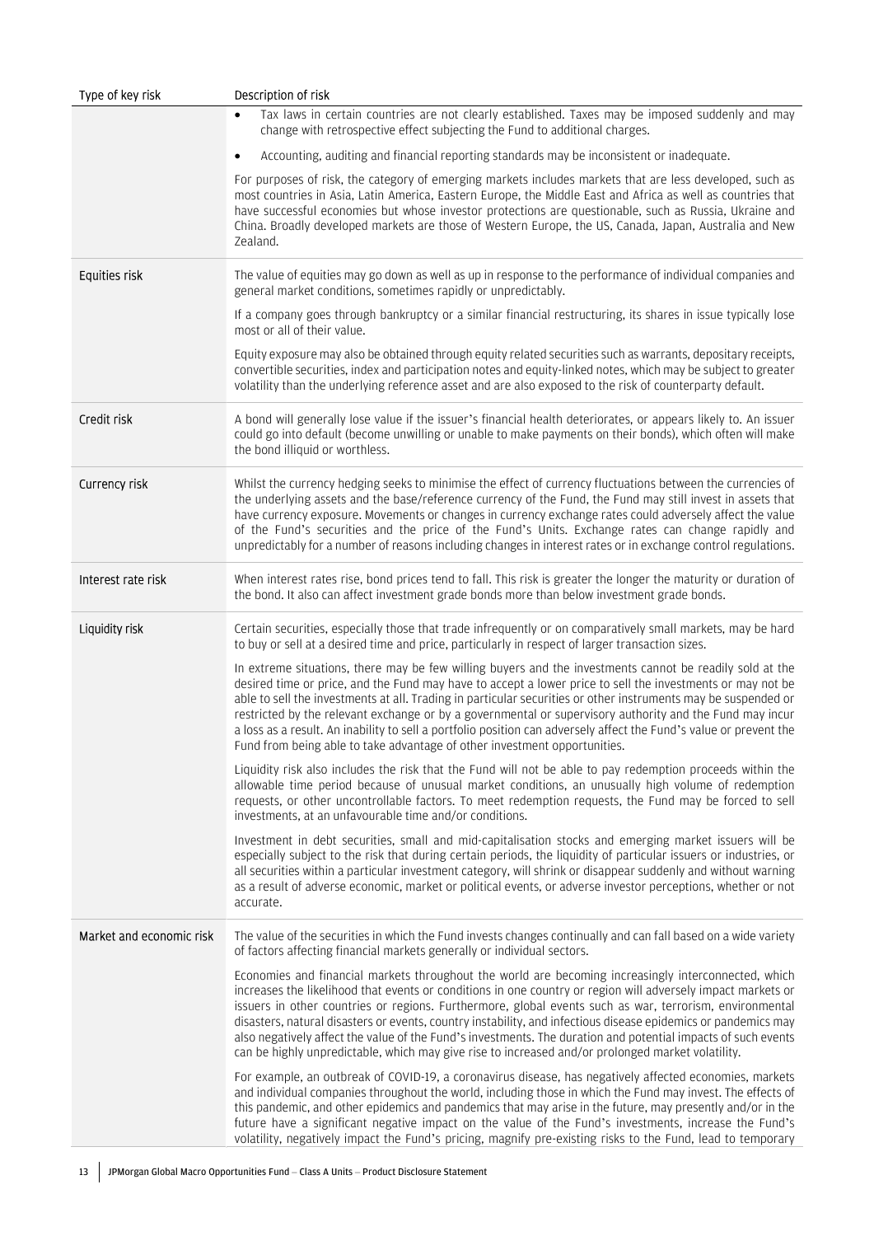| Type of key risk         | Description of risk                                                                                                                                                                                                                                                                                                                                                                                                                                                                                                                                                                                                                                                     |
|--------------------------|-------------------------------------------------------------------------------------------------------------------------------------------------------------------------------------------------------------------------------------------------------------------------------------------------------------------------------------------------------------------------------------------------------------------------------------------------------------------------------------------------------------------------------------------------------------------------------------------------------------------------------------------------------------------------|
|                          | Tax laws in certain countries are not clearly established. Taxes may be imposed suddenly and may<br>change with retrospective effect subjecting the Fund to additional charges.                                                                                                                                                                                                                                                                                                                                                                                                                                                                                         |
|                          | Accounting, auditing and financial reporting standards may be inconsistent or inadequate.<br>$\bullet$                                                                                                                                                                                                                                                                                                                                                                                                                                                                                                                                                                  |
|                          | For purposes of risk, the category of emerging markets includes markets that are less developed, such as<br>most countries in Asia, Latin America, Eastern Europe, the Middle East and Africa as well as countries that<br>have successful economies but whose investor protections are questionable, such as Russia, Ukraine and<br>China. Broadly developed markets are those of Western Europe, the US, Canada, Japan, Australia and New<br>Zealand.                                                                                                                                                                                                                 |
| Equities risk            | The value of equities may go down as well as up in response to the performance of individual companies and<br>general market conditions, sometimes rapidly or unpredictably.                                                                                                                                                                                                                                                                                                                                                                                                                                                                                            |
|                          | If a company goes through bankruptcy or a similar financial restructuring, its shares in issue typically lose<br>most or all of their value.                                                                                                                                                                                                                                                                                                                                                                                                                                                                                                                            |
|                          | Equity exposure may also be obtained through equity related securities such as warrants, depositary receipts,<br>convertible securities, index and participation notes and equity-linked notes, which may be subject to greater<br>volatility than the underlying reference asset and are also exposed to the risk of counterparty default.                                                                                                                                                                                                                                                                                                                             |
| Credit risk              | A bond will generally lose value if the issuer's financial health deteriorates, or appears likely to. An issuer<br>could go into default (become unwilling or unable to make payments on their bonds), which often will make<br>the bond illiquid or worthless.                                                                                                                                                                                                                                                                                                                                                                                                         |
| Currency risk            | Whilst the currency hedging seeks to minimise the effect of currency fluctuations between the currencies of<br>the underlying assets and the base/reference currency of the Fund, the Fund may still invest in assets that<br>have currency exposure. Movements or changes in currency exchange rates could adversely affect the value<br>of the Fund's securities and the price of the Fund's Units. Exchange rates can change rapidly and<br>unpredictably for a number of reasons including changes in interest rates or in exchange control regulations.                                                                                                            |
| Interest rate risk       | When interest rates rise, bond prices tend to fall. This risk is greater the longer the maturity or duration of<br>the bond. It also can affect investment grade bonds more than below investment grade bonds.                                                                                                                                                                                                                                                                                                                                                                                                                                                          |
| Liquidity risk           | Certain securities, especially those that trade infrequently or on comparatively small markets, may be hard<br>to buy or sell at a desired time and price, particularly in respect of larger transaction sizes.                                                                                                                                                                                                                                                                                                                                                                                                                                                         |
|                          | In extreme situations, there may be few willing buyers and the investments cannot be readily sold at the<br>desired time or price, and the Fund may have to accept a lower price to sell the investments or may not be<br>able to sell the investments at all. Trading in particular securities or other instruments may be suspended or<br>restricted by the relevant exchange or by a governmental or supervisory authority and the Fund may incur<br>a loss as a result. An inability to sell a portfolio position can adversely affect the Fund's value or prevent the<br>Fund from being able to take advantage of other investment opportunities.                 |
|                          | Liquidity risk also includes the risk that the Fund will not be able to pay redemption proceeds within the<br>allowable time period because of unusual market conditions, an unusually high volume of redemption<br>requests, or other uncontrollable factors. To meet redemption requests, the Fund may be forced to sell<br>investments, at an unfavourable time and/or conditions.                                                                                                                                                                                                                                                                                   |
|                          | Investment in debt securities, small and mid-capitalisation stocks and emerging market issuers will be<br>especially subject to the risk that during certain periods, the liquidity of particular issuers or industries, or<br>all securities within a particular investment category, will shrink or disappear suddenly and without warning<br>as a result of adverse economic, market or political events, or adverse investor perceptions, whether or not<br>accurate.                                                                                                                                                                                               |
| Market and economic risk | The value of the securities in which the Fund invests changes continually and can fall based on a wide variety<br>of factors affecting financial markets generally or individual sectors.                                                                                                                                                                                                                                                                                                                                                                                                                                                                               |
|                          | Economies and financial markets throughout the world are becoming increasingly interconnected, which<br>increases the likelihood that events or conditions in one country or region will adversely impact markets or<br>issuers in other countries or regions. Furthermore, global events such as war, terrorism, environmental<br>disasters, natural disasters or events, country instability, and infectious disease epidemics or pandemics may<br>also negatively affect the value of the Fund's investments. The duration and potential impacts of such events<br>can be highly unpredictable, which may give rise to increased and/or prolonged market volatility. |
|                          | For example, an outbreak of COVID-19, a coronavirus disease, has negatively affected economies, markets<br>and individual companies throughout the world, including those in which the Fund may invest. The effects of<br>this pandemic, and other epidemics and pandemics that may arise in the future, may presently and/or in the<br>future have a significant negative impact on the value of the Fund's investments, increase the Fund's<br>volatility, negatively impact the Fund's pricing, magnify pre-existing risks to the Fund, lead to temporary                                                                                                            |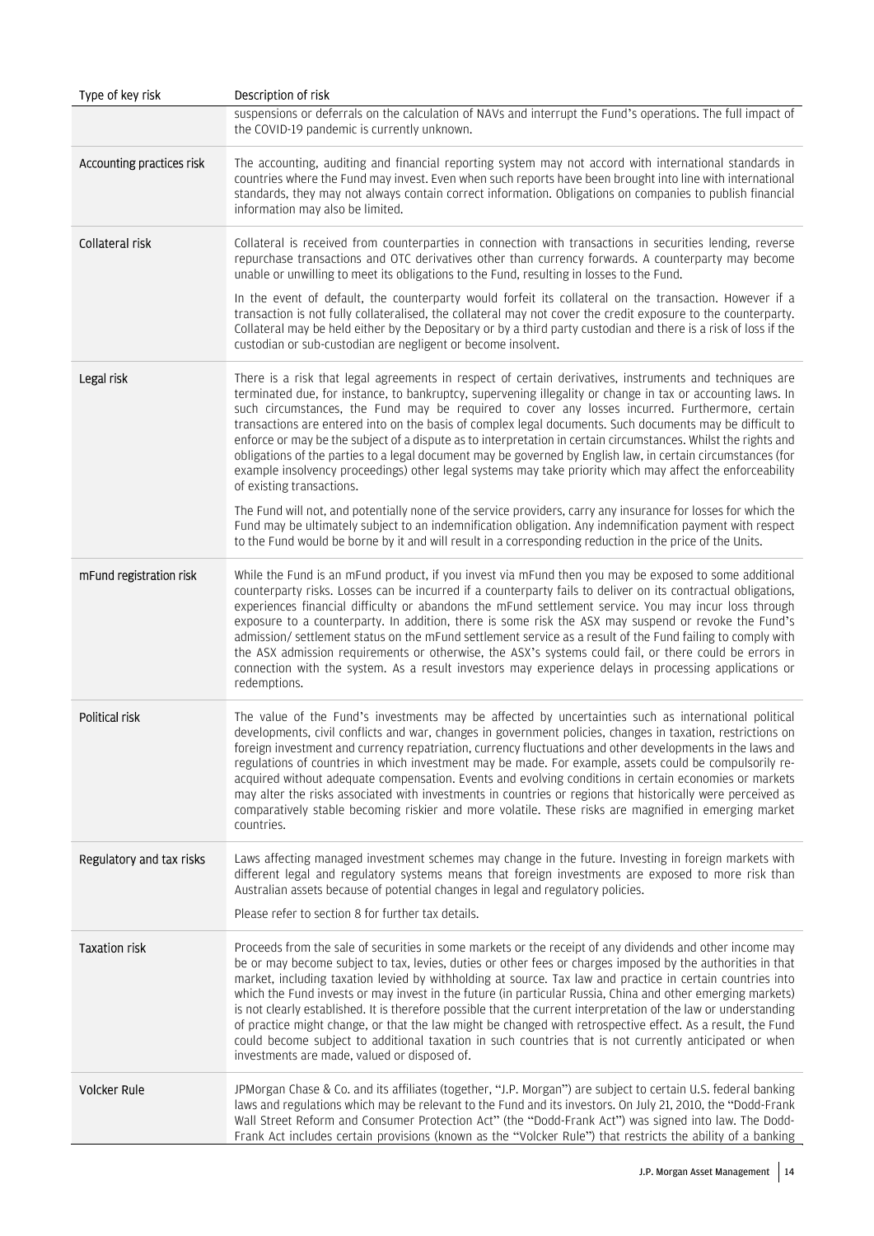| Type of key risk          | Description of risk                                                                                                                                                                                                                                                                                                                                                                                                                                                                                                                                                                                                                                                                                                                                                                                                                                 |
|---------------------------|-----------------------------------------------------------------------------------------------------------------------------------------------------------------------------------------------------------------------------------------------------------------------------------------------------------------------------------------------------------------------------------------------------------------------------------------------------------------------------------------------------------------------------------------------------------------------------------------------------------------------------------------------------------------------------------------------------------------------------------------------------------------------------------------------------------------------------------------------------|
|                           | suspensions or deferrals on the calculation of NAVs and interrupt the Fund's operations. The full impact of<br>the COVID-19 pandemic is currently unknown.                                                                                                                                                                                                                                                                                                                                                                                                                                                                                                                                                                                                                                                                                          |
| Accounting practices risk | The accounting, auditing and financial reporting system may not accord with international standards in<br>countries where the Fund may invest. Even when such reports have been brought into line with international<br>standards, they may not always contain correct information. Obligations on companies to publish financial<br>information may also be limited.                                                                                                                                                                                                                                                                                                                                                                                                                                                                               |
| Collateral risk           | Collateral is received from counterparties in connection with transactions in securities lending, reverse<br>repurchase transactions and OTC derivatives other than currency forwards. A counterparty may become<br>unable or unwilling to meet its obligations to the Fund, resulting in losses to the Fund.                                                                                                                                                                                                                                                                                                                                                                                                                                                                                                                                       |
|                           | In the event of default, the counterparty would forfeit its collateral on the transaction. However if a<br>transaction is not fully collateralised, the collateral may not cover the credit exposure to the counterparty.<br>Collateral may be held either by the Depositary or by a third party custodian and there is a risk of loss if the<br>custodian or sub-custodian are negligent or become insolvent.                                                                                                                                                                                                                                                                                                                                                                                                                                      |
| Legal risk                | There is a risk that legal agreements in respect of certain derivatives, instruments and techniques are<br>terminated due, for instance, to bankruptcy, supervening illegality or change in tax or accounting laws. In<br>such circumstances, the Fund may be required to cover any losses incurred. Furthermore, certain<br>transactions are entered into on the basis of complex legal documents. Such documents may be difficult to<br>enforce or may be the subject of a dispute as to interpretation in certain circumstances. Whilst the rights and<br>obligations of the parties to a legal document may be governed by English law, in certain circumstances (for<br>example insolvency proceedings) other legal systems may take priority which may affect the enforceability<br>of existing transactions.                                 |
|                           | The Fund will not, and potentially none of the service providers, carry any insurance for losses for which the<br>Fund may be ultimately subject to an indemnification obligation. Any indemnification payment with respect<br>to the Fund would be borne by it and will result in a corresponding reduction in the price of the Units.                                                                                                                                                                                                                                                                                                                                                                                                                                                                                                             |
| mFund registration risk   | While the Fund is an mFund product, if you invest via mFund then you may be exposed to some additional<br>counterparty risks. Losses can be incurred if a counterparty fails to deliver on its contractual obligations,<br>experiences financial difficulty or abandons the mFund settlement service. You may incur loss through<br>exposure to a counterparty. In addition, there is some risk the ASX may suspend or revoke the Fund's<br>admission/ settlement status on the mFund settlement service as a result of the Fund failing to comply with<br>the ASX admission requirements or otherwise, the ASX's systems could fail, or there could be errors in<br>connection with the system. As a result investors may experience delays in processing applications or<br>redemptions.                                                          |
| Political risk            | The value of the Fund's investments may be affected by uncertainties such as international political<br>developments, civil conflicts and war, changes in government policies, changes in taxation, restrictions on<br>foreign investment and currency repatriation, currency fluctuations and other developments in the laws and<br>regulations of countries in which investment may be made. For example, assets could be compulsorily re-<br>acquired without adequate compensation. Events and evolving conditions in certain economies or markets<br>may alter the risks associated with investments in countries or regions that historically were perceived as<br>comparatively stable becoming riskier and more volatile. These risks are magnified in emerging market<br>countries.                                                        |
| Regulatory and tax risks  | Laws affecting managed investment schemes may change in the future. Investing in foreign markets with<br>different legal and regulatory systems means that foreign investments are exposed to more risk than<br>Australian assets because of potential changes in legal and regulatory policies.                                                                                                                                                                                                                                                                                                                                                                                                                                                                                                                                                    |
|                           | Please refer to section 8 for further tax details.                                                                                                                                                                                                                                                                                                                                                                                                                                                                                                                                                                                                                                                                                                                                                                                                  |
| <b>Taxation risk</b>      | Proceeds from the sale of securities in some markets or the receipt of any dividends and other income may<br>be or may become subject to tax, levies, duties or other fees or charges imposed by the authorities in that<br>market, including taxation levied by withholding at source. Tax law and practice in certain countries into<br>which the Fund invests or may invest in the future (in particular Russia, China and other emerging markets)<br>is not clearly established. It is therefore possible that the current interpretation of the law or understanding<br>of practice might change, or that the law might be changed with retrospective effect. As a result, the Fund<br>could become subject to additional taxation in such countries that is not currently anticipated or when<br>investments are made, valued or disposed of. |
| <b>Volcker Rule</b>       | JPMorgan Chase & Co. and its affiliates (together, "J.P. Morgan") are subject to certain U.S. federal banking<br>laws and regulations which may be relevant to the Fund and its investors. On July 21, 2010, the "Dodd-Frank<br>Wall Street Reform and Consumer Protection Act" (the "Dodd-Frank Act") was signed into law. The Dodd-<br>Frank Act includes certain provisions (known as the "Volcker Rule") that restricts the ability of a banking                                                                                                                                                                                                                                                                                                                                                                                                |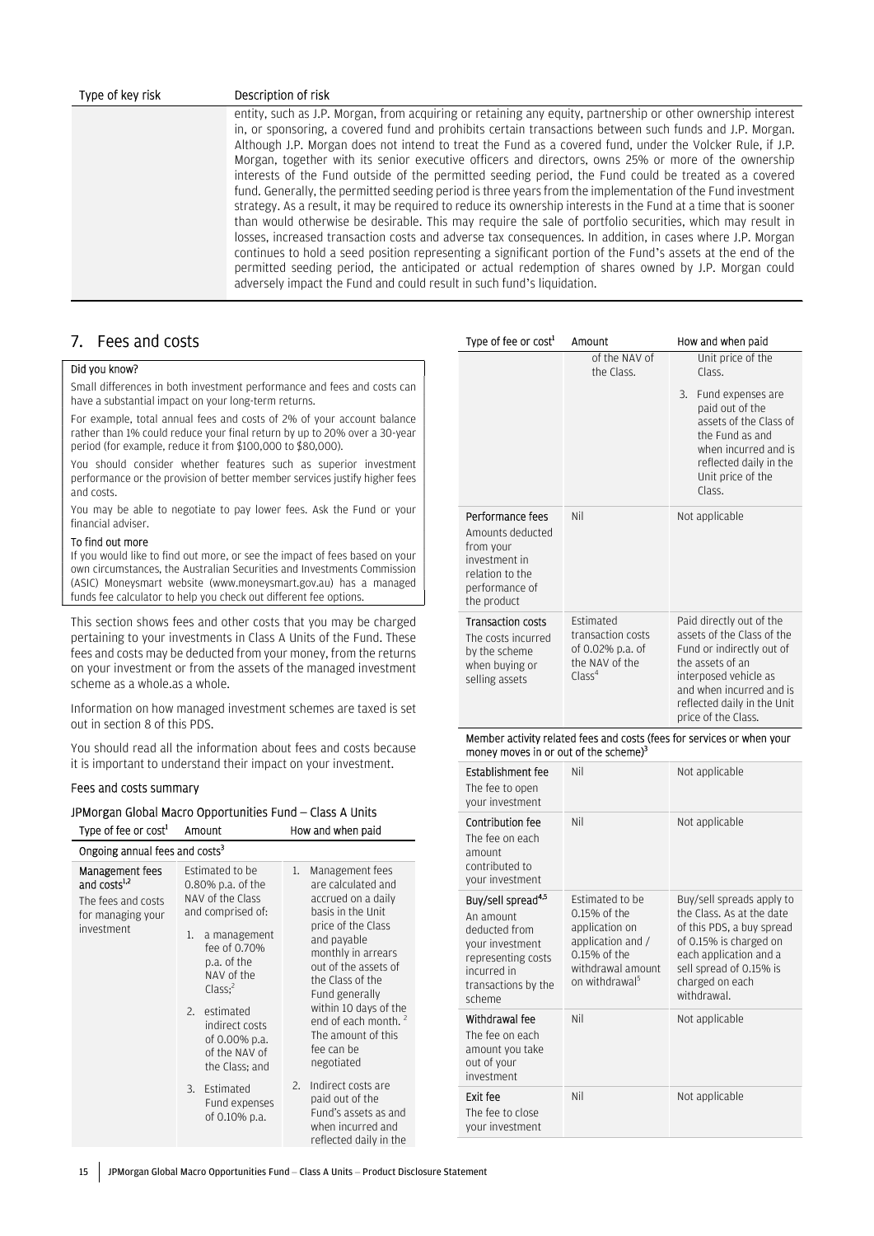#### Type of key risk Description of risk

entity, such as J.P. Morgan, from acquiring or retaining any equity, partnership or other ownership interest in, or sponsoring, a covered fund and prohibits certain transactions between such funds and J.P. Morgan. Although J.P. Morgan does not intend to treat the Fund as a covered fund, under the Volcker Rule, if J.P. Morgan, together with its senior executive officers and directors, owns 25% or more of the ownership interests of the Fund outside of the permitted seeding period, the Fund could be treated as a covered fund. Generally, the permitted seeding period is three years from the implementation of the Fund investment strategy. As a result, it may be required to reduce its ownership interests in the Fund at a time that is sooner than would otherwise be desirable. This may require the sale of portfolio securities, which may result in losses, increased transaction costs and adverse tax consequences. In addition, in cases where J.P. Morgan continues to hold a seed position representing a significant portion of the Fund's assets at the end of the permitted seeding period, the anticipated or actual redemption of shares owned by J.P. Morgan could adversely impact the Fund and could result in such fund's liquidation.

Type of fee or cost<sup>1</sup>

### 7. Fees and costs

#### Did you know?

Small differences in both investment performance and fees and costs can have a substantial impact on your long-term returns.

For example, total annual fees and costs of 2% of your account balance rather than 1% could reduce your final return by up to 20% over a 30-year period (for example, reduce it from \$100,000 to \$80,000).

You should consider whether features such as superior investment performance or the provision of better member services justify higher fees and costs.

You may be able to negotiate to pay lower fees. Ask the Fund or your financial adviser.

#### To find out more

If you would like to find out more, or see the impact of fees based on your own circumstances, the Australian Securities and Investments Commission (ASIC) Moneysmart website (www.moneysmart.gov.au) has a managed funds fee calculator to help you check out different fee options.

This section shows fees and other costs that you may be charged pertaining to your investments in Class A Units of the Fund. These fees and costs may be deducted from your money, from the returns on your investment or from the assets of the managed investment scheme as a whole.as a whole.

Information on how managed investment schemes are taxed is set out in section 8 of this PDS.

You should read all the information about fees and costs because it is important to understand their impact on your investment.

#### Fees and costs summary

#### JPMorgan Global Macro Opportunities Fund – Class A Units

| Type of fee or cost <sup>1</sup>                                                                            | Amount                                                                                                                                                                                                                                                          | How and when paid                                                                                                                                                                                                                                                                                                             |
|-------------------------------------------------------------------------------------------------------------|-----------------------------------------------------------------------------------------------------------------------------------------------------------------------------------------------------------------------------------------------------------------|-------------------------------------------------------------------------------------------------------------------------------------------------------------------------------------------------------------------------------------------------------------------------------------------------------------------------------|
| Ongoing annual fees and costs <sup>3</sup>                                                                  |                                                                                                                                                                                                                                                                 |                                                                                                                                                                                                                                                                                                                               |
| <b>Management fees</b><br>and costs <sup>1,2</sup><br>The fees and costs<br>for managing your<br>investment | Estimated to be<br>0.80% p.a. of the<br>NAV of the Class<br>and comprised of:<br>a management<br>1.<br>fee of 0.70%<br>p.a. of the<br>NAV of the<br>Class <sup>2</sup><br>estimated<br>2.<br>indirect costs<br>of 0.00% p.a.<br>of the NAV of<br>the Class; and | 1.<br>Management fees<br>are calculated and<br>accrued on a daily<br>basis in the Unit<br>price of the Class<br>and payable<br>monthly in arrears<br>out of the assets of<br>the Class of the<br>Fund generally<br>within 10 days of the<br>end of each month. <sup>2</sup><br>The amount of this<br>fee can be<br>negotiated |
|                                                                                                             | Estimated<br>3.<br>Fund expenses<br>of 0.10% p.a.                                                                                                                                                                                                               | Indirect costs are<br>2.<br>paid out of the<br>Fund's assets as and<br>when incurred and<br>reflected daily in the                                                                                                                                                                                                            |

|                                                                                                                        | of the NAV of<br>the Class.                                                                       | Unit price of the<br>Class.<br>Fund expenses are<br>3.<br>paid out of the<br>assets of the Class of<br>the Fund as and<br>when incurred and is<br>reflected daily in the<br>Unit price of the<br>Class.            |
|------------------------------------------------------------------------------------------------------------------------|---------------------------------------------------------------------------------------------------|--------------------------------------------------------------------------------------------------------------------------------------------------------------------------------------------------------------------|
| Performance fees<br>Amounts deducted<br>from your<br>investment in<br>relation to the<br>performance of<br>the product | Nil                                                                                               | Not applicable                                                                                                                                                                                                     |
| <b>Transaction costs</b><br>The costs incurred<br>by the scheme<br>when buying or<br>selling assets                    | <b>Fstimated</b><br>transaction costs<br>of 0.02% p.a. of<br>the NAV of the<br>Class <sup>4</sup> | Paid directly out of the<br>assets of the Class of the<br>Fund or indirectly out of<br>the assets of an<br>interposed vehicle as<br>and when incurred and is<br>reflected daily in the Unit<br>price of the Class. |

Amount How and when paid

#### Member activity related fees and costs (fees for services or when your money moves in or out of the scheme)<sup>3</sup>

| <b>Establishment fee</b><br>The fee to open<br>your investment                                                                                        | Nil                                                                                                                                         | Not applicable                                                                                                                                                                                       |
|-------------------------------------------------------------------------------------------------------------------------------------------------------|---------------------------------------------------------------------------------------------------------------------------------------------|------------------------------------------------------------------------------------------------------------------------------------------------------------------------------------------------------|
| Contribution fee<br>The fee on each<br>amount<br>contributed to<br>your investment                                                                    | Nil                                                                                                                                         | Not applicable                                                                                                                                                                                       |
| Buy/sell spread <sup>4,5</sup><br>An amount<br>deducted from<br>your investment<br>representing costs<br>incurred in<br>transactions by the<br>scheme | Estimated to be<br>0.15% of the<br>application on<br>application and /<br>$0.15%$ of the<br>withdrawal amount<br>on withdrawal <sup>5</sup> | Buy/sell spreads apply to<br>the Class. As at the date<br>of this PDS, a buy spread<br>of 0.15% is charged on<br>each application and a<br>sell spread of 0.15% is<br>charged on each<br>withdrawal. |
| Withdrawal fee<br>The fee on each<br>amount you take<br>out of your<br>investment                                                                     | Nil                                                                                                                                         | Not applicable                                                                                                                                                                                       |
| Exit fee<br>The fee to close<br>your investment                                                                                                       | Nil                                                                                                                                         | Not applicable                                                                                                                                                                                       |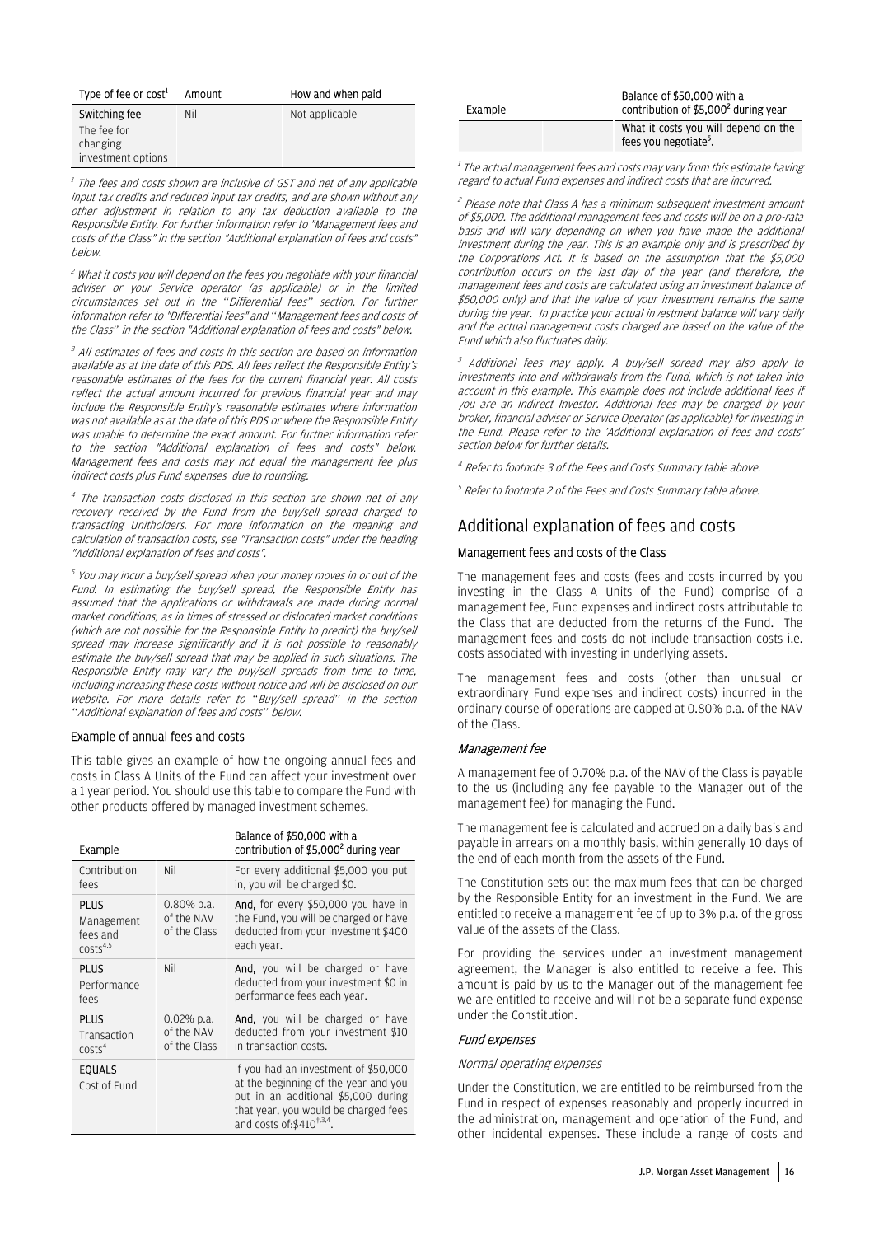| Type of fee or cost <sup>1</sup>              | Amount | How and when paid |
|-----------------------------------------------|--------|-------------------|
| Switching fee                                 | Nil    | Not applicable    |
| The fee for<br>changing<br>investment options |        |                   |

<sup>1</sup> The fees and costs shown are inclusive of GST and net of any applicable input tax credits and reduced input tax credits, and are shown without any other adjustment in relation to any tax deduction available to the Responsible Entity. For further information refer to "Management fees and costs of the Class" in the section "Additional explanation of fees and costs" below.

<sup>2</sup> What it costs you will depend on the fees you negotiate with your financial adviser or your Service operator (as applicable) or in the limited circumstances set out in the "Differential fees" section. For further information refer to "Differential fees" and "Management fees and costs of the Class" in the section "Additional explanation of fees and costs" below.

<sup>3</sup> All estimates of fees and costs in this section are based on information. available as at the date of this PDS. All fees reflect the Responsible Entity's reasonable estimates of the fees for the current financial year. All costs reflect the actual amount incurred for previous financial year and may include the Responsible Entity's reasonable estimates where information was not available as at the date of this PDS or where the Responsible Entity was unable to determine the exact amount. For further information refer to the section "Additional explanation of fees and costs" below. Management fees and costs may not equal the management fee plus indirect costs plus Fund expenses due to rounding.

<sup>4</sup> The transaction costs disclosed in this section are shown net of any recovery received by the Fund from the buy/sell spread charged to transacting Unitholders. For more information on the meaning and calculation of transaction costs, see "Transaction costs" under the heading "Additional explanation of fees and costs".

5 You may incur a buy/sell spread when your money moves in or out of the Fund. In estimating the buy/sell spread, the Responsible Entity has assumed that the applications or withdrawals are made during normal market conditions, as in times of stressed or dislocated market conditions (which are not possible for the Responsible Entity to predict) the buy/sell spread may increase significantly and it is not possible to reasonably estimate the buy/sell spread that may be applied in such situations. The Responsible Entity may vary the buy/sell spreads from time to time, including increasing these costs without notice and will be disclosed on our website. For more details refer to "Buy/sell spread" in the section "Additional explanation of fees and costs" below.

#### Example of annual fees and costs

This table gives an example of how the ongoing annual fees and costs in Class A Units of the Fund can affect your investment over a 1 year period. You should use this table to compare the Fund with other products offered by managed investment schemes.

| Example                                                       |                                             | Balance of \$50.000 with a<br>contribution of \$5,000 <sup>2</sup> during year                                                                                                                        |
|---------------------------------------------------------------|---------------------------------------------|-------------------------------------------------------------------------------------------------------------------------------------------------------------------------------------------------------|
| Contribution<br>fees                                          | Nil                                         | For every additional \$5,000 you put<br>in, you will be charged \$0.                                                                                                                                  |
| <b>PLUS</b><br>Management<br>fees and<br>costs <sup>4,5</sup> | $0.80\%$ p.a.<br>of the NAV<br>of the Class | <b>And,</b> for every \$50,000 you have in<br>the Fund, you will be charged or have<br>deducted from your investment \$400<br>each year.                                                              |
| <b>PLUS</b><br>Performance<br>fees                            | Nil                                         | <b>And,</b> you will be charged or have<br>deducted from your investment \$0 in<br>performance fees each year.                                                                                        |
| <b>PLUS</b><br>Transaction<br>costs <sup>4</sup>              | $0.02%$ p.a.<br>of the NAV<br>of the Class  | <b>And,</b> you will be charged or have<br>deducted from your investment \$10<br>in transaction costs.                                                                                                |
| <b>EQUALS</b><br>Cost of Fund                                 |                                             | If you had an investment of \$50,000<br>at the beginning of the year and you<br>put in an additional \$5,000 during<br>that year, you would be charged fees<br>and costs of: \$410 <sup>†,3,4</sup> . |

| Example | Balance of \$50,000 with a<br>contribution of \$5,000 <sup>2</sup> during year |  |
|---------|--------------------------------------------------------------------------------|--|
|         | What it costs you will depend on the<br>fees you negotiate <sup>5</sup> .      |  |

<sup>1</sup> The actual management fees and costs may vary from this estimate having regard to actual Fund expenses and indirect costs that are incurred.

<sup>2</sup> Please note that Class A has a minimum subsequent investment amount of \$5,000. The additional management fees and costs will be on a pro-rata basis and will vary depending on when you have made the additional investment during the year. This is an example only and is prescribed by the Corporations Act. It is based on the assumption that the \$5,000 contribution occurs on the last day of the year (and therefore, the management fees and costs are calculated using an investment balance of \$50,000 only) and that the value of your investment remains the same during the year. In practice your actual investment balance will vary daily and the actual management costs charged are based on the value of the Fund which also fluctuates daily.

3 Additional fees may apply. A buy/sell spread may also apply to investments into and withdrawals from the Fund, which is not taken into account in this example. This example does not include additional fees if you are an Indirect Investor. Additional fees may be charged by your broker, financial adviser or Service Operator (as applicable) for investing in the Fund. Please refer to the 'Additional explanation of fees and costs' section below for further details.

4 Refer to footnote 3 of the Fees and Costs Summary table above.

 $<sup>5</sup>$  Refer to footnote 2 of the Fees and Costs Summary table above.</sup>

### Additional explanation of fees and costs

#### Management fees and costs of the Class

The management fees and costs (fees and costs incurred by you investing in the Class A Units of the Fund) comprise of a management fee, Fund expenses and indirect costs attributable to the Class that are deducted from the returns of the Fund. The management fees and costs do not include transaction costs i.e. costs associated with investing in underlying assets.

The management fees and costs (other than unusual or extraordinary Fund expenses and indirect costs) incurred in the ordinary course of operations are capped at 0.80% p.a. of the NAV of the Class.

#### Management fee

A management fee of 0.70% p.a. of the NAV of the Class is payable to the us (including any fee payable to the Manager out of the management fee) for managing the Fund.

The management fee is calculated and accrued on a daily basis and payable in arrears on a monthly basis, within generally 10 days of the end of each month from the assets of the Fund.

The Constitution sets out the maximum fees that can be charged by the Responsible Entity for an investment in the Fund. We are entitled to receive a management fee of up to 3% p.a. of the gross value of the assets of the Class.

For providing the services under an investment management agreement, the Manager is also entitled to receive a fee. This amount is paid by us to the Manager out of the management fee we are entitled to receive and will not be a separate fund expense under the Constitution.

#### Fund expenses

#### Normal operating expenses

Under the Constitution, we are entitled to be reimbursed from the Fund in respect of expenses reasonably and properly incurred in the administration, management and operation of the Fund, and other incidental expenses. These include a range of costs and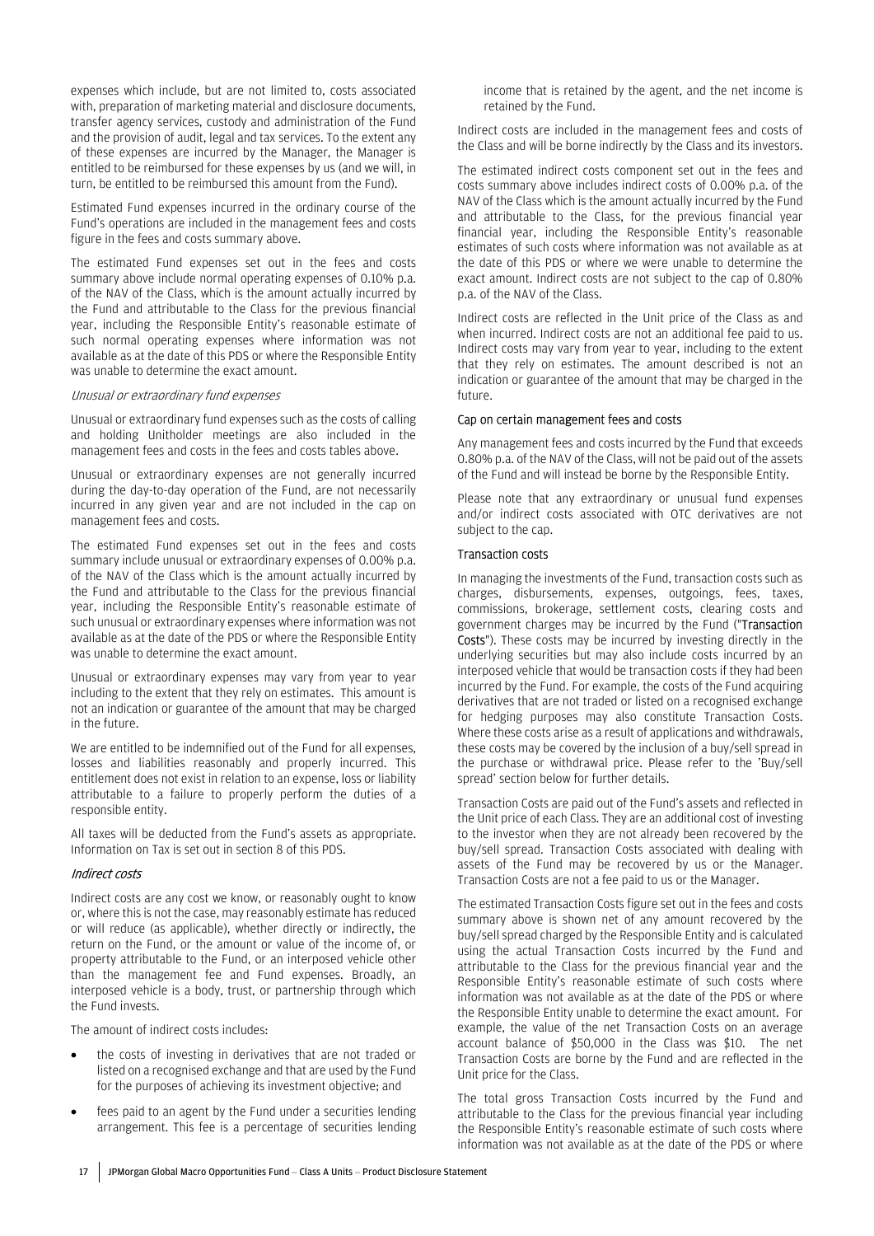expenses which include, but are not limited to, costs associated with, preparation of marketing material and disclosure documents, transfer agency services, custody and administration of the Fund and the provision of audit, legal and tax services. To the extent any of these expenses are incurred by the Manager, the Manager is entitled to be reimbursed for these expenses by us (and we will, in turn, be entitled to be reimbursed this amount from the Fund).

Estimated Fund expenses incurred in the ordinary course of the Fund's operations are included in the management fees and costs figure in the fees and costs summary above.

The estimated Fund expenses set out in the fees and costs summary above include normal operating expenses of 0.10% p.a. of the NAV of the Class, which is the amount actually incurred by the Fund and attributable to the Class for the previous financial year, including the Responsible Entity's reasonable estimate of such normal operating expenses where information was not available as at the date of this PDS or where the Responsible Entity was unable to determine the exact amount.

#### Unusual or extraordinary fund expenses

Unusual or extraordinary fund expenses such as the costs of calling and holding Unitholder meetings are also included in the management fees and costs in the fees and costs tables above.

Unusual or extraordinary expenses are not generally incurred during the day-to-day operation of the Fund, are not necessarily incurred in any given year and are not included in the cap on management fees and costs.

The estimated Fund expenses set out in the fees and costs summary include unusual or extraordinary expenses of 0.00% p.a. of the NAV of the Class which is the amount actually incurred by the Fund and attributable to the Class for the previous financial year, including the Responsible Entity's reasonable estimate of such unusual or extraordinary expenses where information was not available as at the date of the PDS or where the Responsible Entity was unable to determine the exact amount.

Unusual or extraordinary expenses may vary from year to year including to the extent that they rely on estimates. This amount is not an indication or guarantee of the amount that may be charged in the future.

We are entitled to be indemnified out of the Fund for all expenses, losses and liabilities reasonably and properly incurred. This entitlement does not exist in relation to an expense, loss or liability attributable to a failure to properly perform the duties of a responsible entity.

All taxes will be deducted from the Fund's assets as appropriate. Information on Tax is set out in section 8 of this PDS.

#### Indirect costs

Indirect costs are any cost we know, or reasonably ought to know or, where this is not the case, may reasonably estimate has reduced or will reduce (as applicable), whether directly or indirectly, the return on the Fund, or the amount or value of the income of, or property attributable to the Fund, or an interposed vehicle other than the management fee and Fund expenses. Broadly, an interposed vehicle is a body, trust, or partnership through which the Fund invests.

The amount of indirect costs includes:

- the costs of investing in derivatives that are not traded or listed on a recognised exchange and that are used by the Fund for the purposes of achieving its investment objective; and
- fees paid to an agent by the Fund under a securities lending arrangement. This fee is a percentage of securities lending

income that is retained by the agent, and the net income is retained by the Fund.

Indirect costs are included in the management fees and costs of the Class and will be borne indirectly by the Class and its investors.

The estimated indirect costs component set out in the fees and costs summary above includes indirect costs of 0.00% p.a. of the NAV of the Class which is the amount actually incurred by the Fund and attributable to the Class, for the previous financial year financial year, including the Responsible Entity's reasonable estimates of such costs where information was not available as at the date of this PDS or where we were unable to determine the exact amount. Indirect costs are not subject to the cap of 0.80% p.a. of the NAV of the Class.

Indirect costs are reflected in the Unit price of the Class as and when incurred. Indirect costs are not an additional fee paid to us. Indirect costs may vary from year to year, including to the extent that they rely on estimates. The amount described is not an indication or guarantee of the amount that may be charged in the future.

#### Cap on certain management fees and costs

Any management fees and costs incurred by the Fund that exceeds 0.80% p.a. of the NAV of the Class, will not be paid out of the assets of the Fund and will instead be borne by the Responsible Entity.

Please note that any extraordinary or unusual fund expenses and/or indirect costs associated with OTC derivatives are not subject to the cap.

#### Transaction costs

In managing the investments of the Fund, transaction costs such as charges, disbursements, expenses, outgoings, fees, taxes, commissions, brokerage, settlement costs, clearing costs and government charges may be incurred by the Fund ("Transaction Costs"). These costs may be incurred by investing directly in the underlying securities but may also include costs incurred by an interposed vehicle that would be transaction costs if they had been incurred by the Fund. For example, the costs of the Fund acquiring derivatives that are not traded or listed on a recognised exchange for hedging purposes may also constitute Transaction Costs. Where these costs arise as a result of applications and withdrawals, these costs may be covered by the inclusion of a buy/sell spread in the purchase or withdrawal price. Please refer to the 'Buy/sell spread' section below for further details.

Transaction Costs are paid out of the Fund's assets and reflected in the Unit price of each Class. They are an additional cost of investing to the investor when they are not already been recovered by the buy/sell spread. Transaction Costs associated with dealing with assets of the Fund may be recovered by us or the Manager. Transaction Costs are not a fee paid to us or the Manager.

The estimated Transaction Costs figure set out in the fees and costs summary above is shown net of any amount recovered by the buy/sell spread charged by the Responsible Entity and is calculated using the actual Transaction Costs incurred by the Fund and attributable to the Class for the previous financial year and the Responsible Entity's reasonable estimate of such costs where information was not available as at the date of the PDS or where the Responsible Entity unable to determine the exact amount. For example, the value of the net Transaction Costs on an average account balance of \$50,000 in the Class was \$10. The net Transaction Costs are borne by the Fund and are reflected in the Unit price for the Class.

The total gross Transaction Costs incurred by the Fund and attributable to the Class for the previous financial year including the Responsible Entity's reasonable estimate of such costs where information was not available as at the date of the PDS or where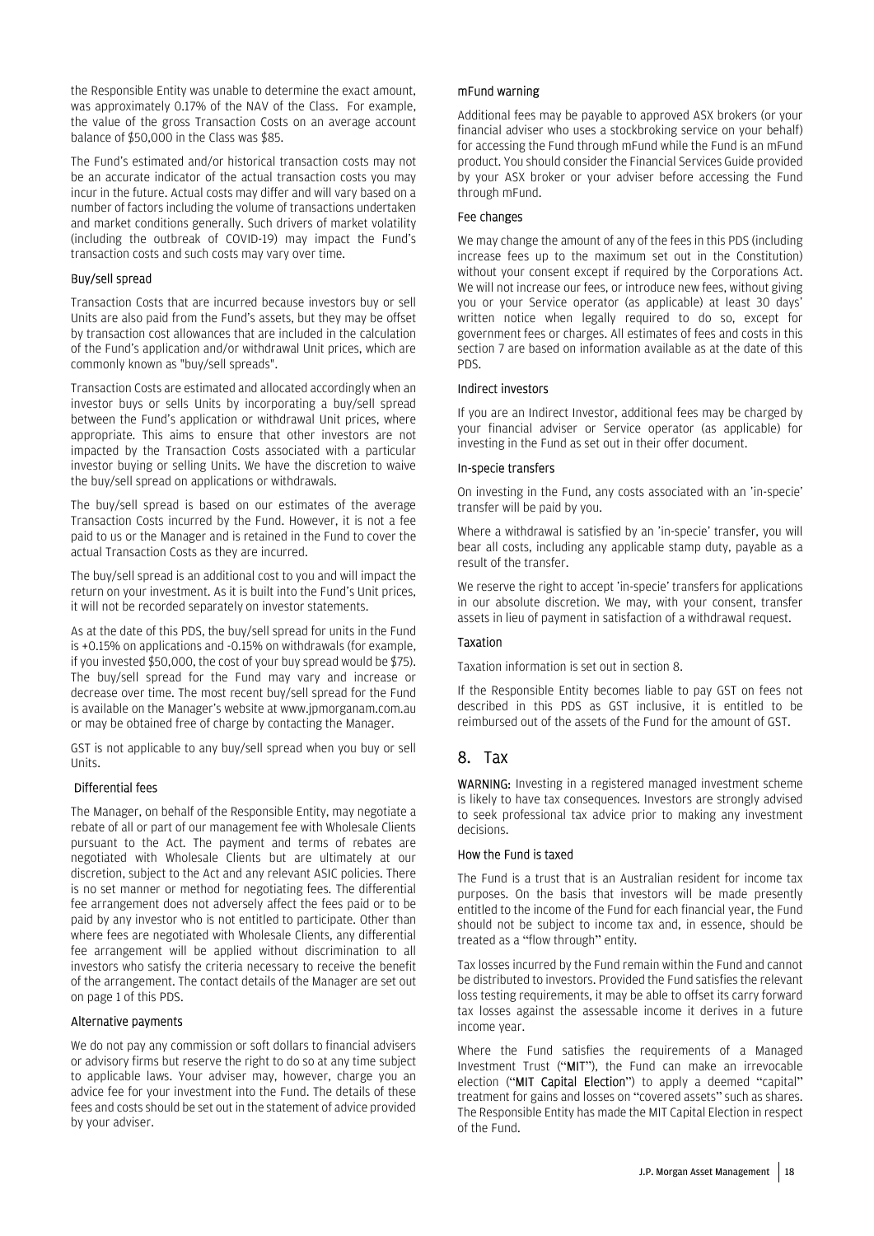the Responsible Entity was unable to determine the exact amount, was approximately 0.17% of the NAV of the Class. For example, the value of the gross Transaction Costs on an average account balance of \$50,000 in the Class was \$85.

The Fund's estimated and/or historical transaction costs may not be an accurate indicator of the actual transaction costs you may incur in the future. Actual costs may differ and will vary based on a number of factors including the volume of transactions undertaken and market conditions generally. Such drivers of market volatility (including the outbreak of COVID-19) may impact the Fund's transaction costs and such costs may vary over time.

#### Buy/sell spread

Transaction Costs that are incurred because investors buy or sell Units are also paid from the Fund's assets, but they may be offset by transaction cost allowances that are included in the calculation of the Fund's application and/or withdrawal Unit prices, which are commonly known as "buy/sell spreads".

Transaction Costs are estimated and allocated accordingly when an investor buys or sells Units by incorporating a buy/sell spread between the Fund's application or withdrawal Unit prices, where appropriate. This aims to ensure that other investors are not impacted by the Transaction Costs associated with a particular investor buying or selling Units. We have the discretion to waive the buy/sell spread on applications or withdrawals.

The buy/sell spread is based on our estimates of the average Transaction Costs incurred by the Fund. However, it is not a fee paid to us or the Manager and is retained in the Fund to cover the actual Transaction Costs as they are incurred.

The buy/sell spread is an additional cost to you and will impact the return on your investment. As it is built into the Fund's Unit prices, it will not be recorded separately on investor statements.

As at the date of this PDS, the buy/sell spread for units in the Fund is +0.15% on applications and -0.15% on withdrawals (for example, if you invested \$50,000, the cost of your buy spread would be \$75). The buy/sell spread for the Fund may vary and increase or decrease over time. The most recent buy/sell spread for the Fund is available on the Manager's website at www.jpmorganam.com.au or may be obtained free of charge by contacting the Manager.

GST is not applicable to any buy/sell spread when you buy or sell Units.

#### Differential fees

The Manager, on behalf of the Responsible Entity, may negotiate a rebate of all or part of our management fee with Wholesale Clients pursuant to the Act. The payment and terms of rebates are negotiated with Wholesale Clients but are ultimately at our discretion, subject to the Act and any relevant ASIC policies. There is no set manner or method for negotiating fees. The differential fee arrangement does not adversely affect the fees paid or to be paid by any investor who is not entitled to participate. Other than where fees are negotiated with Wholesale Clients, any differential fee arrangement will be applied without discrimination to all investors who satisfy the criteria necessary to receive the benefit of the arrangement. The contact details of the Manager are set out on page 1 of this PDS.

#### Alternative payments

We do not pay any commission or soft dollars to financial advisers or advisory firms but reserve the right to do so at any time subject to applicable laws. Your adviser may, however, charge you an advice fee for your investment into the Fund. The details of these fees and costs should be set out in the statement of advice provided by your adviser.

#### mFund warning

Additional fees may be payable to approved ASX brokers (or your financial adviser who uses a stockbroking service on your behalf) for accessing the Fund through mFund while the Fund is an mFund product. You should consider the Financial Services Guide provided by your ASX broker or your adviser before accessing the Fund through mFund.

#### Fee changes

We may change the amount of any of the fees in this PDS (including increase fees up to the maximum set out in the Constitution) without your consent except if required by the Corporations Act. We will not increase our fees, or introduce new fees, without giving you or your Service operator (as applicable) at least 30 days' written notice when legally required to do so, except for government fees or charges. All estimates of fees and costs in this section 7 are based on information available as at the date of this PDS.

#### Indirect investors

If you are an Indirect Investor, additional fees may be charged by your financial adviser or Service operator (as applicable) for investing in the Fund as set out in their offer document.

#### In-specie transfers

On investing in the Fund, any costs associated with an 'in-specie' transfer will be paid by you.

Where a withdrawal is satisfied by an 'in-specie' transfer, you will bear all costs, including any applicable stamp duty, payable as a result of the transfer.

We reserve the right to accept 'in-specie' transfers for applications in our absolute discretion. We may, with your consent, transfer assets in lieu of payment in satisfaction of a withdrawal request.

#### Taxation

Taxation information is set out in section 8.

If the Responsible Entity becomes liable to pay GST on fees not described in this PDS as GST inclusive, it is entitled to be reimbursed out of the assets of the Fund for the amount of GST.

### 8. Tax

WARNING: Investing in a registered managed investment scheme is likely to have tax consequences. Investors are strongly advised to seek professional tax advice prior to making any investment decisions.

#### How the Fund is taxed

The Fund is a trust that is an Australian resident for income tax purposes. On the basis that investors will be made presently entitled to the income of the Fund for each financial year, the Fund should not be subject to income tax and, in essence, should be treated as a "flow through" entity.

Tax losses incurred by the Fund remain within the Fund and cannot be distributed to investors. Provided the Fund satisfies the relevant loss testing requirements, it may be able to offset its carry forward tax losses against the assessable income it derives in a future income year.

Where the Fund satisfies the requirements of a Managed Investment Trust ("MIT"), the Fund can make an irrevocable election ("MIT Capital Election") to apply a deemed "capital" treatment for gains and losses on "covered assets" such as shares. The Responsible Entity has made the MIT Capital Election in respect of the Fund.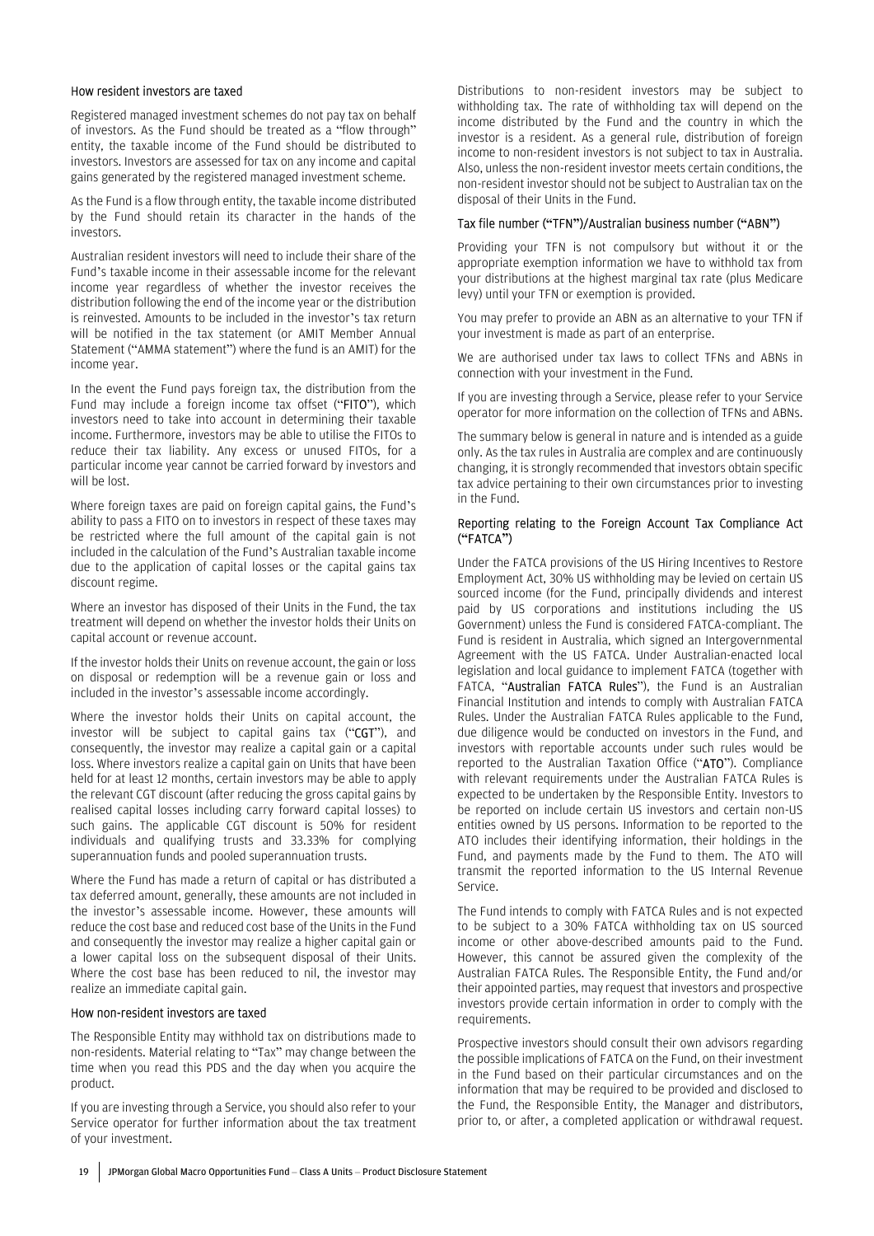#### How resident investors are taxed

Registered managed investment schemes do not pay tax on behalf of investors. As the Fund should be treated as a "flow through" entity, the taxable income of the Fund should be distributed to investors. Investors are assessed for tax on any income and capital gains generated by the registered managed investment scheme.

As the Fund is a flow through entity, the taxable income distributed by the Fund should retain its character in the hands of the investors.

Australian resident investors will need to include their share of the Fund's taxable income in their assessable income for the relevant income year regardless of whether the investor receives the distribution following the end of the income year or the distribution is reinvested. Amounts to be included in the investor's tax return will be notified in the tax statement (or AMIT Member Annual Statement ("AMMA statement") where the fund is an AMIT) for the income year.

In the event the Fund pays foreign tax, the distribution from the Fund may include a foreign income tax offset ("FITO"), which investors need to take into account in determining their taxable income. Furthermore, investors may be able to utilise the FITOs to reduce their tax liability. Any excess or unused FITOs, for a particular income year cannot be carried forward by investors and will be lost.

Where foreign taxes are paid on foreign capital gains, the Fund's ability to pass a FITO on to investors in respect of these taxes may be restricted where the full amount of the capital gain is not included in the calculation of the Fund's Australian taxable income due to the application of capital losses or the capital gains tax discount regime.

Where an investor has disposed of their Units in the Fund, the tax treatment will depend on whether the investor holds their Units on capital account or revenue account.

If the investor holds their Units on revenue account, the gain or loss on disposal or redemption will be a revenue gain or loss and included in the investor's assessable income accordingly.

Where the investor holds their Units on capital account, the investor will be subject to capital gains tax ("CGT"), and consequently, the investor may realize a capital gain or a capital loss. Where investors realize a capital gain on Units that have been held for at least 12 months, certain investors may be able to apply the relevant CGT discount (after reducing the gross capital gains by realised capital losses including carry forward capital losses) to such gains. The applicable CGT discount is 50% for resident individuals and qualifying trusts and 33.33% for complying superannuation funds and pooled superannuation trusts.

Where the Fund has made a return of capital or has distributed a tax deferred amount, generally, these amounts are not included in the investor's assessable income. However, these amounts will reduce the cost base and reduced cost base of the Units in the Fund and consequently the investor may realize a higher capital gain or a lower capital loss on the subsequent disposal of their Units. Where the cost base has been reduced to nil, the investor may realize an immediate capital gain.

#### How non-resident investors are taxed

The Responsible Entity may withhold tax on distributions made to non-residents. Material relating to "Tax" may change between the time when you read this PDS and the day when you acquire the product.

If you are investing through a Service, you should also refer to your Service operator for further information about the tax treatment of your investment.

Distributions to non-resident investors may be subject to withholding tax. The rate of withholding tax will depend on the income distributed by the Fund and the country in which the investor is a resident. As a general rule, distribution of foreign income to non-resident investors is not subject to tax in Australia. Also, unless the non-resident investor meets certain conditions, the non-resident investor should not be subject to Australian tax on the disposal of their Units in the Fund.

#### Tax file number ("TFN")/Australian business number ("ABN")

Providing your TFN is not compulsory but without it or the appropriate exemption information we have to withhold tax from your distributions at the highest marginal tax rate (plus Medicare levy) until your TFN or exemption is provided.

You may prefer to provide an ABN as an alternative to your TFN if your investment is made as part of an enterprise.

We are authorised under tax laws to collect TFNs and ABNs in connection with your investment in the Fund.

If you are investing through a Service, please refer to your Service operator for more information on the collection of TFNs and ABNs.

The summary below is general in nature and is intended as a guide only. As the tax rules in Australia are complex and are continuously changing, it is strongly recommended that investors obtain specific tax advice pertaining to their own circumstances prior to investing in the Fund.

#### Reporting relating to the Foreign Account Tax Compliance Act ("FATCA")

Under the FATCA provisions of the US Hiring Incentives to Restore Employment Act, 30% US withholding may be levied on certain US sourced income (for the Fund, principally dividends and interest paid by US corporations and institutions including the US Government) unless the Fund is considered FATCA-compliant. The Fund is resident in Australia, which signed an Intergovernmental Agreement with the US FATCA. Under Australian-enacted local legislation and local guidance to implement FATCA (together with FATCA, "**Australian FATCA Rules**"), the Fund is an Australian Financial Institution and intends to comply with Australian FATCA Rules. Under the Australian FATCA Rules applicable to the Fund, due diligence would be conducted on investors in the Fund, and investors with reportable accounts under such rules would be reported to the Australian Taxation Office ("ATO"). Compliance with relevant requirements under the Australian FATCA Rules is expected to be undertaken by the Responsible Entity. Investors to be reported on include certain US investors and certain non-US entities owned by US persons. Information to be reported to the ATO includes their identifying information, their holdings in the Fund, and payments made by the Fund to them. The ATO will transmit the reported information to the US Internal Revenue Service.

The Fund intends to comply with FATCA Rules and is not expected to be subject to a 30% FATCA withholding tax on US sourced income or other above-described amounts paid to the Fund. However, this cannot be assured given the complexity of the Australian FATCA Rules. The Responsible Entity, the Fund and/or their appointed parties, may request that investors and prospective investors provide certain information in order to comply with the requirements.

Prospective investors should consult their own advisors regarding the possible implications of FATCA on the Fund, on their investment in the Fund based on their particular circumstances and on the information that may be required to be provided and disclosed to the Fund, the Responsible Entity, the Manager and distributors, prior to, or after, a completed application or withdrawal request.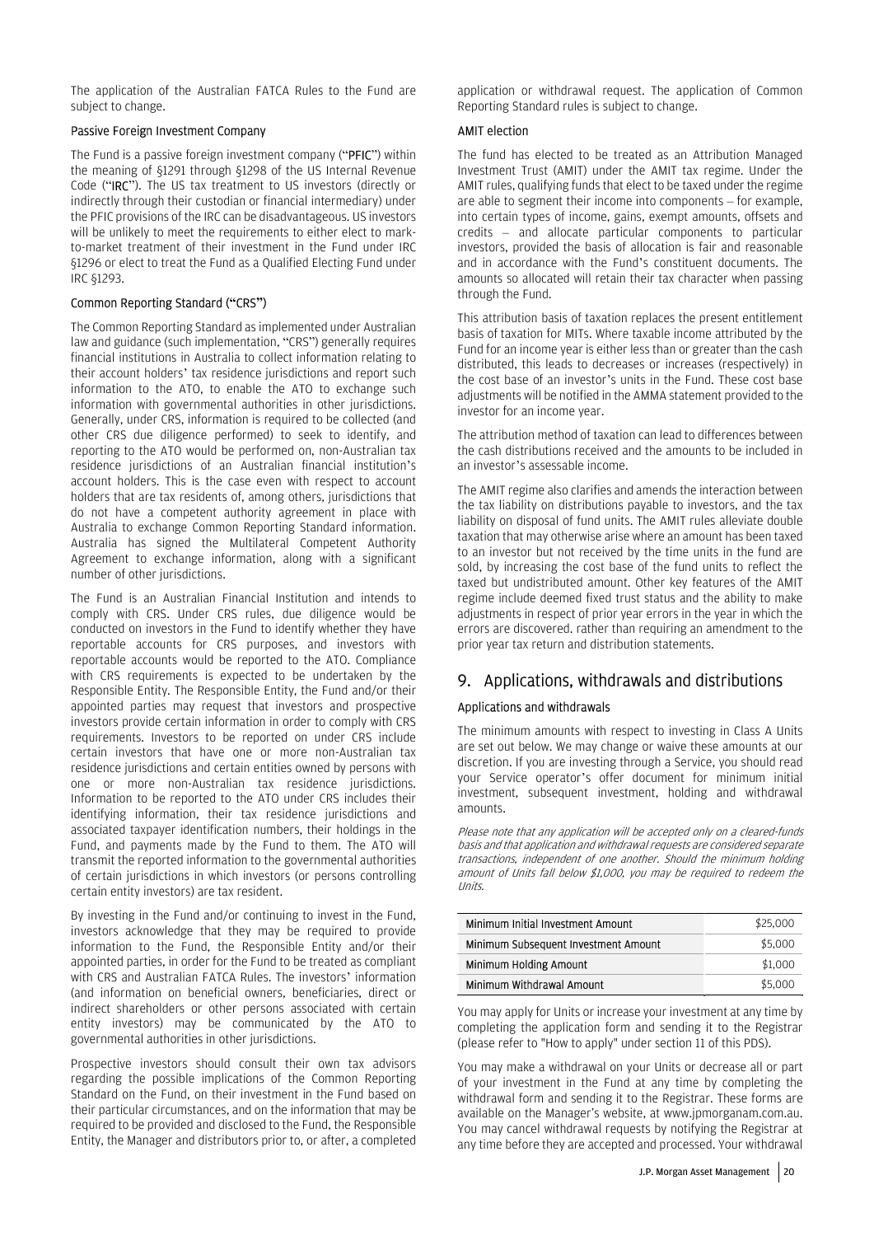The application of the Australian FATCA Rules to the Fund are subject to change.

#### Passive Foreign Investment Company

The Fund is a passive foreign investment company ("PFIC") within the meaning of §1291 through §1298 of the US Internal Revenue Code ("IRC"). The US tax treatment to US investors (directly or indirectly through their custodian or financial intermediary) under the PFIC provisions of the IRC can be disadvantageous. US investors will be unlikely to meet the requirements to either elect to markto-market treatment of their investment in the Fund under IRC §1296 or elect to treat the Fund as a Qualified Electing Fund under IRC §1293.

#### Common Reporting Standard ("CRS")

The Common Reporting Standard as implemented under Australian law and guidance (such implementation, "CRS") generally requires financial institutions in Australia to collect information relating to their account holders' tax residence jurisdictions and report such information to the ATO, to enable the ATO to exchange such information with governmental authorities in other jurisdictions. Generally, under CRS, information is required to be collected (and other CRS due diligence performed) to seek to identify, and reporting to the ATO would be performed on, non-Australian tax residence jurisdictions of an Australian financial institution's account holders. This is the case even with respect to account holders that are tax residents of, among others, jurisdictions that do not have a competent authority agreement in place with Australia to exchange Common Reporting Standard information. Australia has signed the Multilateral Competent Authority Agreement to exchange information, along with a significant number of other jurisdictions.

The Fund is an Australian Financial Institution and intends to comply with CRS. Under CRS rules, due diligence would be conducted on investors in the Fund to identify whether they have reportable accounts for CRS purposes, and investors with reportable accounts would be reported to the ATO. Compliance with CRS requirements is expected to be undertaken by the Responsible Entity. The Responsible Entity, the Fund and/or their appointed parties may request that investors and prospective investors provide certain information in order to comply with CRS requirements. Investors to be reported on under CRS include certain investors that have one or more non-Australian tax residence jurisdictions and certain entities owned by persons with one or more non-Australian tax residence jurisdictions. Information to be reported to the ATO under CRS includes their identifying information, their tax residence jurisdictions and associated taxpayer identification numbers, their holdings in the Fund, and payments made by the Fund to them. The ATO will transmit the reported information to the governmental authorities of certain jurisdictions in which investors (or persons controlling certain entity investors) are tax resident.

By investing in the Fund and/or continuing to invest in the Fund, investors acknowledge that they may be required to provide information to the Fund, the Responsible Entity and/or their appointed parties, in order for the Fund to be treated as compliant with CRS and Australian FATCA Rules. The investors' information (and information on beneficial owners, beneficiaries, direct or indirect shareholders or other persons associated with certain entity investors) may be communicated by the ATO to governmental authorities in other jurisdictions.

Prospective investors should consult their own tax advisors regarding the possible implications of the Common Reporting Standard on the Fund, on their investment in the Fund based on their particular circumstances, and on the information that may be required to be provided and disclosed to the Fund, the Responsible Entity, the Manager and distributors prior to, or after, a completed

application or withdrawal request. The application of Common Reporting Standard rules is subject to change.

#### AMIT election

The fund has elected to be treated as an Attribution Managed Investment Trust (AMIT) under the AMIT tax regime. Under the AMIT rules, qualifying funds that elect to be taxed under the regime are able to segment their income into components – for example, into certain types of income, gains, exempt amounts, offsets and credits – and allocate particular components to particular investors, provided the basis of allocation is fair and reasonable and in accordance with the Fund's constituent documents. The amounts so allocated will retain their tax character when passing through the Fund.

This attribution basis of taxation replaces the present entitlement basis of taxation for MITs. Where taxable income attributed by the Fund for an income year is either less than or greater than the cash distributed, this leads to decreases or increases (respectively) in the cost base of an investor's units in the Fund. These cost base adjustments will be notified in the AMMA statement provided to the investor for an income year.

The attribution method of taxation can lead to differences between the cash distributions received and the amounts to be included in an investor's assessable income.

The AMIT regime also clarifies and amends the interaction between the tax liability on distributions payable to investors, and the tax liability on disposal of fund units. The AMIT rules alleviate double taxation that may otherwise arise where an amount has been taxed to an investor but not received by the time units in the fund are sold, by increasing the cost base of the fund units to reflect the taxed but undistributed amount. Other key features of the AMIT regime include deemed fixed trust status and the ability to make adjustments in respect of prior year errors in the year in which the errors are discovered. rather than requiring an amendment to the prior year tax return and distribution statements.

### 9. Applications, withdrawals and distributions

### Applications and withdrawals

The minimum amounts with respect to investing in Class A Units are set out below. We may change or waive these amounts at our discretion. If you are investing through a Service, you should read your Service operator's offer document for minimum initial investment, subsequent investment, holding and withdrawal amounts.

Please note that any application will be accepted only on a cleared-funds basis and that application and withdrawal requests are considered separate transactions, independent of one another. Should the minimum holding amount of Units fall below \$1,000, you may be required to redeem the Units.

| Minimum Initial Investment Amount    | \$25,000 |
|--------------------------------------|----------|
| Minimum Subsequent Investment Amount | \$5,000  |
| Minimum Holding Amount               | \$1,000  |
| Minimum Withdrawal Amount            | \$5,000  |

You may apply for Units or increase your investment at any time by completing the application form and sending it to the Registrar (please refer to "How to apply" under section 11 of this PDS).

You may make a withdrawal on your Units or decrease all or part of your investment in the Fund at any time by completing the withdrawal form and sending it to the Registrar. These forms are available on the Manager's website, at www.jpmorganam.com.au. You may cancel withdrawal requests by notifying the Registrar at any time before they are accepted and processed. Your withdrawal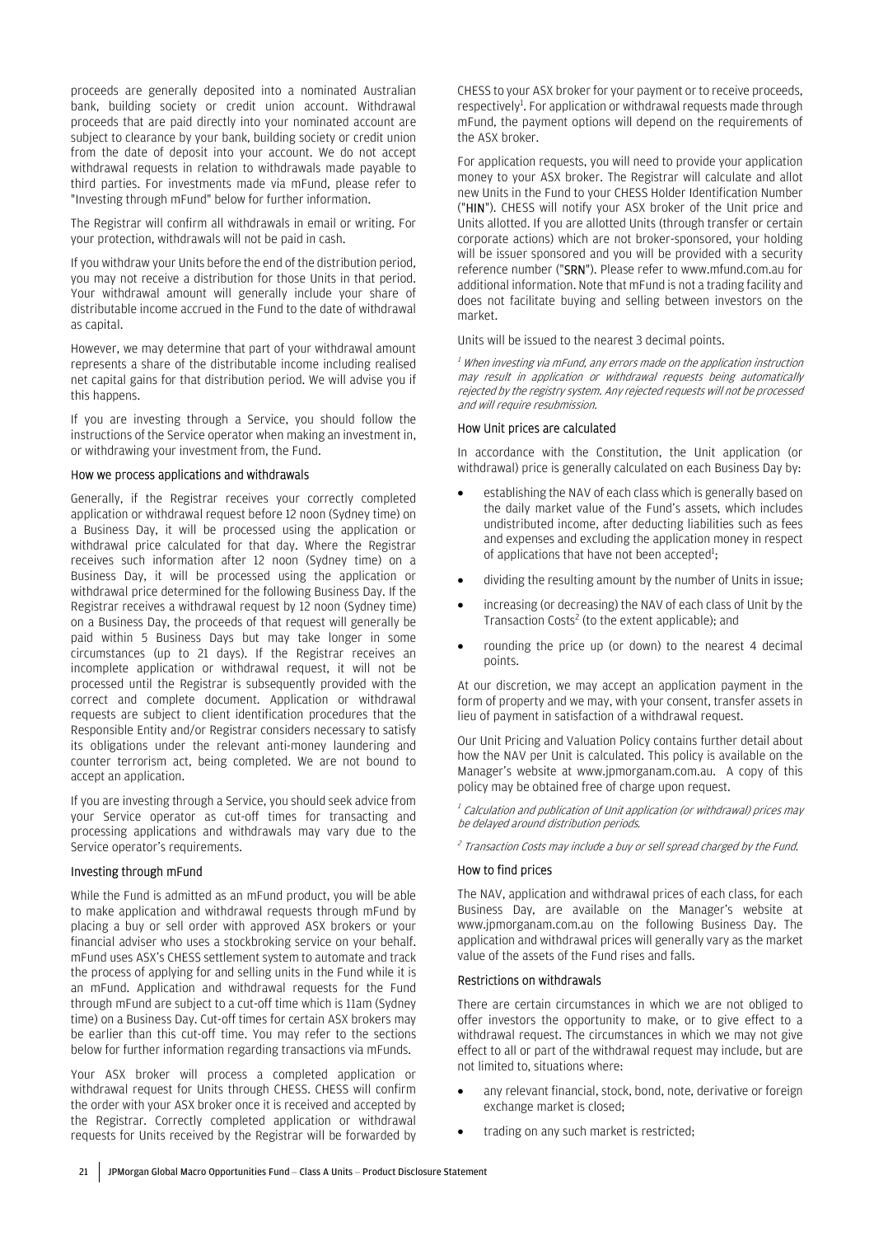proceeds are generally deposited into a nominated Australian bank, building society or credit union account. Withdrawal proceeds that are paid directly into your nominated account are subject to clearance by your bank, building society or credit union from the date of deposit into your account. We do not accept withdrawal requests in relation to withdrawals made payable to third parties. For investments made via mFund, please refer to "Investing through mFund" below for further information.

The Registrar will confirm all withdrawals in email or writing. For your protection, withdrawals will not be paid in cash.

If you withdraw your Units before the end of the distribution period, you may not receive a distribution for those Units in that period. Your withdrawal amount will generally include your share of distributable income accrued in the Fund to the date of withdrawal as capital.

However, we may determine that part of your withdrawal amount represents a share of the distributable income including realised net capital gains for that distribution period. We will advise you if this happens.

If you are investing through a Service, you should follow the instructions of the Service operator when making an investment in, or withdrawing your investment from, the Fund.

#### How we process applications and withdrawals

Generally, if the Registrar receives your correctly completed application or withdrawal request before 12 noon (Sydney time) on a Business Day, it will be processed using the application or withdrawal price calculated for that day. Where the Registrar receives such information after 12 noon (Sydney time) on a Business Day, it will be processed using the application or withdrawal price determined for the following Business Day. If the Registrar receives a withdrawal request by 12 noon (Sydney time) on a Business Day, the proceeds of that request will generally be paid within 5 Business Days but may take longer in some circumstances (up to 21 days). If the Registrar receives an incomplete application or withdrawal request, it will not be processed until the Registrar is subsequently provided with the correct and complete document. Application or withdrawal requests are subject to client identification procedures that the Responsible Entity and/or Registrar considers necessary to satisfy its obligations under the relevant anti-money laundering and counter terrorism act, being completed. We are not bound to accept an application.

If you are investing through a Service, you should seek advice from your Service operator as cut-off times for transacting and processing applications and withdrawals may vary due to the Service operator's requirements.

#### Investing through mFund

While the Fund is admitted as an mFund product, you will be able to make application and withdrawal requests through mFund by placing a buy or sell order with approved ASX brokers or your financial adviser who uses a stockbroking service on your behalf. mFund uses ASX's CHESS settlement system to automate and track the process of applying for and selling units in the Fund while it is an mFund. Application and withdrawal requests for the Fund through mFund are subject to a cut-off time which is 11am (Sydney time) on a Business Day. Cut-off times for certain ASX brokers may be earlier than this cut-off time. You may refer to the sections below for further information regarding transactions via mFunds.

Your ASX broker will process a completed application or withdrawal request for Units through CHESS. CHESS will confirm the order with your ASX broker once it is received and accepted by the Registrar. Correctly completed application or withdrawal requests for Units received by the Registrar will be forwarded by

CHESS to your ASX broker for your payment or to receive proceeds, respectively<sup>1</sup>. For application or withdrawal requests made through mFund, the payment options will depend on the requirements of the ASX broker.

For application requests, you will need to provide your application money to your ASX broker. The Registrar will calculate and allot new Units in the Fund to your CHESS Holder Identification Number ("HIN"). CHESS will notify your ASX broker of the Unit price and Units allotted. If you are allotted Units (through transfer or certain corporate actions) which are not broker-sponsored, your holding will be issuer sponsored and you will be provided with a security reference number ("SRN"). Please refer to www.mfund.com.au for additional information. Note that mFund is not a trading facility and does not facilitate buying and selling between investors on the market.

Units will be issued to the nearest 3 decimal points.

 $<sup>I</sup>$  When investing via mFund, any errors made on the application instruction</sup> may result in application or withdrawal requests being automatically rejected by the registry system. Any rejected requests will not be processed and will require resubmission.

#### How Unit prices are calculated

In accordance with the Constitution, the Unit application (or withdrawal) price is generally calculated on each Business Day by:

- establishing the NAV of each class which is generally based on the daily market value of the Fund's assets, which includes undistributed income, after deducting liabilities such as fees and expenses and excluding the application money in respect of applications that have not been accepted<sup>1</sup>;
- dividing the resulting amount by the number of Units in issue;
- increasing (or decreasing) the NAV of each class of Unit by the Transaction Costs<sup>2</sup> (to the extent applicable); and
- rounding the price up (or down) to the nearest 4 decimal points.

At our discretion, we may accept an application payment in the form of property and we may, with your consent, transfer assets in lieu of payment in satisfaction of a withdrawal request.

Our Unit Pricing and Valuation Policy contains further detail about how the NAV per Unit is calculated. This policy is available on the Manager's website at www.jpmorganam.com.au. A copy of this policy may be obtained free of charge upon request.

 $<sup>I</sup>$  Calculation and publication of Unit application (or withdrawal) prices may</sup> be delayed around distribution periods.

<sup>2</sup> Transaction Costs may include a buy or sell spread charged by the Fund.

#### How to find prices

The NAV, application and withdrawal prices of each class, for each Business Day, are available on the Manager's website at www.jpmorganam.com.au on the following Business Day. The application and withdrawal prices will generally vary as the market value of the assets of the Fund rises and falls.

#### Restrictions on withdrawals

There are certain circumstances in which we are not obliged to offer investors the opportunity to make, or to give effect to a withdrawal request. The circumstances in which we may not give effect to all or part of the withdrawal request may include, but are not limited to, situations where:

- any relevant financial, stock, bond, note, derivative or foreign exchange market is closed;
- trading on any such market is restricted;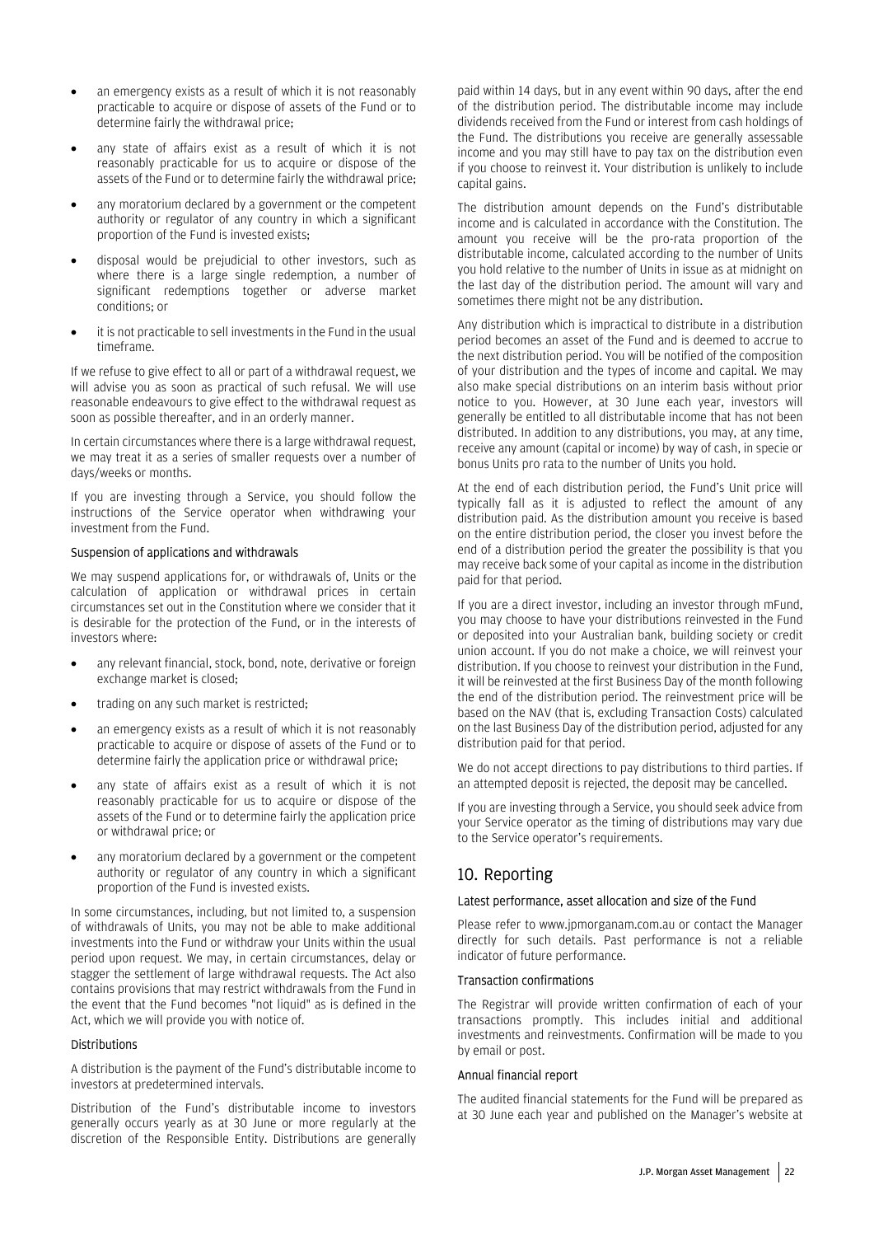- an emergency exists as a result of which it is not reasonably practicable to acquire or dispose of assets of the Fund or to determine fairly the withdrawal price;
- any state of affairs exist as a result of which it is not reasonably practicable for us to acquire or dispose of the assets of the Fund or to determine fairly the withdrawal price;
- any moratorium declared by a government or the competent authority or regulator of any country in which a significant proportion of the Fund is invested exists;
- disposal would be prejudicial to other investors, such as where there is a large single redemption, a number of significant redemptions together or adverse market conditions; or
- it is not practicable to sell investments in the Fund in the usual timeframe.

If we refuse to give effect to all or part of a withdrawal request, we will advise you as soon as practical of such refusal. We will use reasonable endeavours to give effect to the withdrawal request as soon as possible thereafter, and in an orderly manner.

In certain circumstances where there is a large withdrawal request, we may treat it as a series of smaller requests over a number of days/weeks or months.

If you are investing through a Service, you should follow the instructions of the Service operator when withdrawing your investment from the Fund.

#### Suspension of applications and withdrawals

We may suspend applications for, or withdrawals of, Units or the calculation of application or withdrawal prices in certain circumstances set out in the Constitution where we consider that it is desirable for the protection of the Fund, or in the interests of investors where:

- any relevant financial, stock, bond, note, derivative or foreign exchange market is closed;
- trading on any such market is restricted;
- an emergency exists as a result of which it is not reasonably practicable to acquire or dispose of assets of the Fund or to determine fairly the application price or withdrawal price;
- any state of affairs exist as a result of which it is not reasonably practicable for us to acquire or dispose of the assets of the Fund or to determine fairly the application price or withdrawal price; or
- any moratorium declared by a government or the competent authority or regulator of any country in which a significant proportion of the Fund is invested exists.

In some circumstances, including, but not limited to, a suspension of withdrawals of Units, you may not be able to make additional investments into the Fund or withdraw your Units within the usual period upon request. We may, in certain circumstances, delay or stagger the settlement of large withdrawal requests. The Act also contains provisions that may restrict withdrawals from the Fund in the event that the Fund becomes "not liquid" as is defined in the Act, which we will provide you with notice of.

#### Distributions

A distribution is the payment of the Fund's distributable income to investors at predetermined intervals.

Distribution of the Fund's distributable income to investors generally occurs yearly as at 30 June or more regularly at the discretion of the Responsible Entity. Distributions are generally paid within 14 days, but in any event within 90 days, after the end of the distribution period. The distributable income may include dividends received from the Fund or interest from cash holdings of the Fund. The distributions you receive are generally assessable income and you may still have to pay tax on the distribution even if you choose to reinvest it. Your distribution is unlikely to include capital gains.

The distribution amount depends on the Fund's distributable income and is calculated in accordance with the Constitution. The amount you receive will be the pro-rata proportion of the distributable income, calculated according to the number of Units you hold relative to the number of Units in issue as at midnight on the last day of the distribution period. The amount will vary and sometimes there might not be any distribution.

Any distribution which is impractical to distribute in a distribution period becomes an asset of the Fund and is deemed to accrue to the next distribution period. You will be notified of the composition of your distribution and the types of income and capital. We may also make special distributions on an interim basis without prior notice to you. However, at 30 June each year, investors will generally be entitled to all distributable income that has not been distributed. In addition to any distributions, you may, at any time, receive any amount (capital or income) by way of cash, in specie or bonus Units pro rata to the number of Units you hold.

At the end of each distribution period, the Fund's Unit price will typically fall as it is adjusted to reflect the amount of any distribution paid. As the distribution amount you receive is based on the entire distribution period, the closer you invest before the end of a distribution period the greater the possibility is that you may receive back some of your capital as income in the distribution paid for that period.

If you are a direct investor, including an investor through mFund, you may choose to have your distributions reinvested in the Fund or deposited into your Australian bank, building society or credit union account. If you do not make a choice, we will reinvest your distribution. If you choose to reinvest your distribution in the Fund, it will be reinvested at the first Business Day of the month following the end of the distribution period. The reinvestment price will be based on the NAV (that is, excluding Transaction Costs) calculated on the last Business Day of the distribution period, adjusted for any distribution paid for that period.

We do not accept directions to pay distributions to third parties. If an attempted deposit is rejected, the deposit may be cancelled.

If you are investing through a Service, you should seek advice from your Service operator as the timing of distributions may vary due to the Service operator's requirements.

### 10. Reporting

#### Latest performance, asset allocation and size of the Fund

Please refer to www.jpmorganam.com.au or contact the Manager directly for such details. Past performance is not a reliable indicator of future performance.

#### Transaction confirmations

The Registrar will provide written confirmation of each of your transactions promptly. This includes initial and additional investments and reinvestments. Confirmation will be made to you by email or post.

#### Annual financial report

The audited financial statements for the Fund will be prepared as at 30 June each year and published on the Manager's website at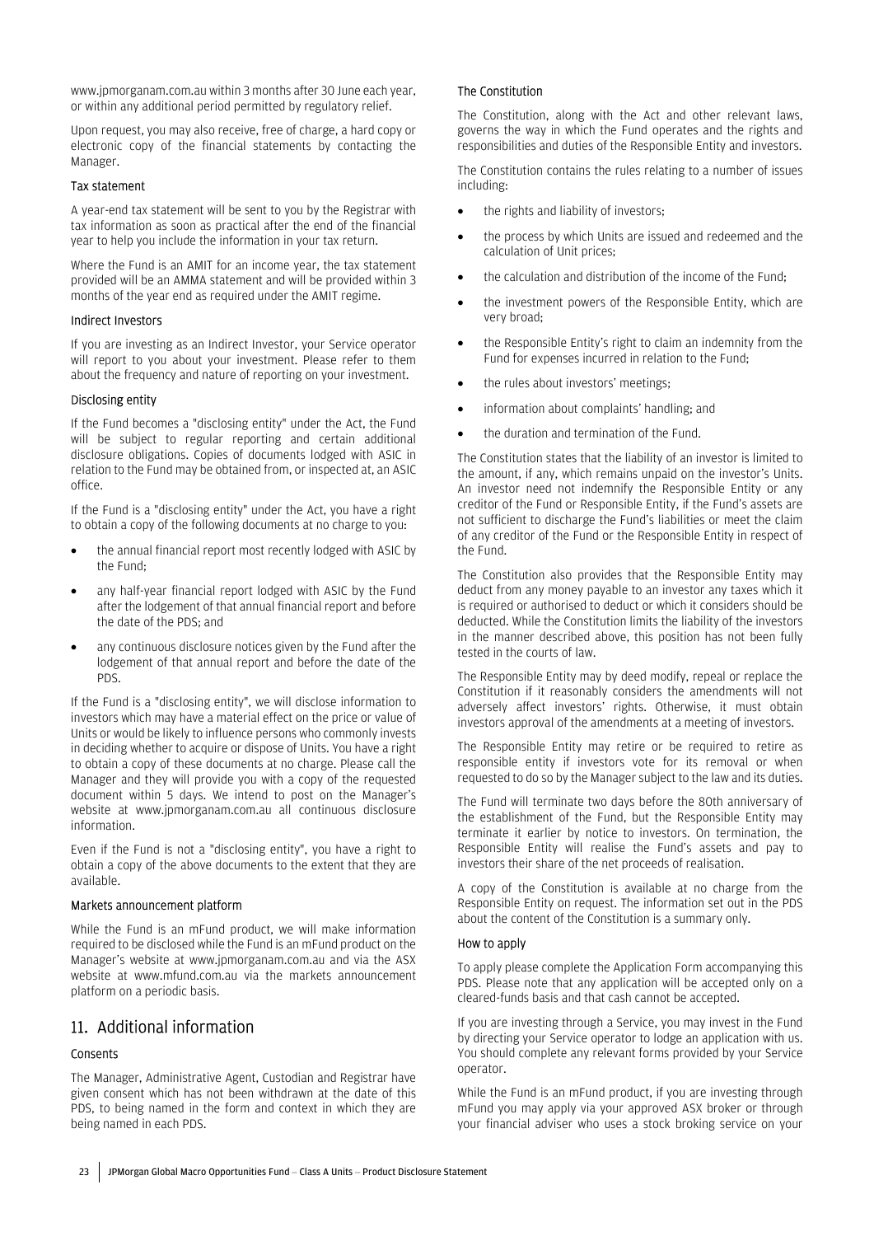www.jpmorganam.com.au within 3 months after 30 June each year, or within any additional period permitted by regulatory relief.

Upon request, you may also receive, free of charge, a hard copy or electronic copy of the financial statements by contacting the Manager.

#### Tax statement

A year-end tax statement will be sent to you by the Registrar with tax information as soon as practical after the end of the financial year to help you include the information in your tax return.

Where the Fund is an AMIT for an income year, the tax statement provided will be an AMMA statement and will be provided within 3 months of the year end as required under the AMIT regime.

#### Indirect Investors

If you are investing as an Indirect Investor, your Service operator will report to you about your investment. Please refer to them about the frequency and nature of reporting on your investment.

#### Disclosing entity

If the Fund becomes a "disclosing entity" under the Act, the Fund will be subject to regular reporting and certain additional disclosure obligations. Copies of documents lodged with ASIC in relation to the Fund may be obtained from, or inspected at, an ASIC office.

If the Fund is a "disclosing entity" under the Act, you have a right to obtain a copy of the following documents at no charge to you:

- the annual financial report most recently lodged with ASIC by the Fund;
- any half-year financial report lodged with ASIC by the Fund after the lodgement of that annual financial report and before the date of the PDS; and
- any continuous disclosure notices given by the Fund after the lodgement of that annual report and before the date of the PDS.

If the Fund is a "disclosing entity", we will disclose information to investors which may have a material effect on the price or value of Units or would be likely to influence persons who commonly invests in deciding whether to acquire or dispose of Units. You have a right to obtain a copy of these documents at no charge. Please call the Manager and they will provide you with a copy of the requested document within 5 days. We intend to post on the Manager's website at www.jpmorganam.com.au all continuous disclosure information.

Even if the Fund is not a "disclosing entity", you have a right to obtain a copy of the above documents to the extent that they are available.

#### Markets announcement platform

While the Fund is an mFund product, we will make information required to be disclosed while the Fund is an mFund product on the Manager's website at www.jpmorganam.com.au and via the ASX website at www.mfund.com.au via the markets announcement platform on a periodic basis.

### 11. Additional information

#### Consents

The Manager, Administrative Agent, Custodian and Registrar have given consent which has not been withdrawn at the date of this PDS, to being named in the form and context in which they are being named in each PDS.

#### The Constitution

The Constitution, along with the Act and other relevant laws, governs the way in which the Fund operates and the rights and responsibilities and duties of the Responsible Entity and investors.

The Constitution contains the rules relating to a number of issues including:

- the rights and liability of investors;
- the process by which Units are issued and redeemed and the calculation of Unit prices;
- the calculation and distribution of the income of the Fund;
- the investment powers of the Responsible Entity, which are very broad;
- the Responsible Entity's right to claim an indemnity from the Fund for expenses incurred in relation to the Fund;
- the rules about investors' meetings;
- information about complaints' handling: and
- the duration and termination of the Fund.

The Constitution states that the liability of an investor is limited to the amount, if any, which remains unpaid on the investor's Units. An investor need not indemnify the Responsible Entity or any creditor of the Fund or Responsible Entity, if the Fund's assets are not sufficient to discharge the Fund's liabilities or meet the claim of any creditor of the Fund or the Responsible Entity in respect of the Fund.

The Constitution also provides that the Responsible Entity may deduct from any money payable to an investor any taxes which it is required or authorised to deduct or which it considers should be deducted. While the Constitution limits the liability of the investors in the manner described above, this position has not been fully tested in the courts of law.

The Responsible Entity may by deed modify, repeal or replace the Constitution if it reasonably considers the amendments will not adversely affect investors' rights. Otherwise, it must obtain investors approval of the amendments at a meeting of investors.

The Responsible Entity may retire or be required to retire as responsible entity if investors vote for its removal or when requested to do so by the Manager subject to the law and its duties.

The Fund will terminate two days before the 80th anniversary of the establishment of the Fund, but the Responsible Entity may terminate it earlier by notice to investors. On termination, the Responsible Entity will realise the Fund's assets and pay to investors their share of the net proceeds of realisation.

A copy of the Constitution is available at no charge from the Responsible Entity on request. The information set out in the PDS about the content of the Constitution is a summary only.

#### How to apply

To apply please complete the Application Form accompanying this PDS. Please note that any application will be accepted only on a cleared-funds basis and that cash cannot be accepted.

If you are investing through a Service, you may invest in the Fund by directing your Service operator to lodge an application with us. You should complete any relevant forms provided by your Service operator.

While the Fund is an mFund product, if you are investing through mFund you may apply via your approved ASX broker or through your financial adviser who uses a stock broking service on your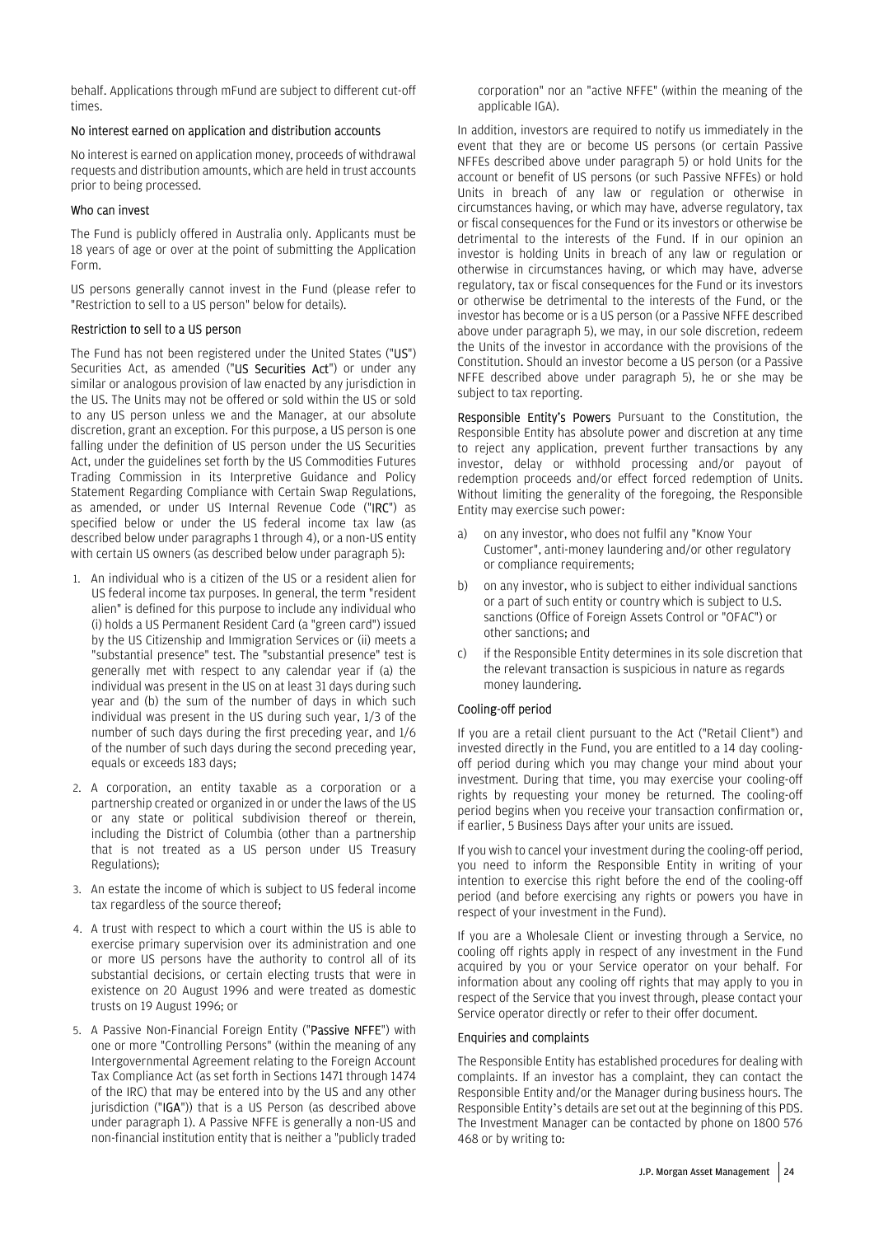behalf. Applications through mFund are subject to different cut-off times.

#### No interest earned on application and distribution accounts

No interest is earned on application money, proceeds of withdrawal requests and distribution amounts, which are held in trust accounts prior to being processed.

#### Who can invest

The Fund is publicly offered in Australia only. Applicants must be 18 years of age or over at the point of submitting the Application Form.

US persons generally cannot invest in the Fund (please refer to "Restriction to sell to a US person" below for details).

#### Restriction to sell to a US person

The Fund has not been registered under the United States ("US") Securities Act, as amended ("US Securities Act") or under any similar or analogous provision of law enacted by any jurisdiction in the US. The Units may not be offered or sold within the US or sold to any US person unless we and the Manager, at our absolute discretion, grant an exception. For this purpose, a US person is one falling under the definition of US person under the US Securities Act, under the guidelines set forth by the US Commodities Futures Trading Commission in its Interpretive Guidance and Policy Statement Regarding Compliance with Certain Swap Regulations, as amended, or under US Internal Revenue Code ("IRC") as specified below or under the US federal income tax law (as described below under paragraphs 1 through 4), or a non-US entity with certain US owners (as described below under paragraph 5):

- 1. An individual who is a citizen of the US or a resident alien for US federal income tax purposes. In general, the term "resident alien" is defined for this purpose to include any individual who (i) holds a US Permanent Resident Card (a "green card") issued by the US Citizenship and Immigration Services or (ii) meets a "substantial presence" test. The "substantial presence" test is generally met with respect to any calendar year if (a) the individual was present in the US on at least 31 days during such year and (b) the sum of the number of days in which such individual was present in the US during such year, 1/3 of the number of such days during the first preceding year, and 1/6 of the number of such days during the second preceding year, equals or exceeds 183 days;
- 2. A corporation, an entity taxable as a corporation or a partnership created or organized in or under the laws of the US or any state or political subdivision thereof or therein, including the District of Columbia (other than a partnership that is not treated as a US person under US Treasury Regulations);
- 3. An estate the income of which is subject to US federal income tax regardless of the source thereof;
- 4. A trust with respect to which a court within the US is able to exercise primary supervision over its administration and one or more US persons have the authority to control all of its substantial decisions, or certain electing trusts that were in existence on 20 August 1996 and were treated as domestic trusts on 19 August 1996; or
- 5. A Passive Non-Financial Foreign Entity ("Passive NFFE") with one or more "Controlling Persons" (within the meaning of any Intergovernmental Agreement relating to the Foreign Account Tax Compliance Act (as set forth in Sections 1471 through 1474 of the IRC) that may be entered into by the US and any other jurisdiction ("IGA")) that is a US Person (as described above under paragraph 1). A Passive NFFE is generally a non-US and non-financial institution entity that is neither a "publicly traded

corporation" nor an "active NFFE" (within the meaning of the applicable IGA).

In addition, investors are required to notify us immediately in the event that they are or become US persons (or certain Passive NFFEs described above under paragraph 5) or hold Units for the account or benefit of US persons (or such Passive NFFEs) or hold Units in breach of any law or regulation or otherwise in circumstances having, or which may have, adverse regulatory, tax or fiscal consequences for the Fund or its investors or otherwise be detrimental to the interests of the Fund. If in our opinion an investor is holding Units in breach of any law or regulation or otherwise in circumstances having, or which may have, adverse regulatory, tax or fiscal consequences for the Fund or its investors or otherwise be detrimental to the interests of the Fund, or the investor has become or is a US person (or a Passive NFFE described above under paragraph 5), we may, in our sole discretion, redeem the Units of the investor in accordance with the provisions of the Constitution. Should an investor become a US person (or a Passive NFFE described above under paragraph 5), he or she may be subject to tax reporting.

Responsible Entity's Powers Pursuant to the Constitution, the Responsible Entity has absolute power and discretion at any time to reject any application, prevent further transactions by any investor, delay or withhold processing and/or payout of redemption proceeds and/or effect forced redemption of Units. Without limiting the generality of the foregoing, the Responsible Entity may exercise such power:

- a) on any investor, who does not fulfil any "Know Your Customer", anti-money laundering and/or other regulatory or compliance requirements;
- b) on any investor, who is subject to either individual sanctions or a part of such entity or country which is subject to U.S. sanctions (Office of Foreign Assets Control or "OFAC") or other sanctions; and
- c) if the Responsible Entity determines in its sole discretion that the relevant transaction is suspicious in nature as regards money laundering.

#### Cooling-off period

If you are a retail client pursuant to the Act ("Retail Client") and invested directly in the Fund, you are entitled to a 14 day coolingoff period during which you may change your mind about your investment. During that time, you may exercise your cooling-off rights by requesting your money be returned. The cooling-off period begins when you receive your transaction confirmation or, if earlier, 5 Business Days after your units are issued.

If you wish to cancel your investment during the cooling-off period, you need to inform the Responsible Entity in writing of your intention to exercise this right before the end of the cooling-off period (and before exercising any rights or powers you have in respect of your investment in the Fund).

If you are a Wholesale Client or investing through a Service, no cooling off rights apply in respect of any investment in the Fund acquired by you or your Service operator on your behalf. For information about any cooling off rights that may apply to you in respect of the Service that you invest through, please contact your Service operator directly or refer to their offer document.

#### Enquiries and complaints

The Responsible Entity has established procedures for dealing with complaints. If an investor has a complaint, they can contact the Responsible Entity and/or the Manager during business hours. The Responsible Entity's details are set out at the beginning of this PDS. The Investment Manager can be contacted by phone on 1800 576 468 or by writing to: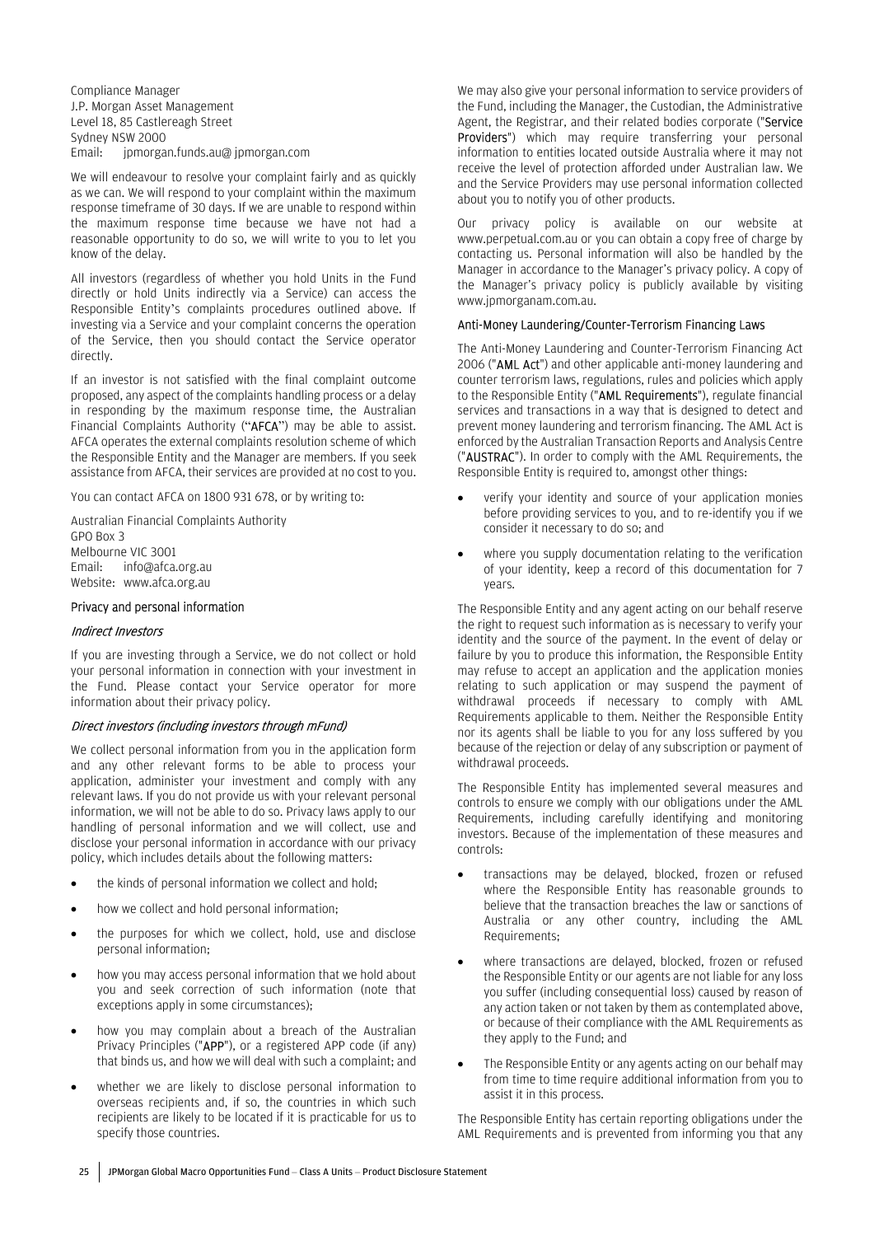Compliance Manager J.P. Morgan Asset Management Level 18, 85 Castlereagh Street Sydney NSW 2000 Email: jpmorgan.funds.au@ jpmorgan.com

We will endeavour to resolve your complaint fairly and as quickly as we can. We will respond to your complaint within the maximum response timeframe of 30 days. If we are unable to respond within the maximum response time because we have not had a reasonable opportunity to do so, we will write to you to let you know of the delay.

All investors (regardless of whether you hold Units in the Fund directly or hold Units indirectly via a Service) can access the Responsible Entity's complaints procedures outlined above. If investing via a Service and your complaint concerns the operation of the Service, then you should contact the Service operator directly.

If an investor is not satisfied with the final complaint outcome proposed, any aspect of the complaints handling process or a delay in responding by the maximum response time, the Australian Financial Complaints Authority ("AFCA") may be able to assist. AFCA operates the external complaints resolution scheme of which the Responsible Entity and the Manager are members. If you seek assistance from AFCA, their services are provided at no cost to you.

You can contact AFCA on 1800 931 678, or by writing to:

Australian Financial Complaints Authority GPO Box 3 Melbourne VIC 3001 Email: info@afca.org.au Website: www.afca.org.au

#### Privacy and personal information

#### Indirect Investors

If you are investing through a Service, we do not collect or hold your personal information in connection with your investment in the Fund. Please contact your Service operator for more information about their privacy policy.

#### Direct investors (including investors through mFund)

We collect personal information from you in the application form and any other relevant forms to be able to process your application, administer your investment and comply with any relevant laws. If you do not provide us with your relevant personal information, we will not be able to do so. Privacy laws apply to our handling of personal information and we will collect, use and disclose your personal information in accordance with our privacy policy, which includes details about the following matters:

- the kinds of personal information we collect and hold;
- how we collect and hold personal information;
- the purposes for which we collect, hold, use and disclose personal information;
- how you may access personal information that we hold about you and seek correction of such information (note that exceptions apply in some circumstances);
- how you may complain about a breach of the Australian Privacy Principles ("APP"), or a registered APP code (if any) that binds us, and how we will deal with such a complaint; and
- whether we are likely to disclose personal information to overseas recipients and, if so, the countries in which such recipients are likely to be located if it is practicable for us to specify those countries.

We may also give your personal information to service providers of the Fund, including the Manager, the Custodian, the Administrative Agent, the Registrar, and their related bodies corporate ("Service Providers") which may require transferring your personal information to entities located outside Australia where it may not receive the level of protection afforded under Australian law. We and the Service Providers may use personal information collected about you to notify you of other products.

Our privacy policy is available on our website at www.perpetual.com.au or you can obtain a copy free of charge by contacting us. Personal information will also be handled by the Manager in accordance to the Manager's privacy policy. A copy of the Manager's privacy policy is publicly available by visiting www.jpmorganam.com.au.

#### Anti-Money Laundering/Counter-Terrorism Financing Laws

The Anti-Money Laundering and Counter-Terrorism Financing Act 2006 ("AML Act") and other applicable anti-money laundering and counter terrorism laws, regulations, rules and policies which apply to the Responsible Entity ("AML Requirements"), regulate financial services and transactions in a way that is designed to detect and prevent money laundering and terrorism financing. The AML Act is enforced by the Australian Transaction Reports and Analysis Centre ("AUSTRAC"). In order to comply with the AML Requirements, the Responsible Entity is required to, amongst other things:

- verify your identity and source of your application monies before providing services to you, and to re-identify you if we consider it necessary to do so; and
- where you supply documentation relating to the verification of your identity, keep a record of this documentation for 7 years.

The Responsible Entity and any agent acting on our behalf reserve the right to request such information as is necessary to verify your identity and the source of the payment. In the event of delay or failure by you to produce this information, the Responsible Entity may refuse to accept an application and the application monies relating to such application or may suspend the payment of withdrawal proceeds if necessary to comply with AML Requirements applicable to them. Neither the Responsible Entity nor its agents shall be liable to you for any loss suffered by you because of the rejection or delay of any subscription or payment of withdrawal proceeds.

The Responsible Entity has implemented several measures and controls to ensure we comply with our obligations under the AML Requirements, including carefully identifying and monitoring investors. Because of the implementation of these measures and controls:

- transactions may be delayed, blocked, frozen or refused where the Responsible Entity has reasonable grounds to believe that the transaction breaches the law or sanctions of Australia or any other country, including the AML Requirements;
- where transactions are delayed, blocked, frozen or refused the Responsible Entity or our agents are not liable for any loss you suffer (including consequential loss) caused by reason of any action taken or not taken by them as contemplated above, or because of their compliance with the AML Requirements as they apply to the Fund; and
- The Responsible Entity or any agents acting on our behalf may from time to time require additional information from you to assist it in this process.

The Responsible Entity has certain reporting obligations under the AML Requirements and is prevented from informing you that any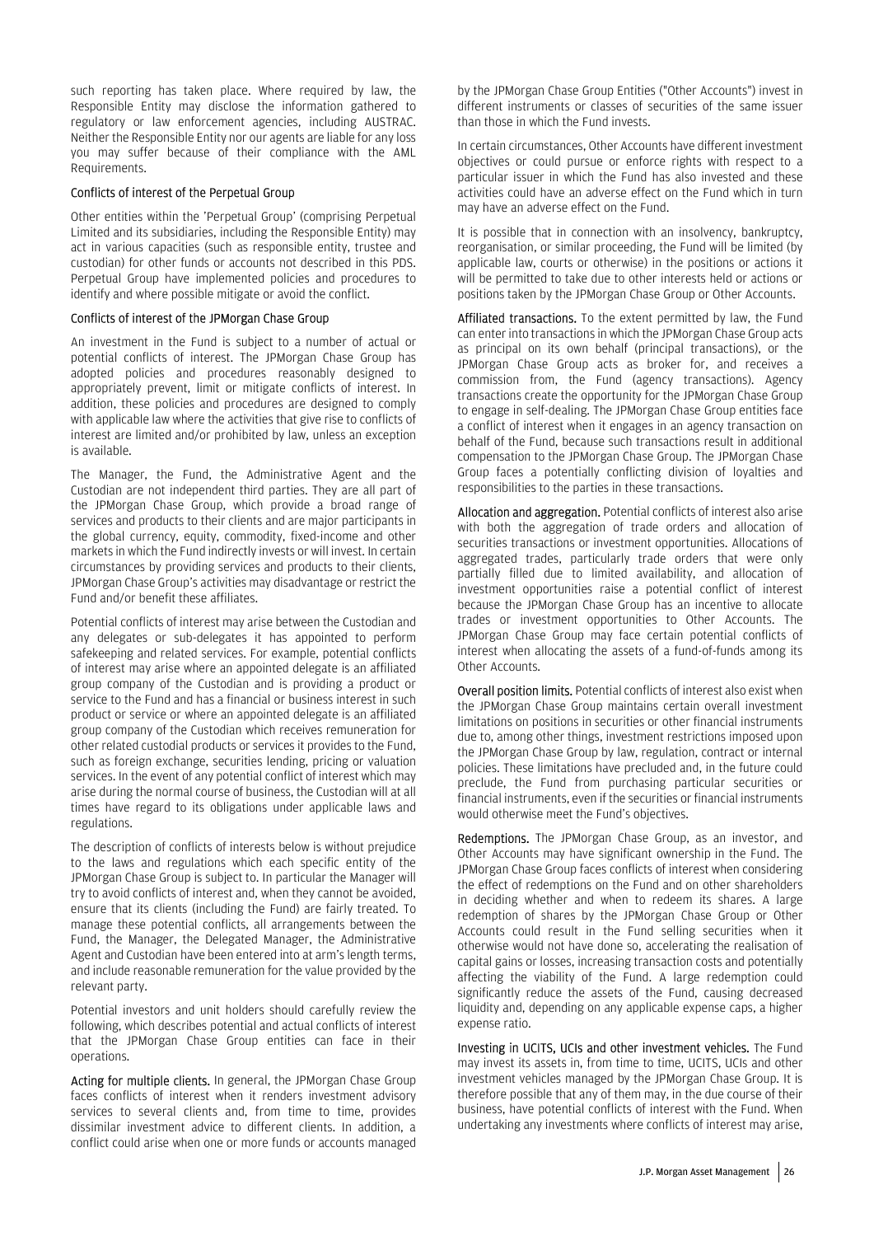such reporting has taken place. Where required by law, the Responsible Entity may disclose the information gathered to regulatory or law enforcement agencies, including AUSTRAC. Neither the Responsible Entity nor our agents are liable for any loss you may suffer because of their compliance with the AML Requirements.

#### Conflicts of interest of the Perpetual Group

Other entities within the 'Perpetual Group' (comprising Perpetual Limited and its subsidiaries, including the Responsible Entity) may act in various capacities (such as responsible entity, trustee and custodian) for other funds or accounts not described in this PDS. Perpetual Group have implemented policies and procedures to identify and where possible mitigate or avoid the conflict.

#### Conflicts of interest of the JPMorgan Chase Group

An investment in the Fund is subject to a number of actual or potential conflicts of interest. The JPMorgan Chase Group has adopted policies and procedures reasonably designed to appropriately prevent, limit or mitigate conflicts of interest. In addition, these policies and procedures are designed to comply with applicable law where the activities that give rise to conflicts of interest are limited and/or prohibited by law, unless an exception is available.

The Manager, the Fund, the Administrative Agent and the Custodian are not independent third parties. They are all part of the JPMorgan Chase Group, which provide a broad range of services and products to their clients and are major participants in the global currency, equity, commodity, fixed-income and other markets in which the Fund indirectly invests or will invest. In certain circumstances by providing services and products to their clients, JPMorgan Chase Group's activities may disadvantage or restrict the Fund and/or benefit these affiliates.

Potential conflicts of interest may arise between the Custodian and any delegates or sub-delegates it has appointed to perform safekeeping and related services. For example, potential conflicts of interest may arise where an appointed delegate is an affiliated group company of the Custodian and is providing a product or service to the Fund and has a financial or business interest in such product or service or where an appointed delegate is an affiliated group company of the Custodian which receives remuneration for other related custodial products or services it provides to the Fund, such as foreign exchange, securities lending, pricing or valuation services. In the event of any potential conflict of interest which may arise during the normal course of business, the Custodian will at all times have regard to its obligations under applicable laws and regulations.

The description of conflicts of interests below is without prejudice to the laws and regulations which each specific entity of the JPMorgan Chase Group is subject to. In particular the Manager will try to avoid conflicts of interest and, when they cannot be avoided, ensure that its clients (including the Fund) are fairly treated. To manage these potential conflicts, all arrangements between the Fund, the Manager, the Delegated Manager, the Administrative Agent and Custodian have been entered into at arm's length terms, and include reasonable remuneration for the value provided by the relevant party.

Potential investors and unit holders should carefully review the following, which describes potential and actual conflicts of interest that the JPMorgan Chase Group entities can face in their operations.

Acting for multiple clients. In general, the JPMorgan Chase Group faces conflicts of interest when it renders investment advisory services to several clients and, from time to time, provides dissimilar investment advice to different clients. In addition, a conflict could arise when one or more funds or accounts managed by the JPMorgan Chase Group Entities ("Other Accounts") invest in different instruments or classes of securities of the same issuer than those in which the Fund invests.

In certain circumstances, Other Accounts have different investment objectives or could pursue or enforce rights with respect to a particular issuer in which the Fund has also invested and these activities could have an adverse effect on the Fund which in turn may have an adverse effect on the Fund.

It is possible that in connection with an insolvency, bankruptcy, reorganisation, or similar proceeding, the Fund will be limited (by applicable law, courts or otherwise) in the positions or actions it will be permitted to take due to other interests held or actions or positions taken by the JPMorgan Chase Group or Other Accounts.

Affiliated transactions. To the extent permitted by law, the Fund can enter into transactions in which the JPMorgan Chase Group acts as principal on its own behalf (principal transactions), or the JPMorgan Chase Group acts as broker for, and receives a commission from, the Fund (agency transactions). Agency transactions create the opportunity for the JPMorgan Chase Group to engage in self-dealing. The JPMorgan Chase Group entities face a conflict of interest when it engages in an agency transaction on behalf of the Fund, because such transactions result in additional compensation to the JPMorgan Chase Group. The JPMorgan Chase Group faces a potentially conflicting division of loyalties and responsibilities to the parties in these transactions.

Allocation and aggregation. Potential conflicts of interest also arise with both the aggregation of trade orders and allocation of securities transactions or investment opportunities. Allocations of aggregated trades, particularly trade orders that were only partially filled due to limited availability, and allocation of investment opportunities raise a potential conflict of interest because the JPMorgan Chase Group has an incentive to allocate trades or investment opportunities to Other Accounts. The JPMorgan Chase Group may face certain potential conflicts of interest when allocating the assets of a fund-of-funds among its Other Accounts.

Overall position limits. Potential conflicts of interest also exist when the JPMorgan Chase Group maintains certain overall investment limitations on positions in securities or other financial instruments due to, among other things, investment restrictions imposed upon the JPMorgan Chase Group by law, regulation, contract or internal policies. These limitations have precluded and, in the future could preclude, the Fund from purchasing particular securities or financial instruments, even if the securities or financial instruments would otherwise meet the Fund's objectives.

Redemptions. The JPMorgan Chase Group, as an investor, and Other Accounts may have significant ownership in the Fund. The JPMorgan Chase Group faces conflicts of interest when considering the effect of redemptions on the Fund and on other shareholders in deciding whether and when to redeem its shares. A large redemption of shares by the JPMorgan Chase Group or Other Accounts could result in the Fund selling securities when it otherwise would not have done so, accelerating the realisation of capital gains or losses, increasing transaction costs and potentially affecting the viability of the Fund. A large redemption could significantly reduce the assets of the Fund, causing decreased liquidity and, depending on any applicable expense caps, a higher expense ratio.

Investing in UCITS, UCIs and other investment vehicles. The Fund may invest its assets in, from time to time, UCITS, UCIs and other investment vehicles managed by the JPMorgan Chase Group. It is therefore possible that any of them may, in the due course of their business, have potential conflicts of interest with the Fund. When undertaking any investments where conflicts of interest may arise,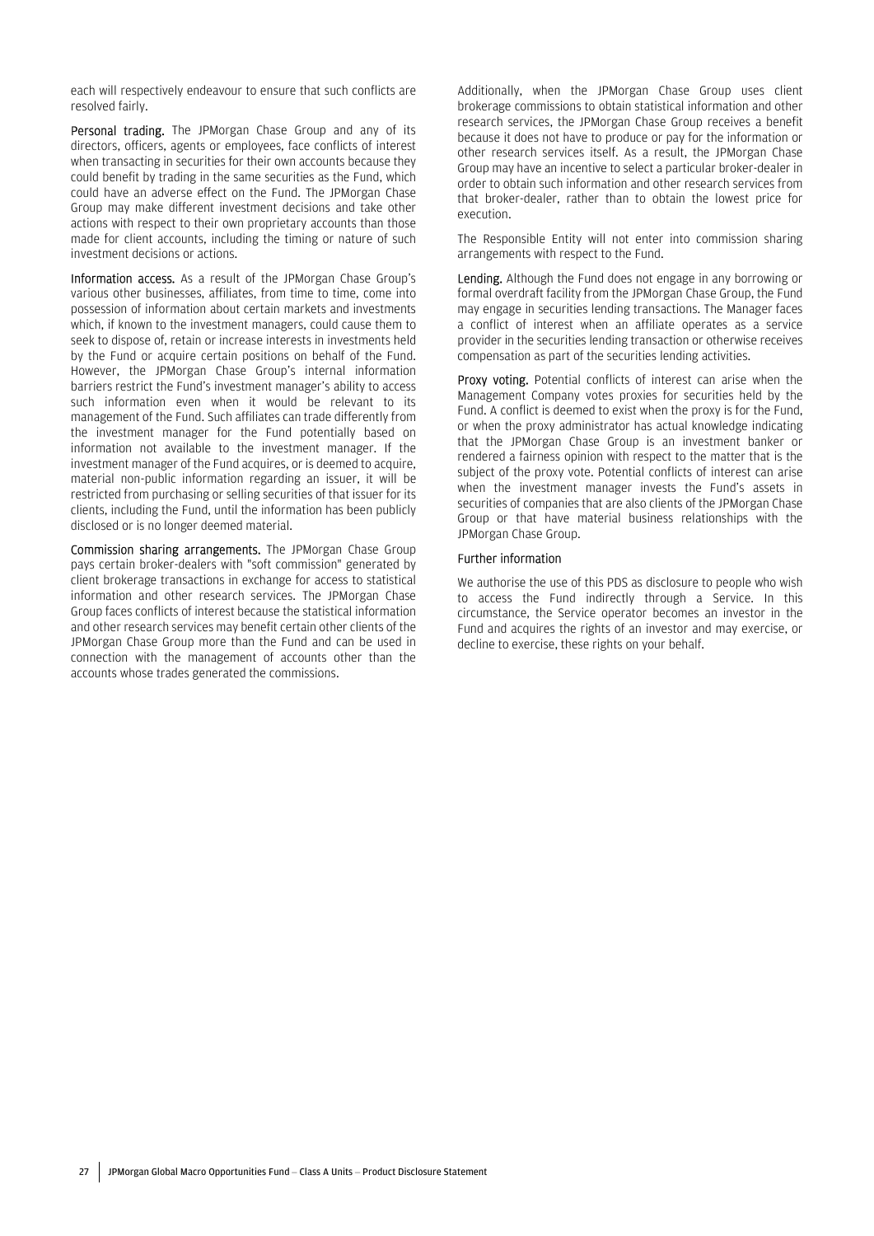each will respectively endeavour to ensure that such conflicts are resolved fairly.

Personal trading. The JPMorgan Chase Group and any of its directors, officers, agents or employees, face conflicts of interest when transacting in securities for their own accounts because they could benefit by trading in the same securities as the Fund, which could have an adverse effect on the Fund. The JPMorgan Chase Group may make different investment decisions and take other actions with respect to their own proprietary accounts than those made for client accounts, including the timing or nature of such investment decisions or actions.

Information access. As a result of the JPMorgan Chase Group's various other businesses, affiliates, from time to time, come into possession of information about certain markets and investments which, if known to the investment managers, could cause them to seek to dispose of, retain or increase interests in investments held by the Fund or acquire certain positions on behalf of the Fund. However, the JPMorgan Chase Group's internal information barriers restrict the Fund's investment manager's ability to access such information even when it would be relevant to its management of the Fund. Such affiliates can trade differently from the investment manager for the Fund potentially based on information not available to the investment manager. If the investment manager of the Fund acquires, or is deemed to acquire, material non-public information regarding an issuer, it will be restricted from purchasing or selling securities of that issuer for its clients, including the Fund, until the information has been publicly disclosed or is no longer deemed material.

Commission sharing arrangements. The JPMorgan Chase Group pays certain broker-dealers with "soft commission" generated by client brokerage transactions in exchange for access to statistical information and other research services. The JPMorgan Chase Group faces conflicts of interest because the statistical information and other research services may benefit certain other clients of the JPMorgan Chase Group more than the Fund and can be used in connection with the management of accounts other than the accounts whose trades generated the commissions.

Additionally, when the JPMorgan Chase Group uses client brokerage commissions to obtain statistical information and other research services, the JPMorgan Chase Group receives a benefit because it does not have to produce or pay for the information or other research services itself. As a result, the JPMorgan Chase Group may have an incentive to select a particular broker-dealer in order to obtain such information and other research services from that broker-dealer, rather than to obtain the lowest price for execution.

The Responsible Entity will not enter into commission sharing arrangements with respect to the Fund.

Lending. Although the Fund does not engage in any borrowing or formal overdraft facility from the JPMorgan Chase Group, the Fund may engage in securities lending transactions. The Manager faces a conflict of interest when an affiliate operates as a service provider in the securities lending transaction or otherwise receives compensation as part of the securities lending activities.

Proxy voting. Potential conflicts of interest can arise when the Management Company votes proxies for securities held by the Fund. A conflict is deemed to exist when the proxy is for the Fund, or when the proxy administrator has actual knowledge indicating that the JPMorgan Chase Group is an investment banker or rendered a fairness opinion with respect to the matter that is the subject of the proxy vote. Potential conflicts of interest can arise when the investment manager invests the Fund's assets in securities of companies that are also clients of the JPMorgan Chase Group or that have material business relationships with the JPMorgan Chase Group.

#### Further information

We authorise the use of this PDS as disclosure to people who wish to access the Fund indirectly through a Service. In this circumstance, the Service operator becomes an investor in the Fund and acquires the rights of an investor and may exercise, or decline to exercise, these rights on your behalf.